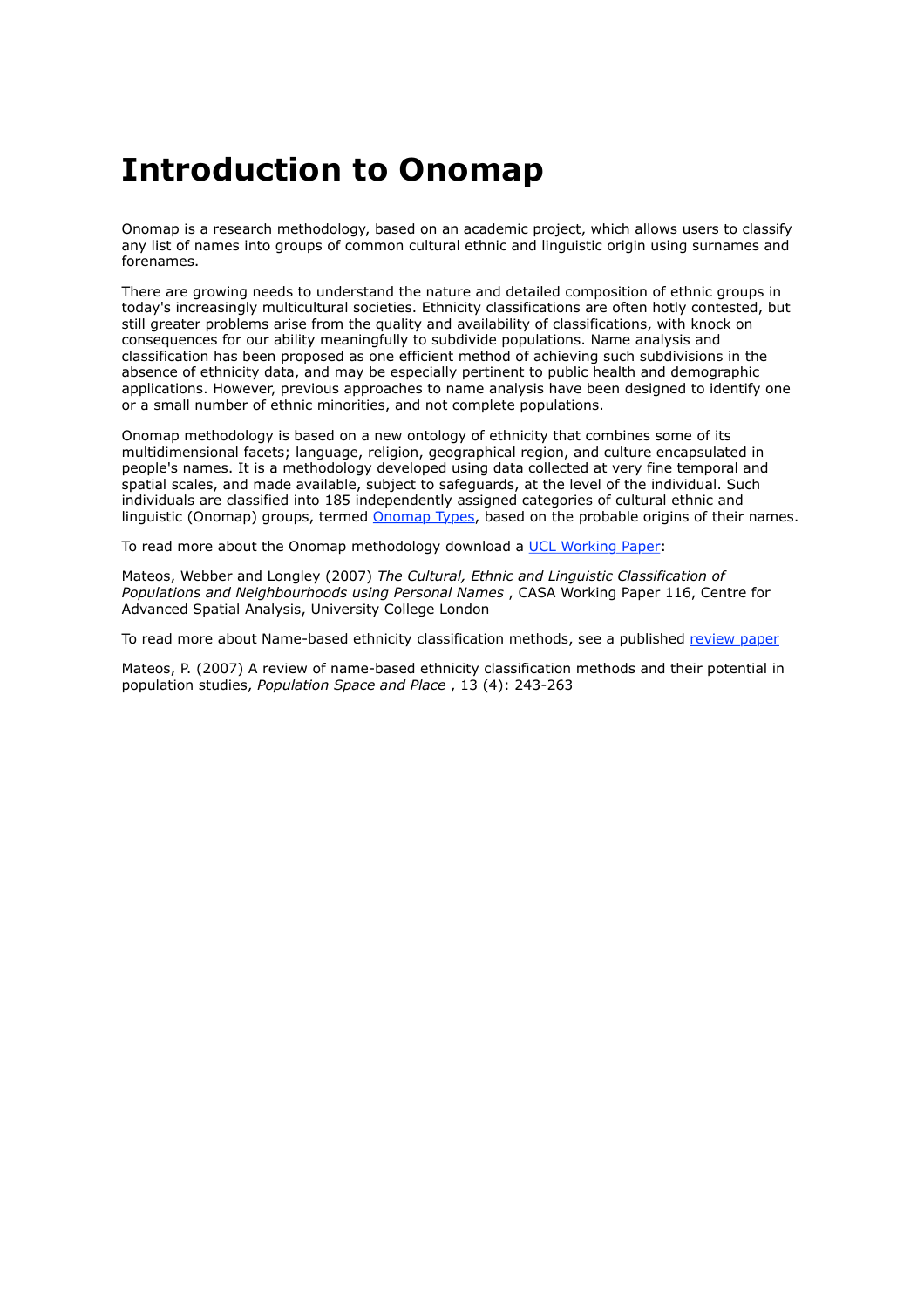## **Introduction to Onomap**

Onomap is a research methodology, based on an academic project, which allows users to classify any list of names into groups of common cultural ethnic and linguistic origin using surnames and forenames.

There are growing needs to understand the nature and detailed composition of ethnic groups in today's increasingly multicultural societies. Ethnicity classifications are often hotly contested, but still greater problems arise from the quality and availability of classifications, with knock on consequences for our ability meaningfully to subdivide populations. Name analysis and classification has been proposed as one efficient method of achieving such subdivisions in the absence of ethnicity data, and may be especially pertinent to public health and demographic applications. However, previous approaches to name analysis have been designed to identify one or a small number of ethnic minorities, and not complete populations.

Onomap methodology is based on a new ontology of ethnicity that combines some of its multidimensional facets; language, religion, geographical region, and culture encapsulated in people's names. It is a methodology developed using data collected at very fine temporal and spatial scales, and made available, subject to safeguards, at the level of the individual. Such individuals are classified into 185 independently assigned categories of cultural ethnic and linguistic (Onomap) groups, termed Onomap Types, based on the probable origins of their names.

To read more about the Onomap methodology download a UCL Working Paper:

Mateos, Webber and Longley (2007) *The Cultural, Ethnic and Linguistic Classification of Populations and Neighbourhoods using Personal Names* , CASA Working Paper 116, Centre for Advanced Spatial Analysis, University College London

To read more about Name-based ethnicity classification methods, see a published review paper

Mateos, P. (2007) A review of name-based ethnicity classification methods and their potential in population studies, *Population Space and Place* , 13 (4): 243-263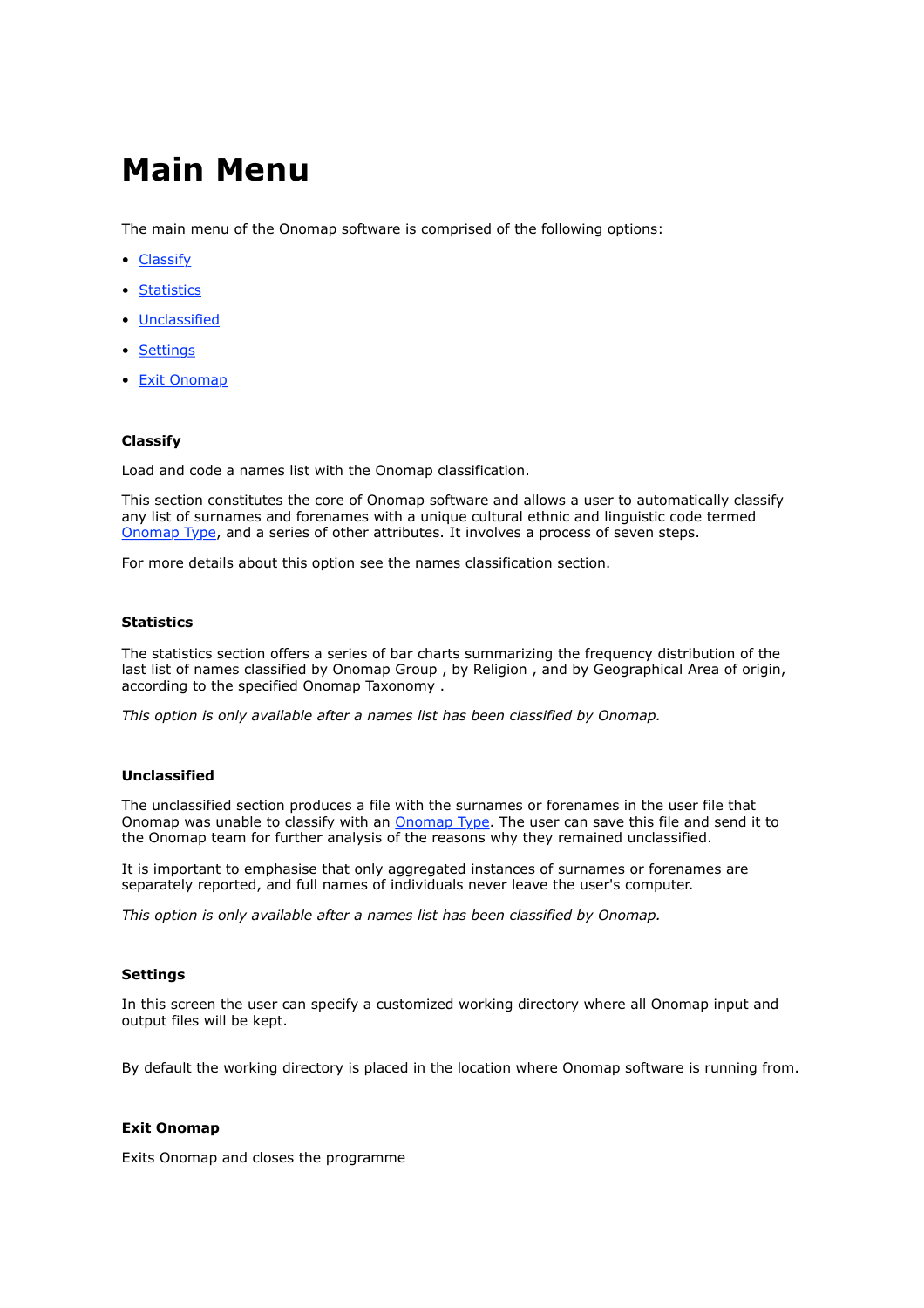## **Main Menu**

The main menu of the Onomap software is comprised of the following options:

- Classify
- Statistics
- Unclassified
- Settings
- Exit Onomap

#### **Classify**

Load and code a names list with the Onomap classification.

This section constitutes the core of Onomap software and allows a user to automatically classify any list of surnames and forenames with a unique cultural ethnic and linguistic code termed Onomap Type, and a series of other attributes. It involves a process of seven steps.

For more details about this option see the names classification section.

#### **Statistics**

The statistics section offers a series of bar charts summarizing the frequency distribution of the last list of names classified by Onomap Group, by Religion, and by Geographical Area of origin, according to the specified Onomap Taxonomy .

*This option is only available after a names list has been classified by Onomap.*

#### **Unclassified**

The unclassified section produces a file with the surnames or forenames in the user file that Onomap was unable to classify with an **Onomap Type**. The user can save this file and send it to the Onomap team for further analysis of the reasons why they remained unclassified.

It is important to emphasise that only aggregated instances of surnames or forenames are separately reported, and full names of individuals never leave the user's computer.

*This option is only available after a names list has been classified by Onomap.*

#### **Settings**

In this screen the user can specify a customized working directory where all Onomap input and output files will be kept.

By default the working directory is placed in the location where Onomap software is running from.

#### **Exit Onomap**

Exits Onomap and closes the programme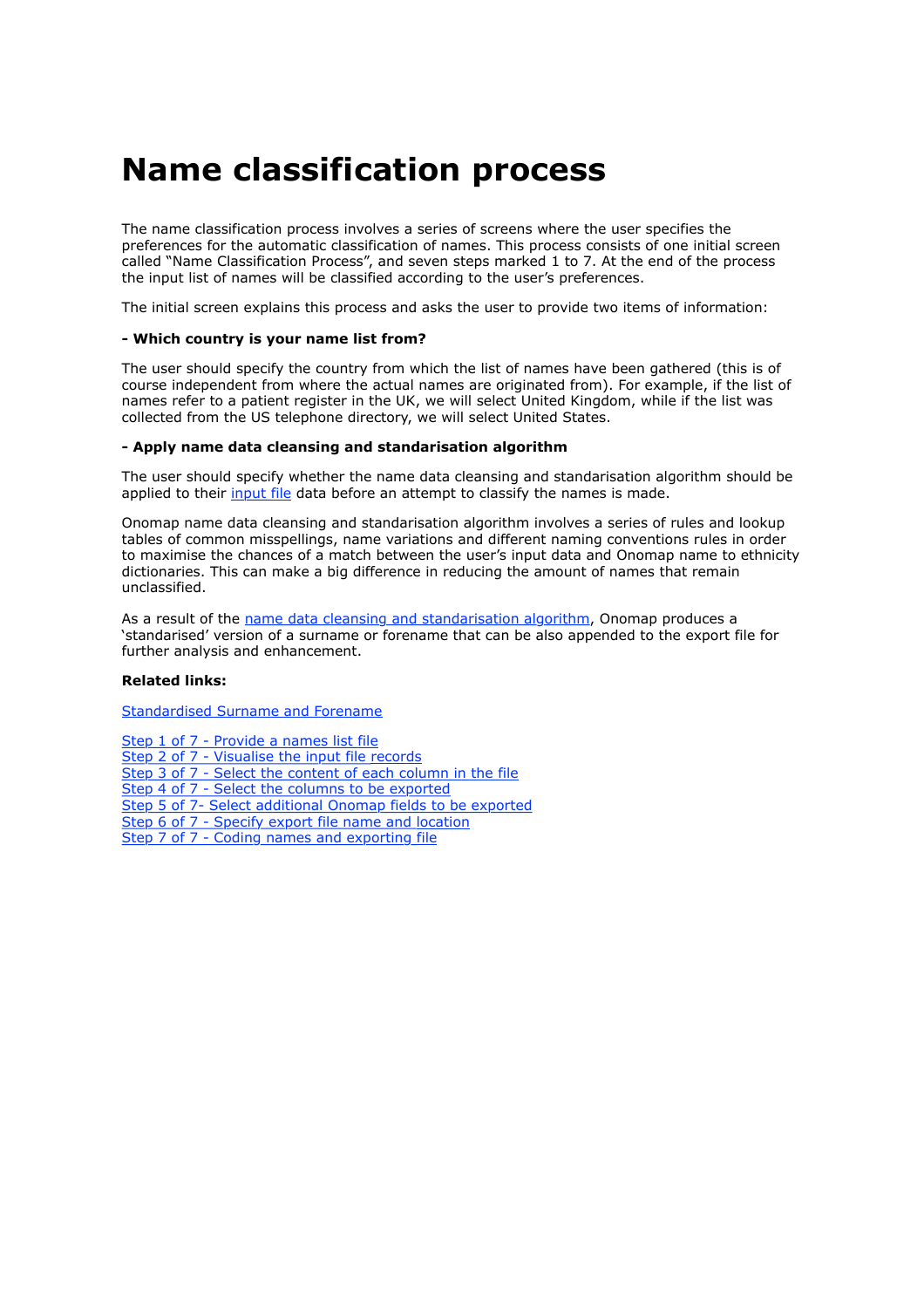## **Name classification process**

The name classification process involves a series of screens where the user specifies the preferences for the automatic classification of names. This process consists of one initial screen called "Name Classification Process", and seven steps marked 1 to 7. At the end of the process the input list of names will be classified according to the user's preferences.

The initial screen explains this process and asks the user to provide two items of information:

#### **- Which country is your name list from?**

The user should specify the country from which the list of names have been gathered (this is of course independent from where the actual names are originated from). For example, if the list of names refer to a patient register in the UK, we will select United Kingdom, while if the list was collected from the US telephone directory, we will select United States.

#### **- Apply name data cleansing and standarisation algorithm**

The user should specify whether the name data cleansing and standarisation algorithm should be applied to their input file data before an attempt to classify the names is made.

Onomap name data cleansing and standarisation algorithm involves a series of rules and lookup tables of common misspellings, name variations and different naming conventions rules in order to maximise the chances of a match between the user's input data and Onomap name to ethnicity dictionaries. This can make a big difference in reducing the amount of names that remain unclassified.

As a result of the name data cleansing and standarisation algorithm, Onomap produces a 'standarised' version of a surname or forename that can be also appended to the export file for further analysis and enhancement.

#### **Related links:**

Standardised Surname and Forename

Step 1 of 7 - Provide a names list file Step 2 of 7 - Visualise the input file records Step 3 of 7 - Select the content of each column in the file Step 4 of 7 - Select the columns to be exported Step 5 of 7- Select additional Onomap fields to be exported Step 6 of 7 - Specify export file name and location Step 7 of 7 - Coding names and exporting file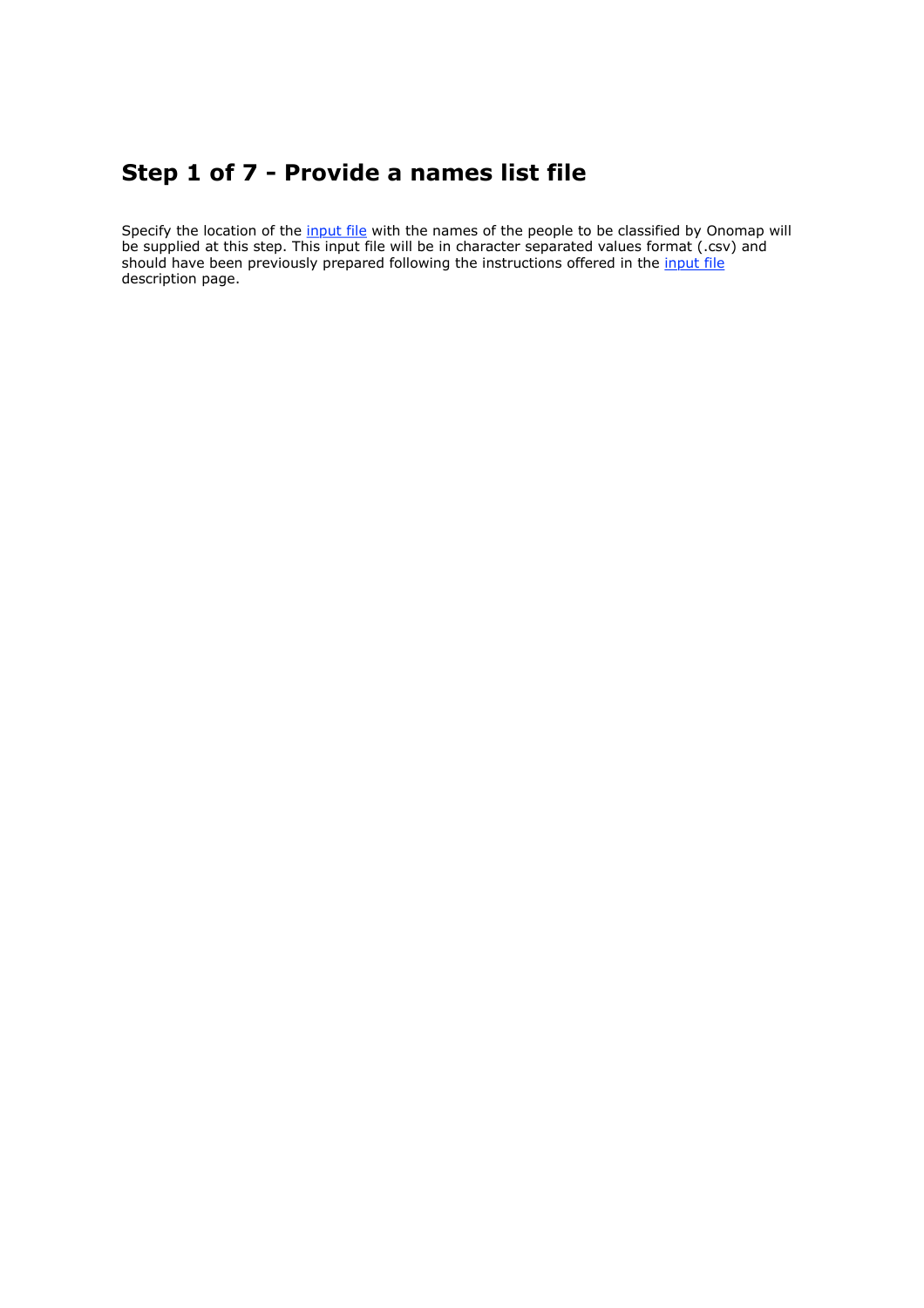### **Step 1 of 7 - Provide a names list file**

Specify the location of the input file with the names of the people to be classified by Onomap will be supplied at this step. This input file will be in character separated values format (.csv) and should have been previously prepared following the instructions offered in the input file description page.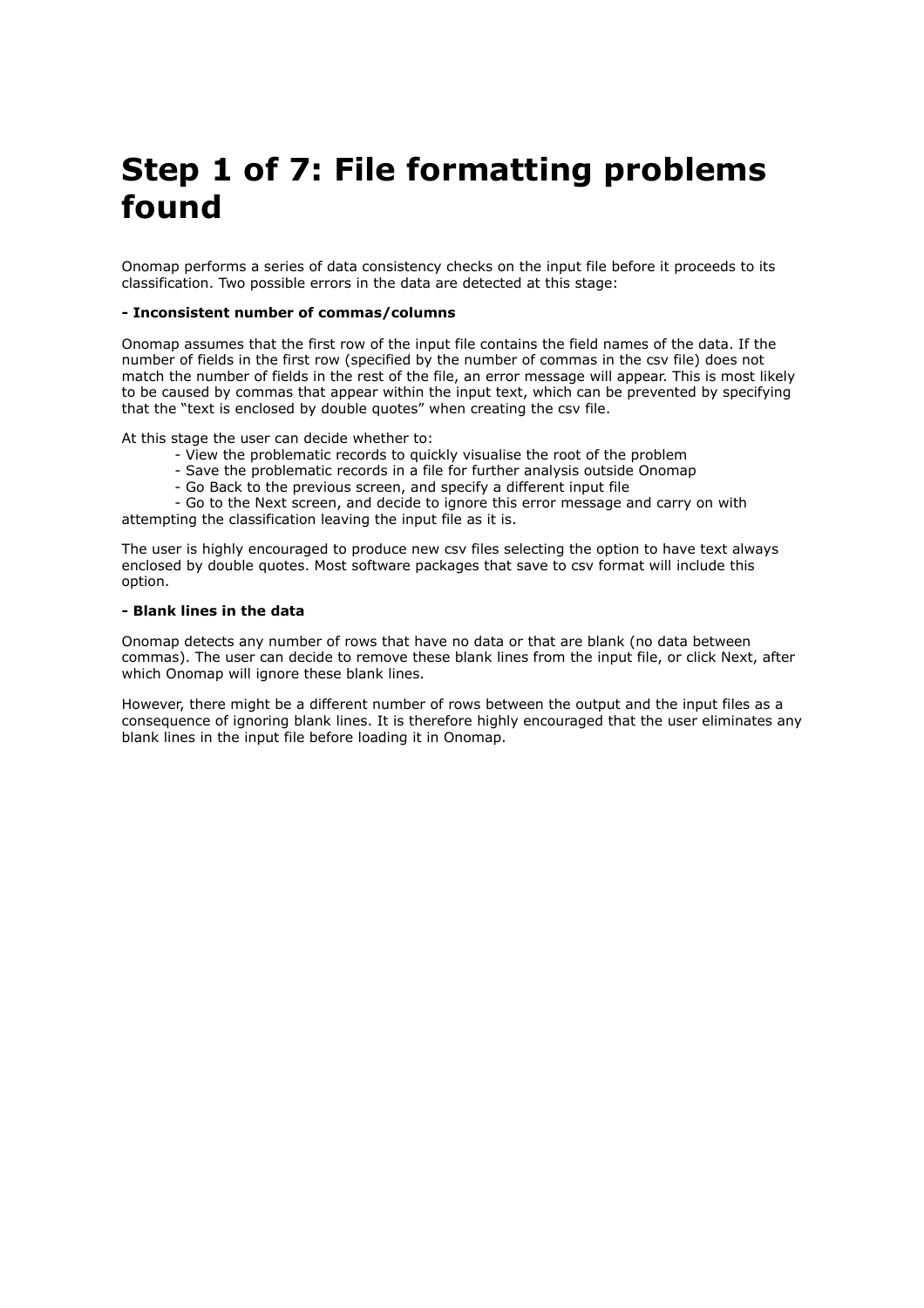# **Step 1 of 7: File formatting problems found**

Onomap performs a series of data consistency checks on the input file before it proceeds to its classification. Two possible errors in the data are detected at this stage:

#### **- Inconsistent number of commas/columns**

Onomap assumes that the first row of the input file contains the field names of the data. If the number of fields in the first row (specified by the number of commas in the csv file) does not match the number of fields in the rest of the file, an error message will appear. This is most likely to be caused by commas that appear within the input text, which can be prevented by specifying that the "text is enclosed by double quotes" when creating the csv file.

At this stage the user can decide whether to:

- View the problematic records to quickly visualise the root of the problem
- Save the problematic records in a file for further analysis outside Onomap
- Go Back to the previous screen, and specify a different input file

 - Go to the Next screen, and decide to ignore this error message and carry on with attempting the classification leaving the input file as it is.

The user is highly encouraged to produce new csv files selecting the option to have text always enclosed by double quotes. Most software packages that save to csv format will include this option.

#### **- Blank lines in the data**

Onomap detects any number of rows that have no data or that are blank (no data between commas). The user can decide to remove these blank lines from the input file, or click Next, after which Onomap will ignore these blank lines.

However, there might be a different number of rows between the output and the input files as a consequence of ignoring blank lines. It is therefore highly encouraged that the user eliminates any blank lines in the input file before loading it in Onomap.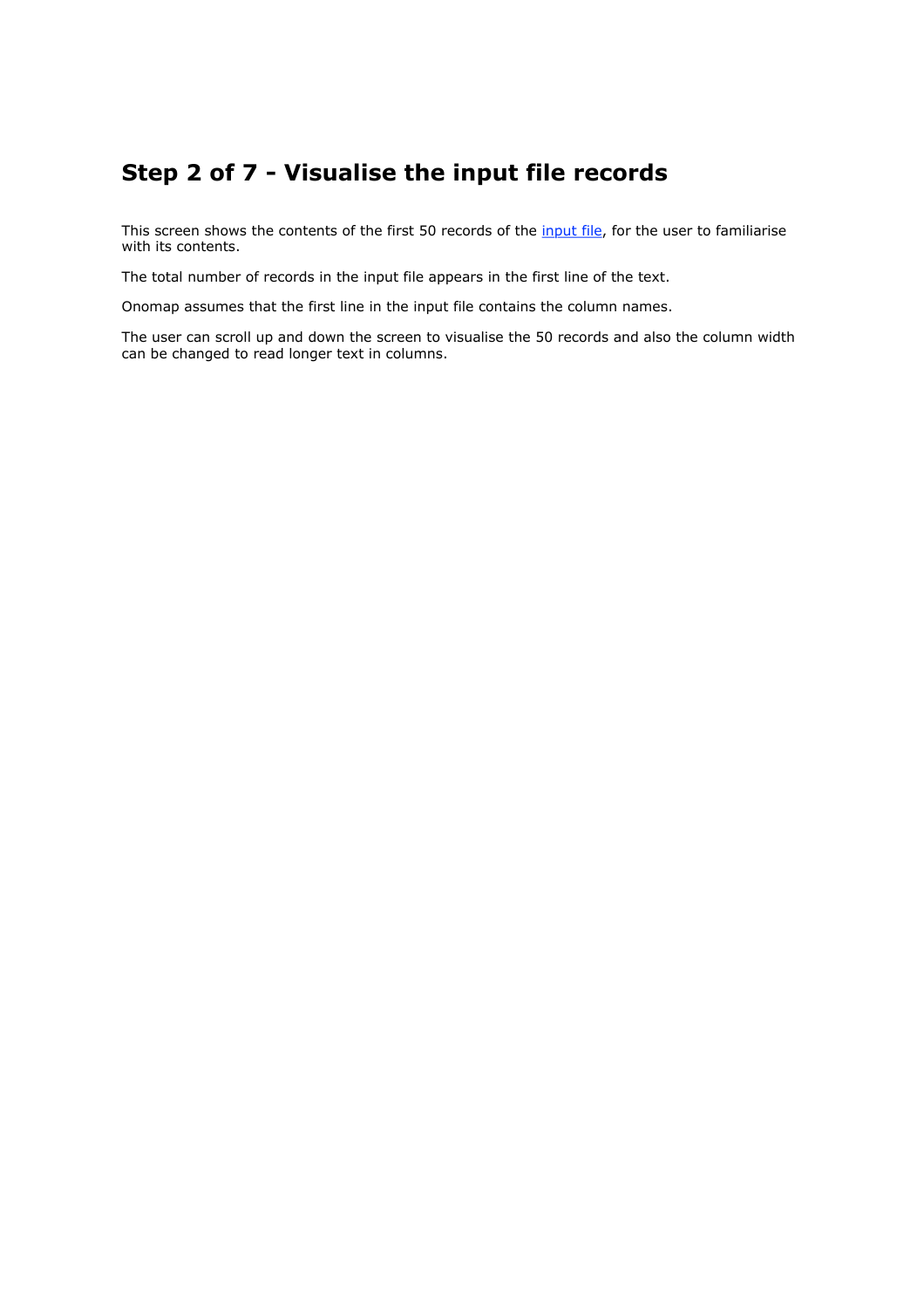### **Step 2 of 7 - Visualise the input file records**

This screen shows the contents of the first 50 records of the input file, for the user to familiarise with its contents.

The total number of records in the input file appears in the first line of the text.

Onomap assumes that the first line in the input file contains the column names.

The user can scroll up and down the screen to visualise the 50 records and also the column width can be changed to read longer text in columns.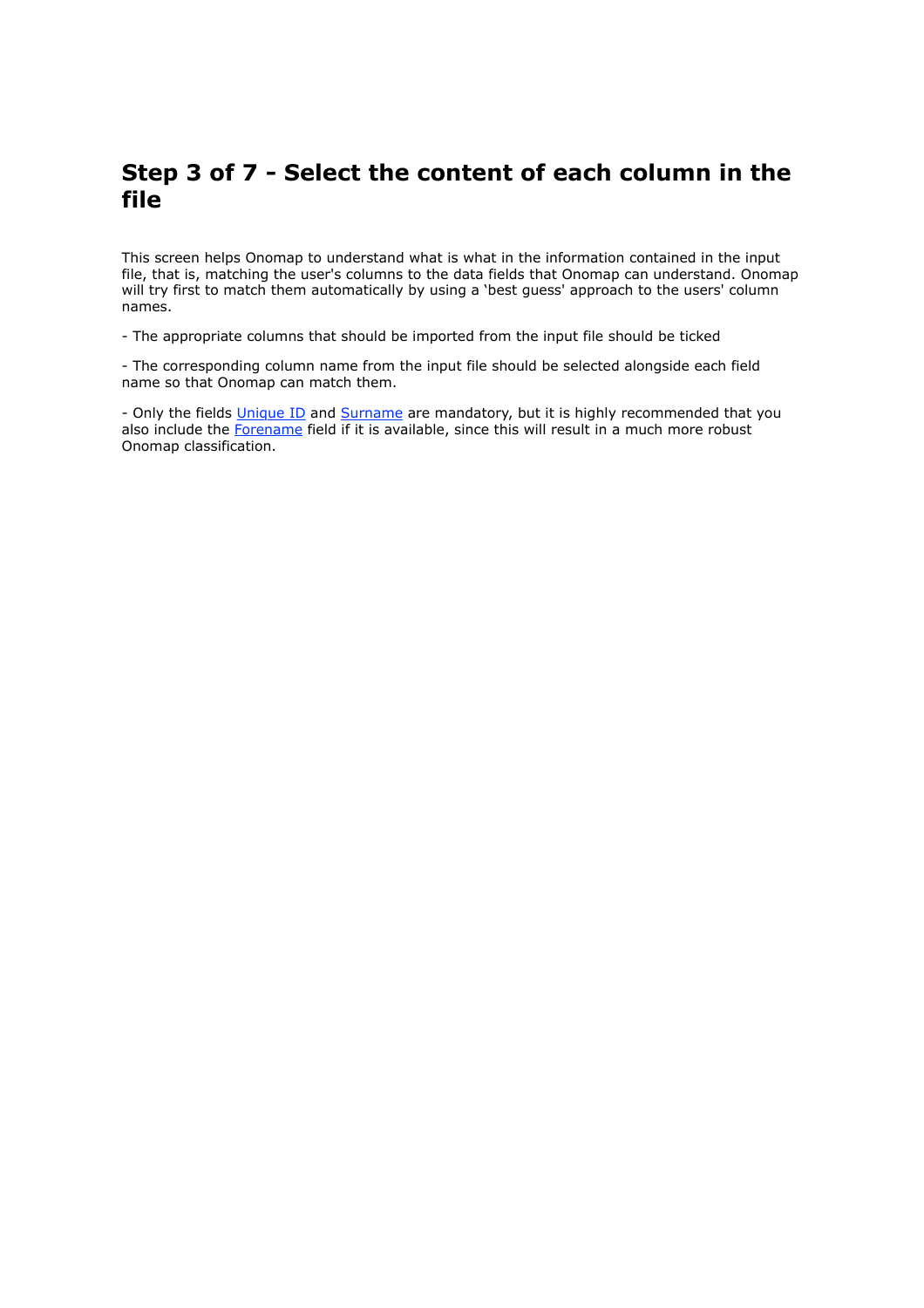### **Step 3 of 7 - Select the content of each column in the file**

This screen helps Onomap to understand what is what in the information contained in the input file, that is, matching the user's columns to the data fields that Onomap can understand. Onomap will try first to match them automatically by using a 'best guess' approach to the users' column names.

- The appropriate columns that should be imported from the input file should be ticked

- The corresponding column name from the input file should be selected alongside each field name so that Onomap can match them.

- Only the fields *Unique ID* and *Surname* are mandatory, but it is highly recommended that you also include the Forename field if it is available, since this will result in a much more robust Onomap classification.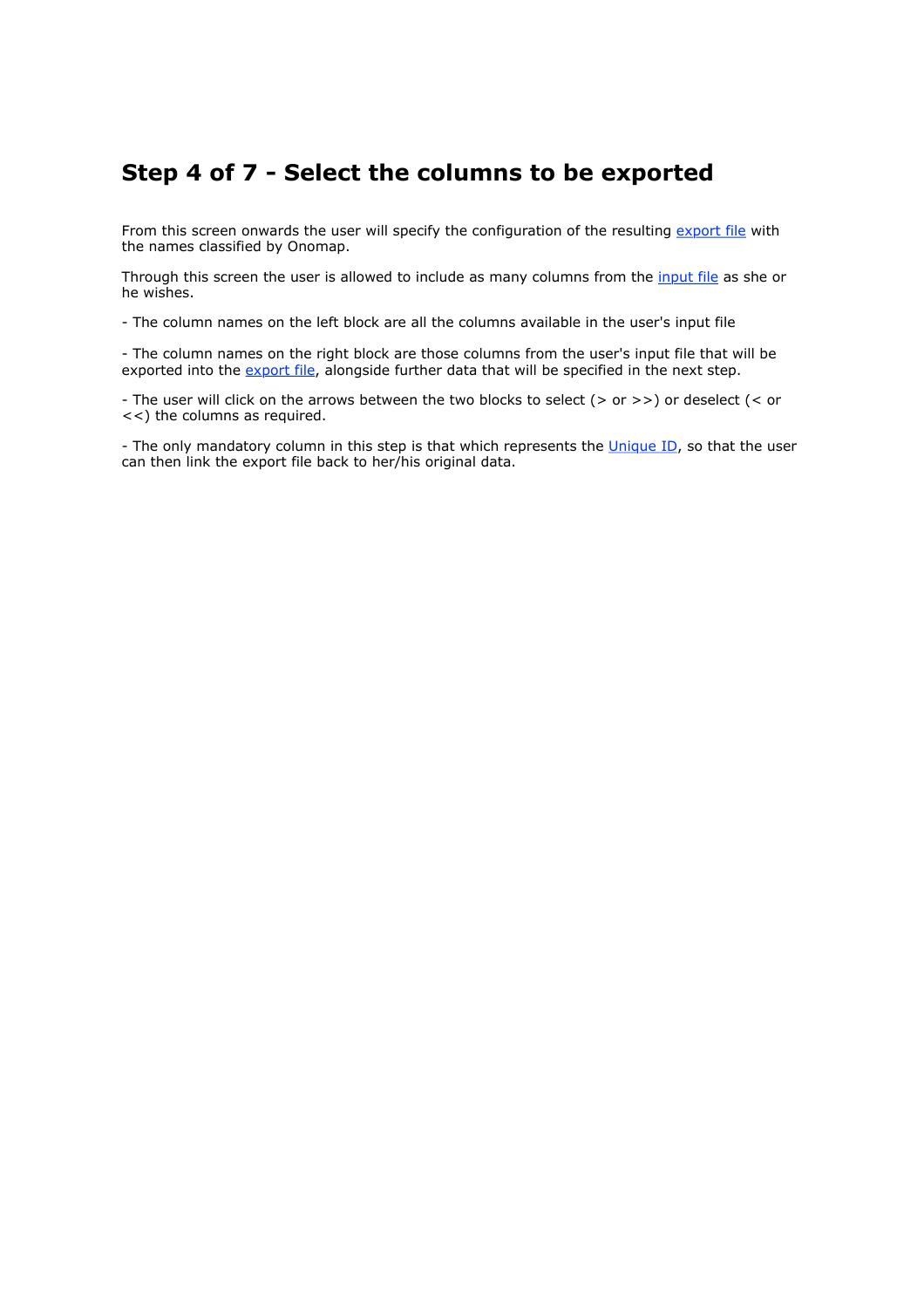### **Step 4 of 7 - Select the columns to be exported**

From this screen onwards the user will specify the configuration of the resulting export file with the names classified by Onomap.

Through this screen the user is allowed to include as many columns from the *input file* as she or he wishes.

- The column names on the left block are all the columns available in the user's input file

- The column names on the right block are those columns from the user's input file that will be exported into the export file, alongside further data that will be specified in the next step.

- The user will click on the arrows between the two blocks to select (> or >>) or deselect (< or <<) the columns as required.

- The only mandatory column in this step is that which represents the Unique ID, so that the user can then link the export file back to her/his original data.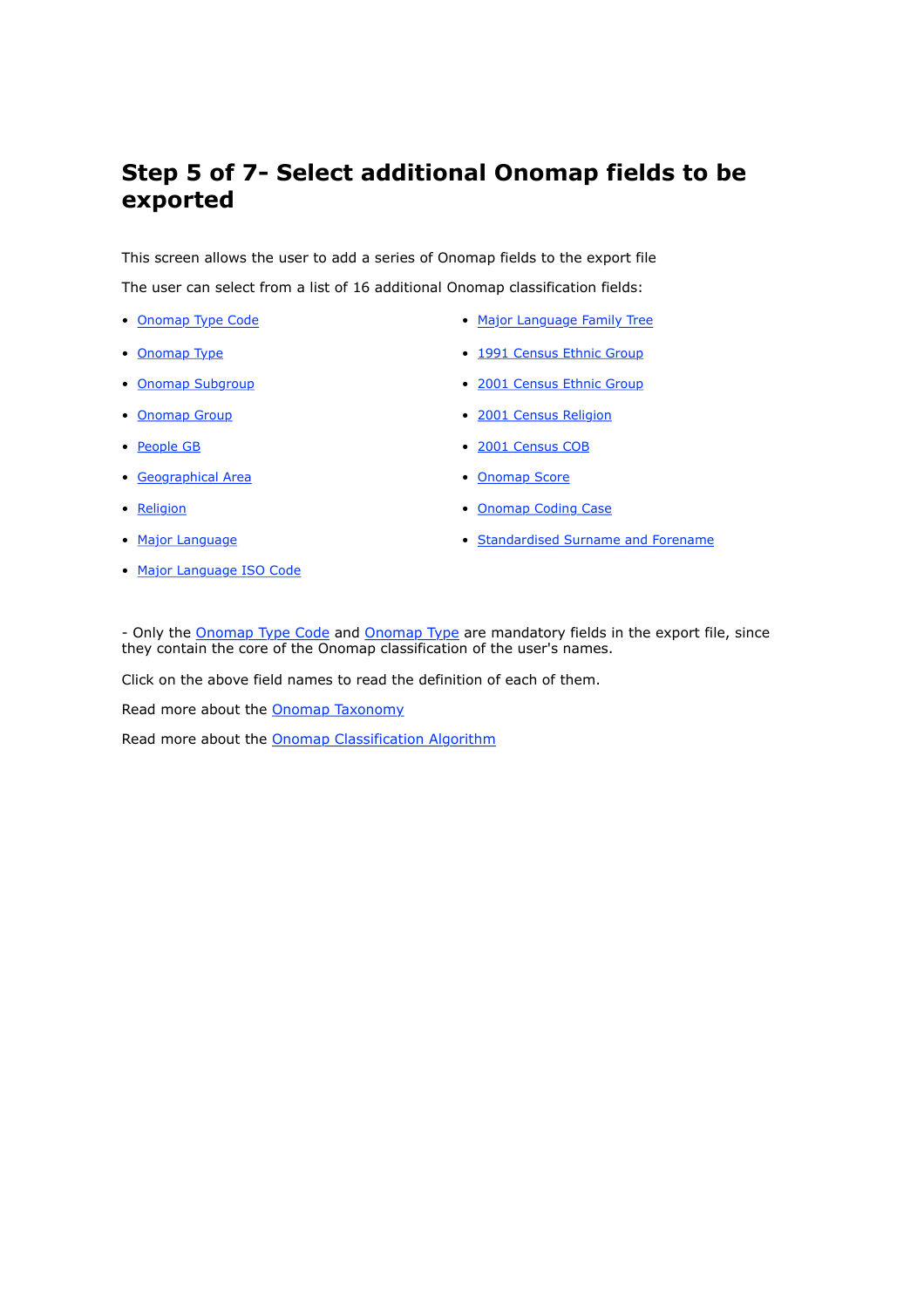### **Step 5 of 7- Select additional Onomap fields to be exported**

This screen allows the user to add a series of Onomap fields to the export file The user can select from a list of 16 additional Onomap classification fields:

- 
- 
- 
- 
- 
- Geographical Area  **Contact Area** Onomap Score
- 
- 
- Major Language ISO Code
- Onomap Type Code  **Constanting Type Code Major Language Family Tree**
- Onomap Type  **1991 Census Ethnic Group**
- Onomap Subgroup 2001 Census Ethnic Group
- Onomap Group  **2001 Census Religion**
- People GB 2001 Census COB
	-
- Religion Channel Coding Case
- Major Language  **Standardised Surname and Forename**

- Only the Onomap Type Code and Onomap Type are mandatory fields in the export file, since they contain the core of the Onomap classification of the user's names.

Click on the above field names to read the definition of each of them.

Read more about the Onomap Taxonomy

Read more about the Onomap Classification Algorithm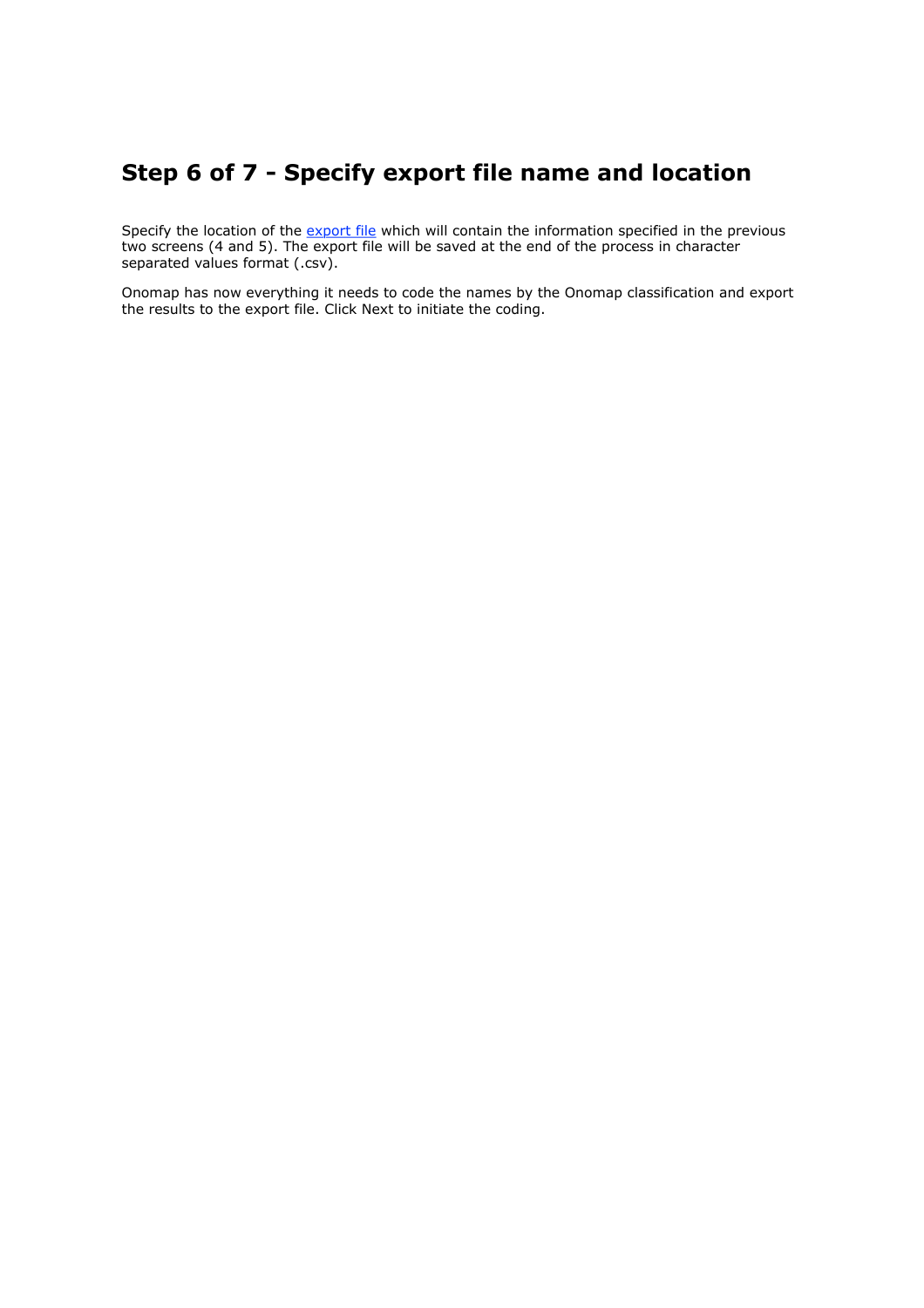### **Step 6 of 7 - Specify export file name and location**

Specify the location of the export file which will contain the information specified in the previous two screens (4 and 5). The export file will be saved at the end of the process in character separated values format (.csv).

Onomap has now everything it needs to code the names by the Onomap classification and export the results to the export file. Click Next to initiate the coding.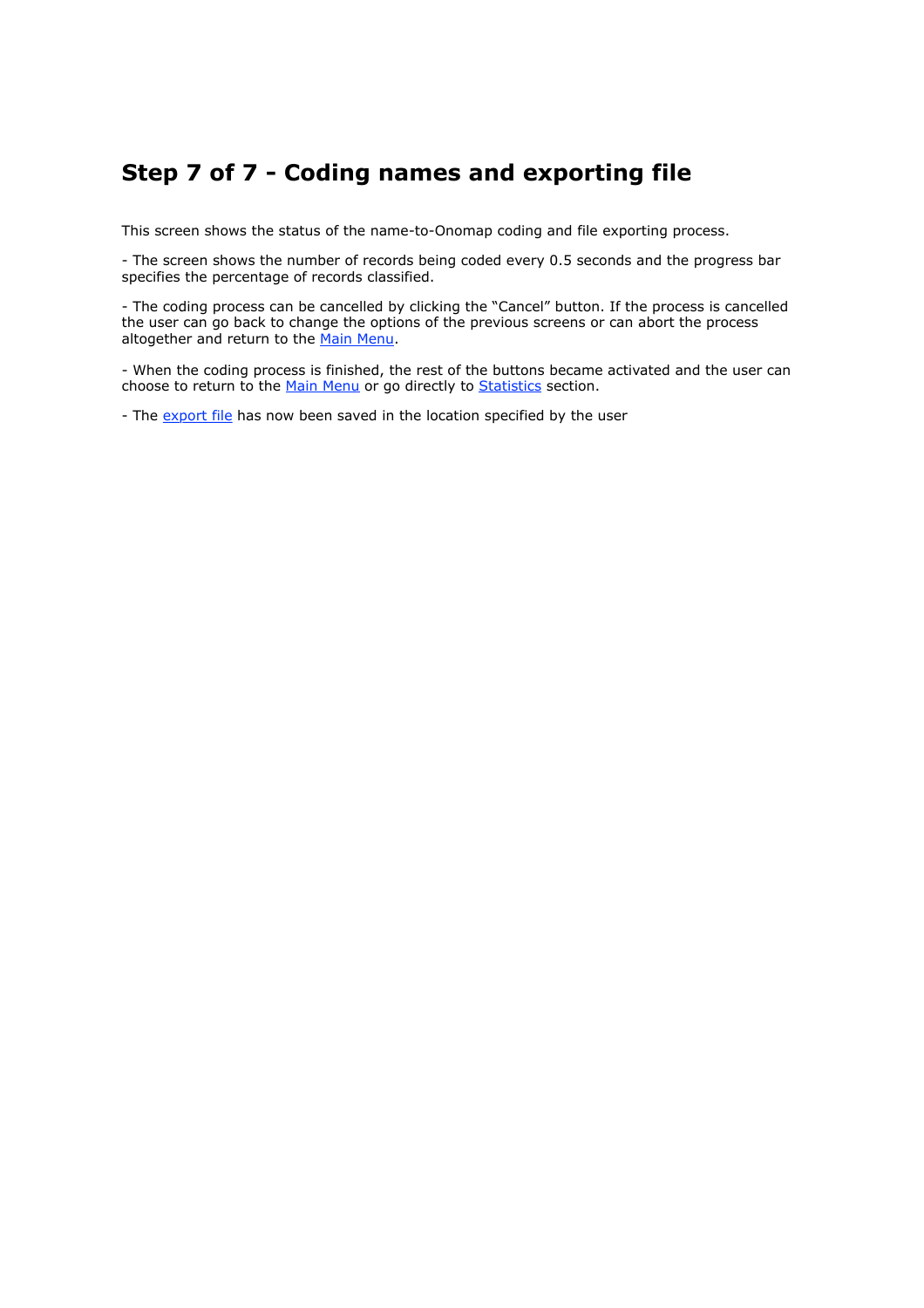### **Step 7 of 7 - Coding names and exporting file**

This screen shows the status of the name-to-Onomap coding and file exporting process.

- The screen shows the number of records being coded every 0.5 seconds and the progress bar specifies the percentage of records classified.

- The coding process can be cancelled by clicking the "Cancel" button. If the process is cancelled the user can go back to change the options of the previous screens or can abort the process altogether and return to the Main Menu.

- When the coding process is finished, the rest of the buttons became activated and the user can choose to return to the Main Menu or go directly to Statistics section.

- The export file has now been saved in the location specified by the user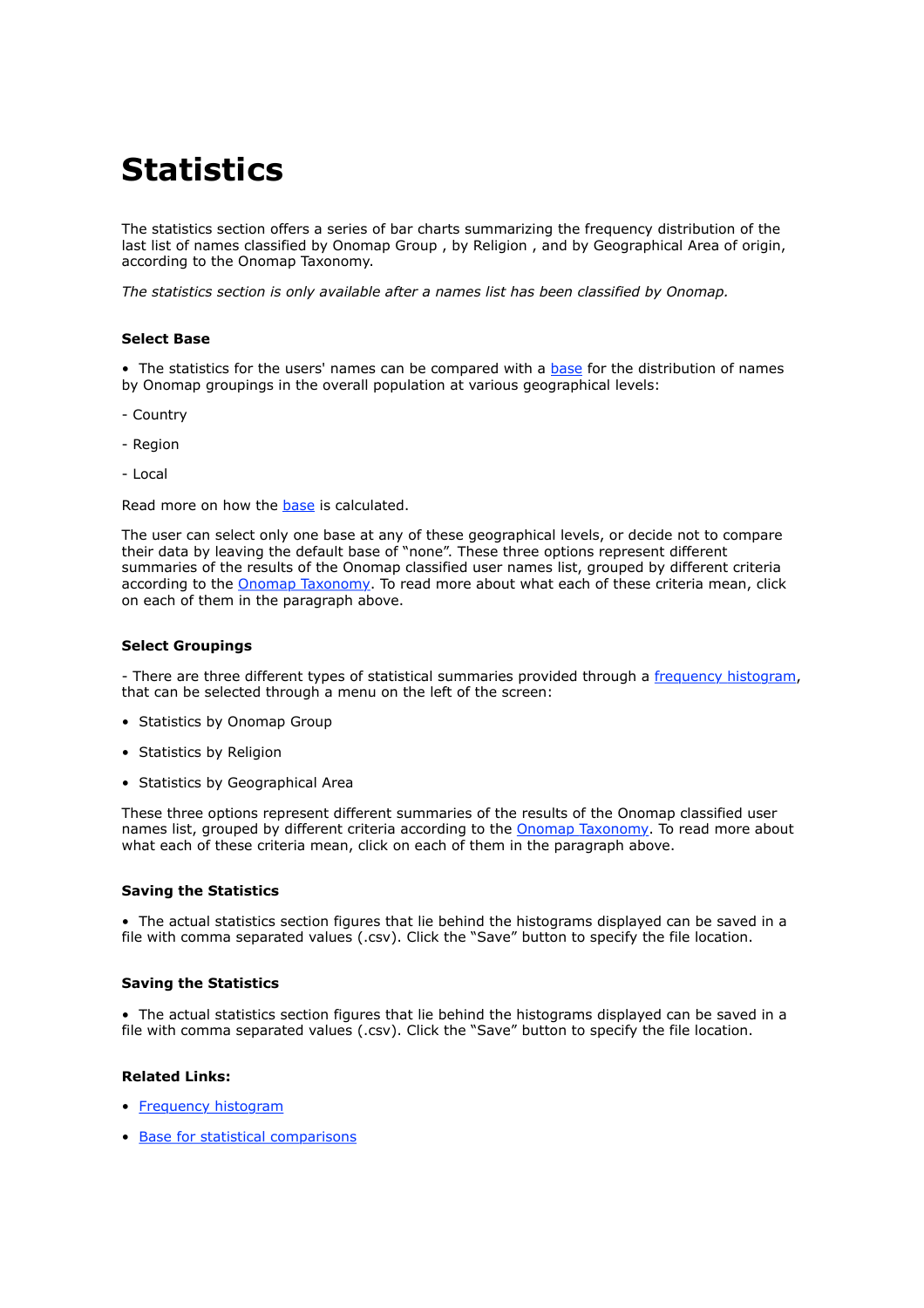# **Statistics**

The statistics section offers a series of bar charts summarizing the frequency distribution of the last list of names classified by Onomap Group , by Religion , and by Geographical Area of origin, according to the Onomap Taxonomy.

*The statistics section is only available after a names list has been classified by Onomap.*

#### **Select Base**

• The statistics for the users' names can be compared with a base for the distribution of names by Onomap groupings in the overall population at various geographical levels:

- Country
- Region
- Local

Read more on how the base is calculated.

The user can select only one base at any of these geographical levels, or decide not to compare their data by leaving the default base of "none". These three options represent different summaries of the results of the Onomap classified user names list, grouped by different criteria according to the Onomap Taxonomy. To read more about what each of these criteria mean, click on each of them in the paragraph above.

#### **Select Groupings**

- There are three different types of statistical summaries provided through a frequency histogram, that can be selected through a menu on the left of the screen:

- Statistics by Onomap Group
- Statistics by Religion
- Statistics by Geographical Area

These three options represent different summaries of the results of the Onomap classified user names list, grouped by different criteria according to the Onomap Taxonomy. To read more about what each of these criteria mean, click on each of them in the paragraph above.

#### **Saving the Statistics**

• The actual statistics section figures that lie behind the histograms displayed can be saved in a file with comma separated values (.csv). Click the "Save" button to specify the file location.

#### **Saving the Statistics**

• The actual statistics section figures that lie behind the histograms displayed can be saved in a file with comma separated values (.csv). Click the "Save" button to specify the file location.

#### **Related Links:**

- Frequency histogram
- Base for statistical comparisons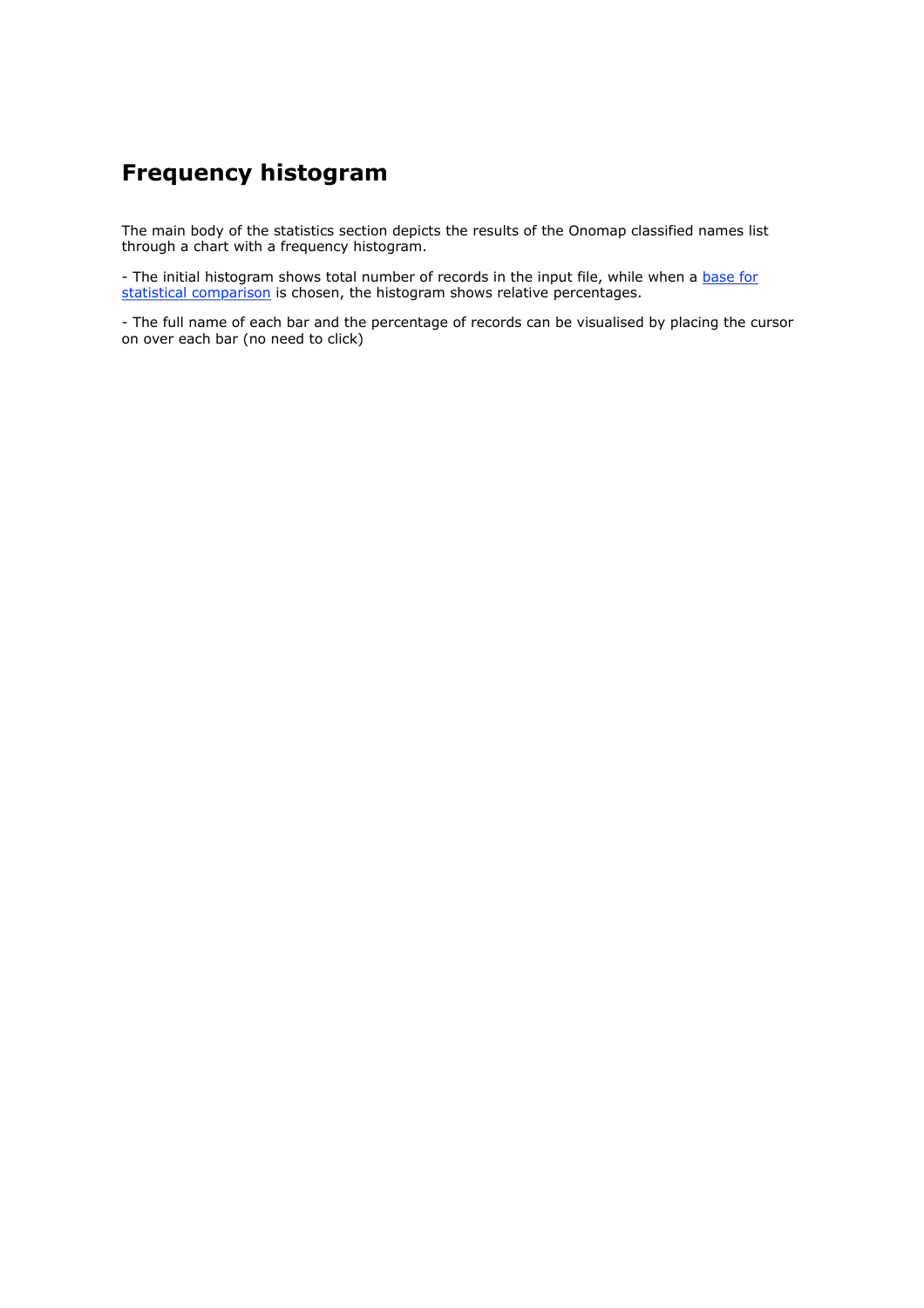### **Frequency histogram**

The main body of the statistics section depicts the results of the Onomap classified names list through a chart with a frequency histogram.

- The initial histogram shows total number of records in the input file, while when a base for statistical comparison is chosen, the histogram shows relative percentages.

- The full name of each bar and the percentage of records can be visualised by placing the cursor on over each bar (no need to click)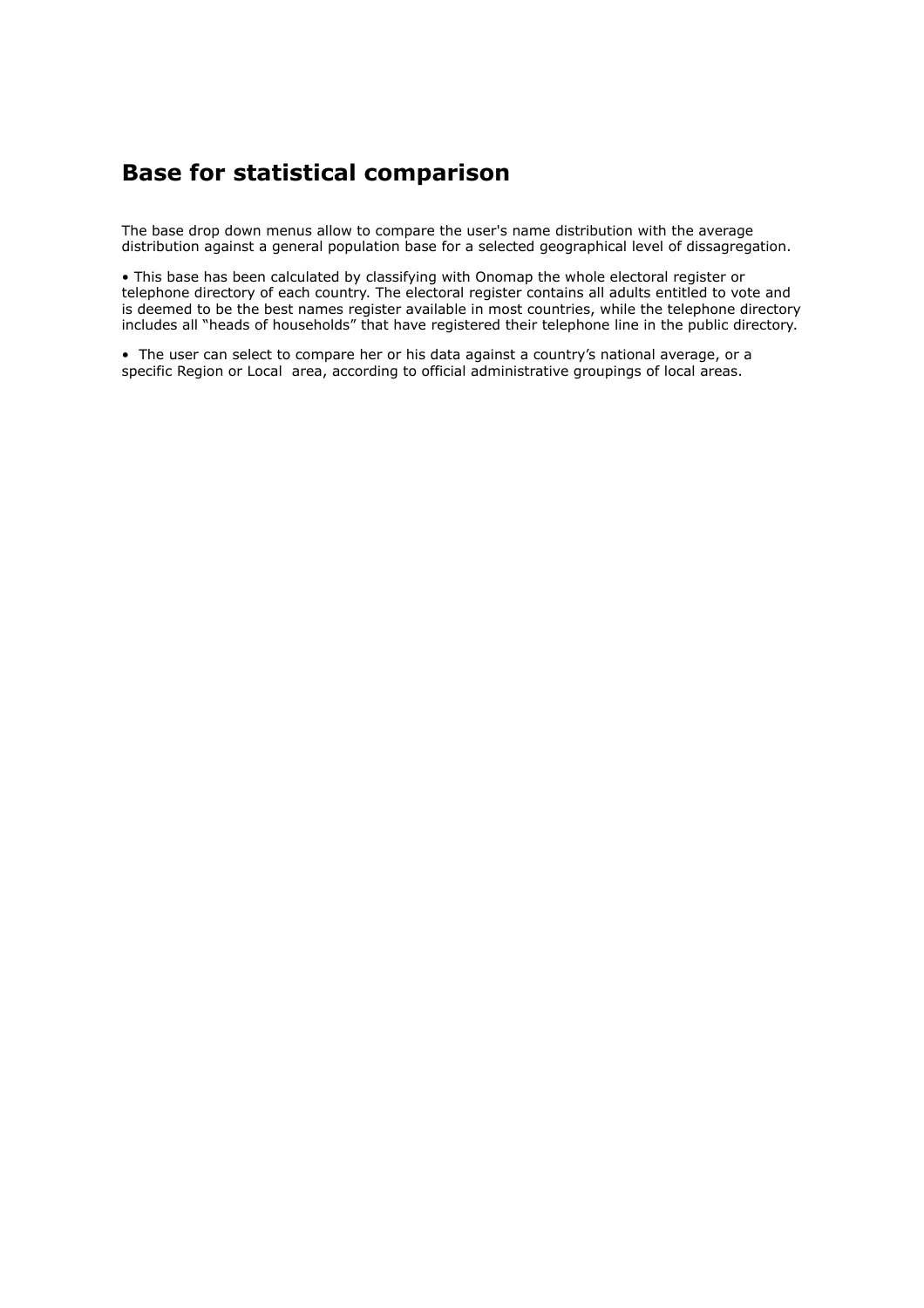### **Base for statistical comparison**

The base drop down menus allow to compare the user's name distribution with the average distribution against a general population base for a selected geographical level of dissagregation.

• This base has been calculated by classifying with Onomap the whole electoral register or telephone directory of each country. The electoral register contains all adults entitled to vote and is deemed to be the best names register available in most countries, while the telephone directory includes all "heads of households" that have registered their telephone line in the public directory.

• The user can select to compare her or his data against a country's national average, or a specific Region or Local area, according to official administrative groupings of local areas.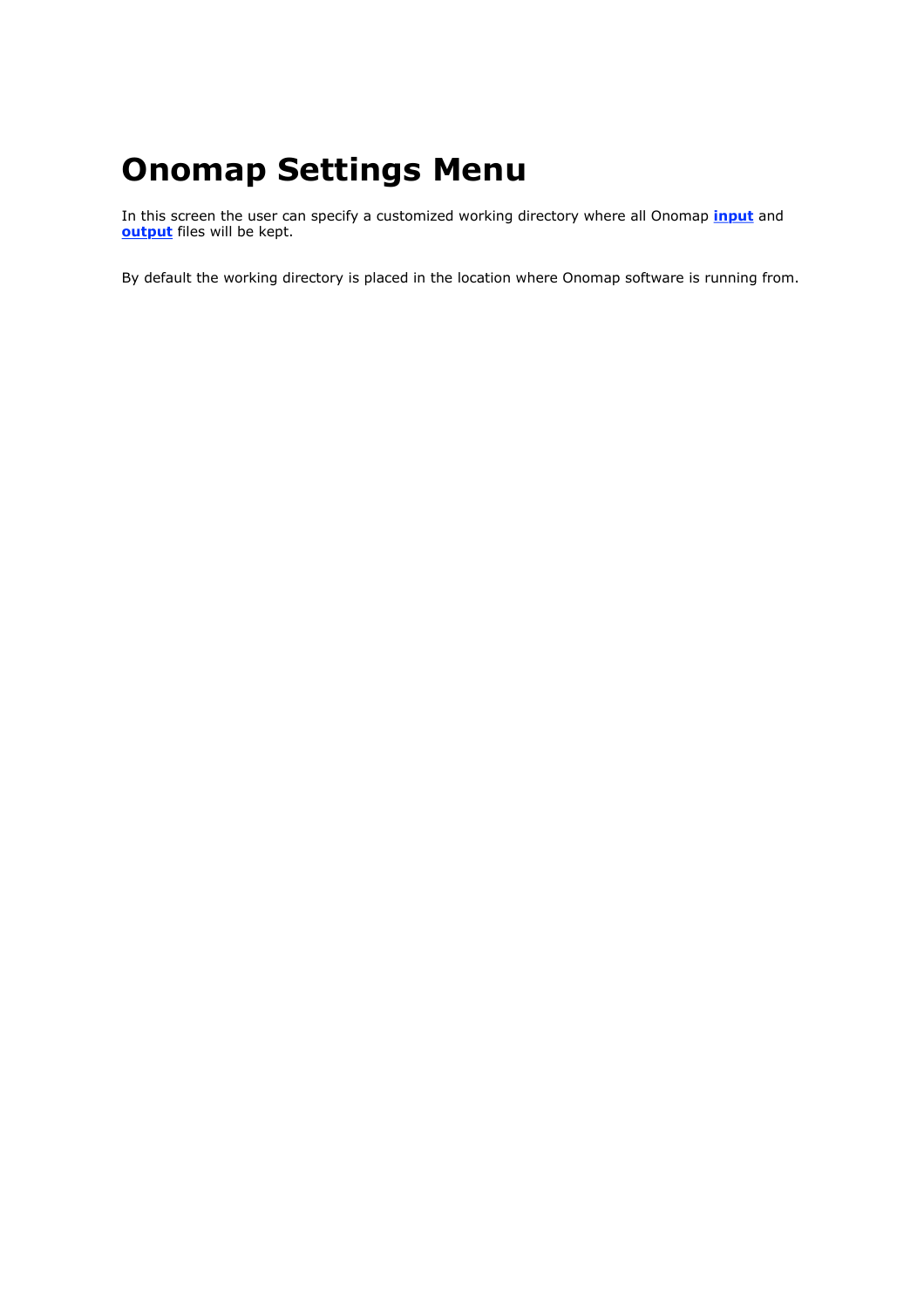# **Onomap Settings Menu**

In this screen the user can specify a customized working directory where all Onomap **input** and **output** files will be kept.

By default the working directory is placed in the location where Onomap software is running from.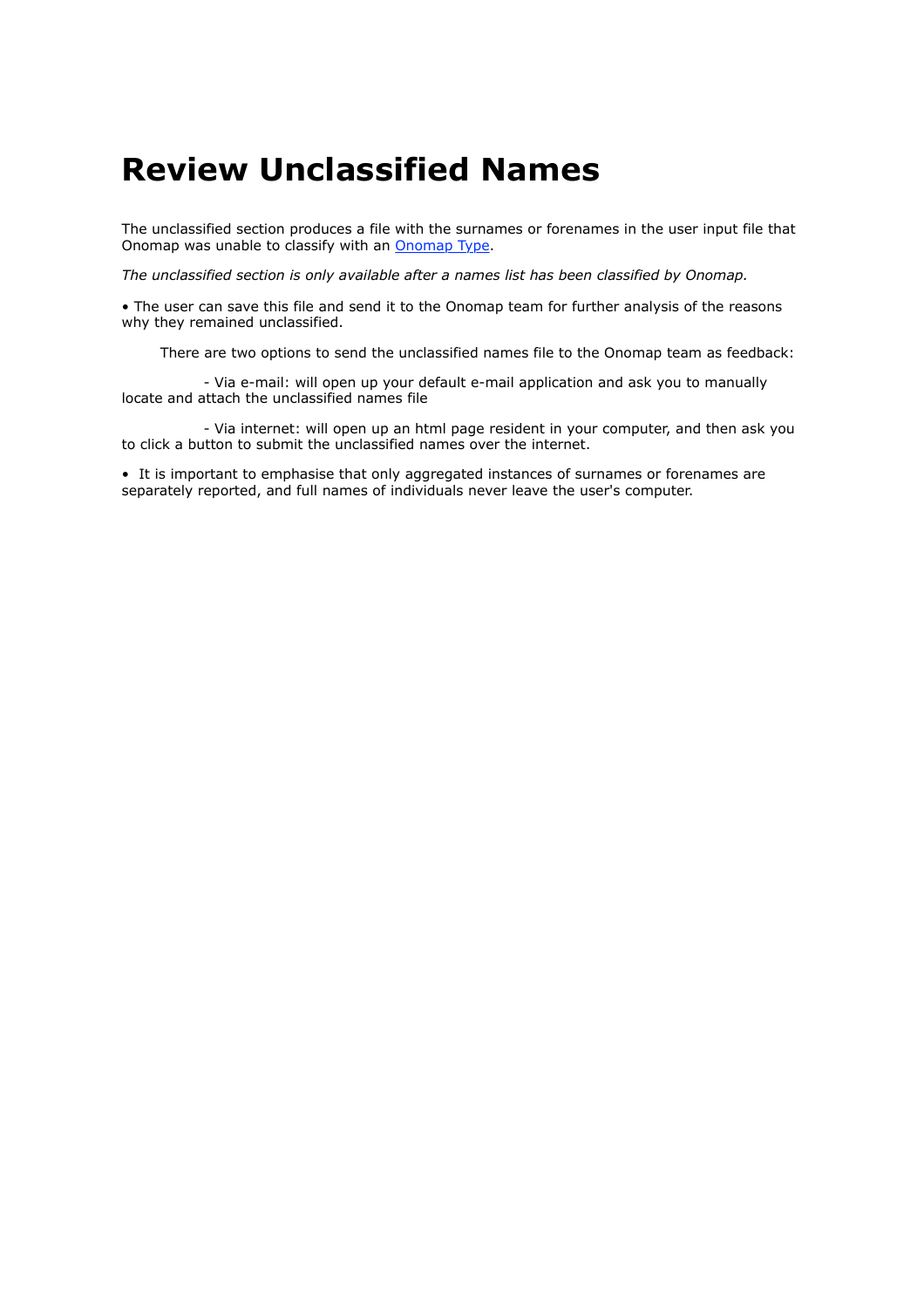## **Review Unclassified Names**

The unclassified section produces a file with the surnames or forenames in the user input file that Onomap was unable to classify with an Onomap Type.

*The unclassified section is only available after a names list has been classified by Onomap.*

• The user can save this file and send it to the Onomap team for further analysis of the reasons why they remained unclassified.

There are two options to send the unclassified names file to the Onomap team as feedback:

 - Via e-mail: will open up your default e-mail application and ask you to manually locate and attach the unclassified names file

 - Via internet: will open up an html page resident in your computer, and then ask you to click a button to submit the unclassified names over the internet.

• It is important to emphasise that only aggregated instances of surnames or forenames are separately reported, and full names of individuals never leave the user's computer.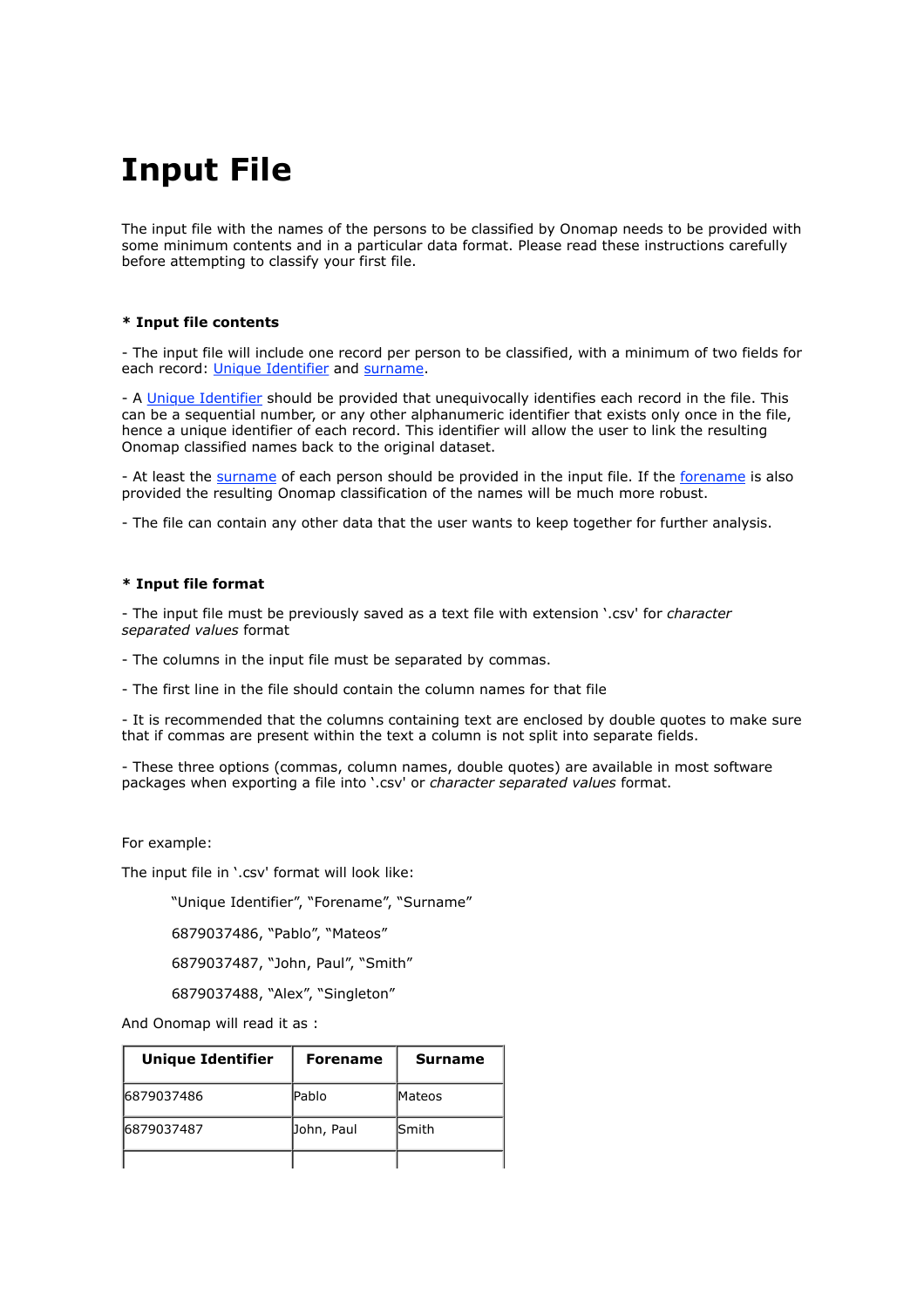# **Input File**

The input file with the names of the persons to be classified by Onomap needs to be provided with some minimum contents and in a particular data format. Please read these instructions carefully before attempting to classify your first file.

#### **\* Input file contents**

- The input file will include one record per person to be classified, with a minimum of two fields for each record: Unique Identifier and surname.

- A Unique Identifier should be provided that unequivocally identifies each record in the file. This can be a sequential number, or any other alphanumeric identifier that exists only once in the file, hence a unique identifier of each record. This identifier will allow the user to link the resulting Onomap classified names back to the original dataset.

- At least the surname of each person should be provided in the input file. If the forename is also provided the resulting Onomap classification of the names will be much more robust.

- The file can contain any other data that the user wants to keep together for further analysis.

#### **\* Input file format**

- The input file must be previously saved as a text file with extension '.csv' for *character separated values* format

- The columns in the input file must be separated by commas.

- The first line in the file should contain the column names for that file

- It is recommended that the columns containing text are enclosed by double quotes to make sure that if commas are present within the text a column is not split into separate fields.

- These three options (commas, column names, double quotes) are available in most software packages when exporting a file into '.csv' or *character separated values* format.

For example:

The input file in '.csv' format will look like:

"Unique Identifier", "Forename", "Surname"

6879037486, "Pablo", "Mateos"

6879037487, "John, Paul", "Smith"

6879037488, "Alex", "Singleton"

And Onomap will read it as :

| Unique Identifier | <b>Forename</b> | <b>Surname</b> |
|-------------------|-----------------|----------------|
| 6879037486        | <b>Pablo</b>    | <b>Mateos</b>  |
| 6879037487        | Dohn, Paul      | <b>Smith</b>   |
|                   |                 |                |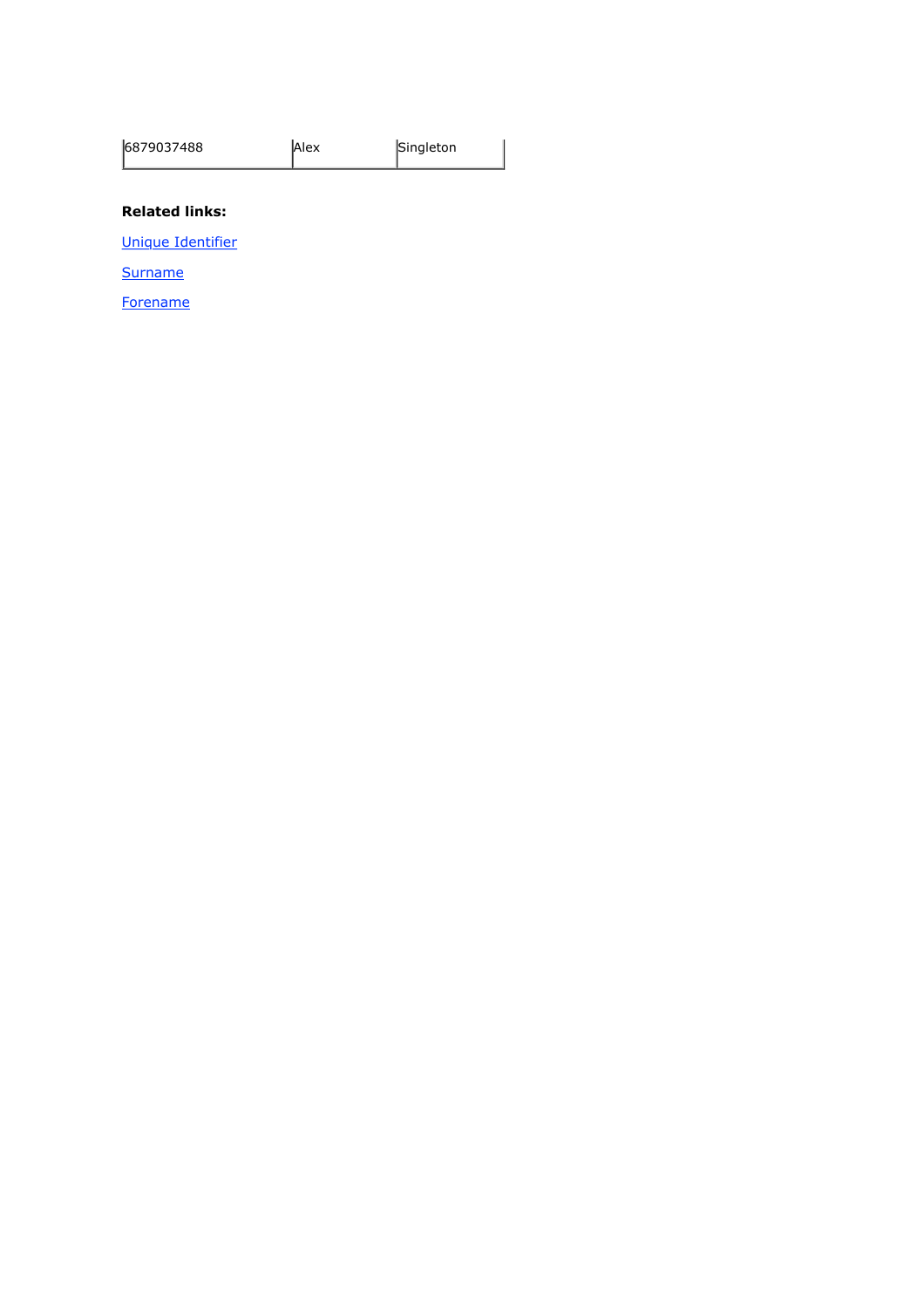| 6879037488 | <b>Alex</b> | Singleton |
|------------|-------------|-----------|
|------------|-------------|-----------|

#### **Related links:**

Unique Identifier

**Surname** 

**Forename**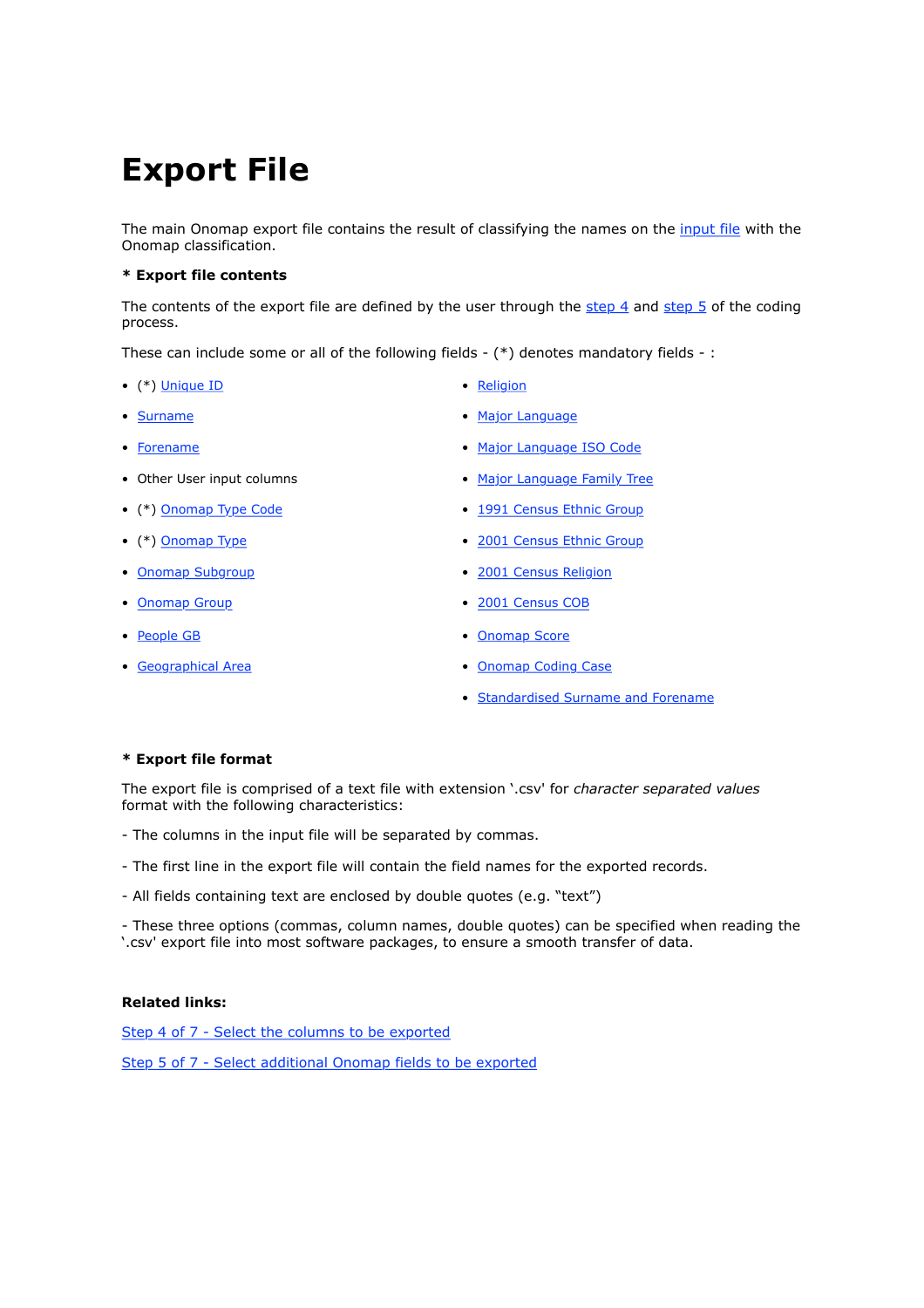# **Export File**

The main Onomap export file contains the result of classifying the names on the input file with the Onomap classification.

#### **\* Export file contents**

The contents of the export file are defined by the user through the step 4 and step 5 of the coding process.

These can include some or all of the following fields -  $(*)$  denotes mandatory fields -:

- (\*) <u>Unique ID</u> <u>Religion</u>
- 
- 
- 
- 
- 
- 
- 
- 
- 
- 
- Surname Major Language
- Forename Major Language ISO Code
- Other User input columns Major Language Family Tree
- (\*) Onomap Type Code 1991 Census Ethnic Group
- (\*) Onomap Type 2001 Census Ethnic Group
- Onomap Subgroup 2001 Census Religion
- Onomap Group  **2001 Census COB**
- People GB Channel Contract Contract Contract Contract Contract Contract Contract Contract Contract Contract Contract Contract Contract Contract Contract Contract Contract Contract Contract Contract Contract Contract Co
- Geographical Area Onomap Coding Case
	- Standardised Surname and Forename

#### **\* Export file format**

The export file is comprised of a text file with extension '.csv' for *character separated values* format with the following characteristics:

- The columns in the input file will be separated by commas.
- The first line in the export file will contain the field names for the exported records.
- All fields containing text are enclosed by double quotes (e.g. "text")

- These three options (commas, column names, double quotes) can be specified when reading the '.csv' export file into most software packages, to ensure a smooth transfer of data.

#### **Related links:**

Step 4 of 7 - Select the columns to be exported

Step 5 of 7 - Select additional Onomap fields to be exported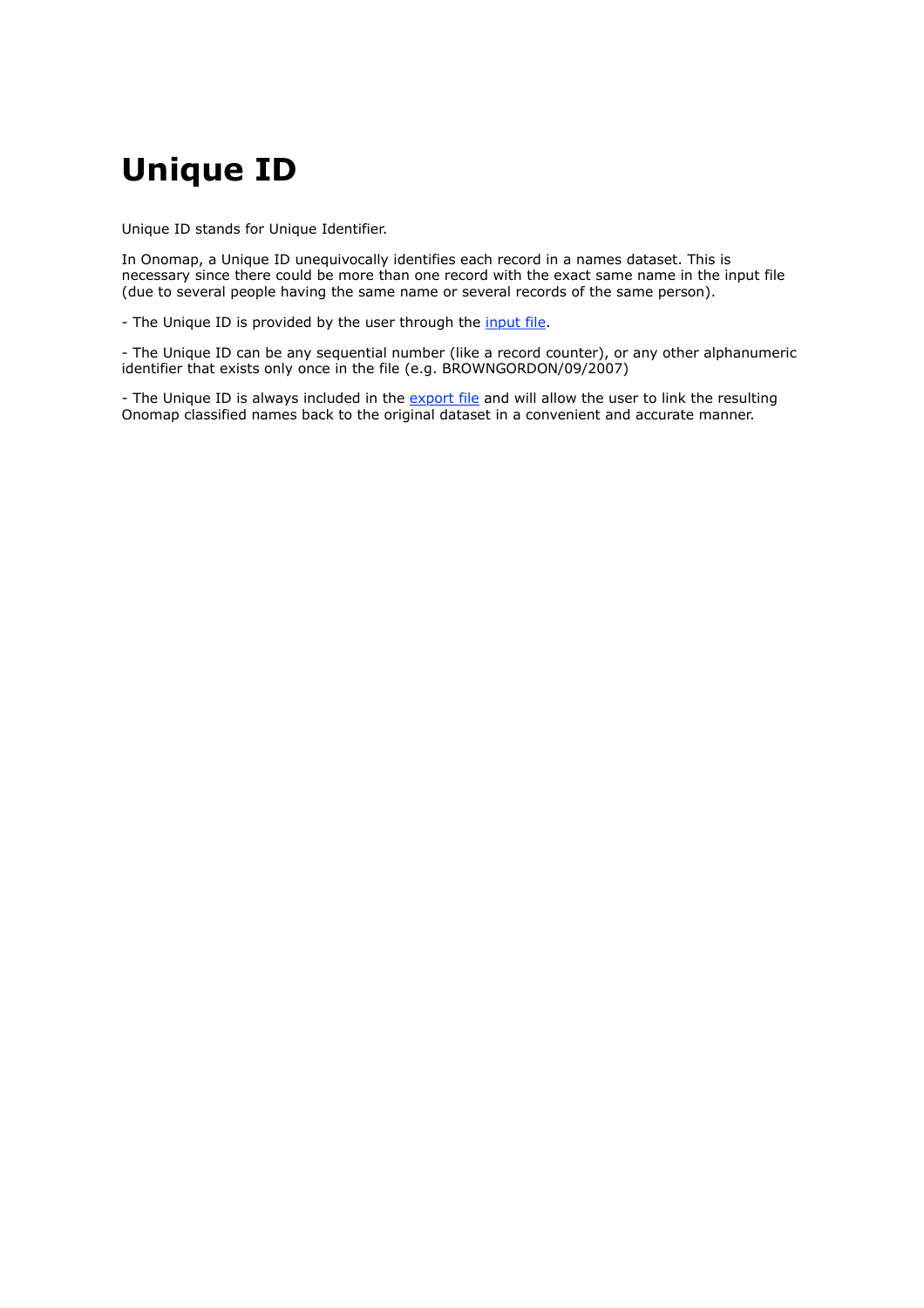# **Unique ID**

Unique ID stands for Unique Identifier.

In Onomap, a Unique ID unequivocally identifies each record in a names dataset. This is necessary since there could be more than one record with the exact same name in the input file (due to several people having the same name or several records of the same person).

- The Unique ID is provided by the user through the *input file*.

- The Unique ID can be any sequential number (like a record counter), or any other alphanumeric identifier that exists only once in the file (e.g. BROWNGORDON/09/2007)

- The Unique ID is always included in the export file and will allow the user to link the resulting Onomap classified names back to the original dataset in a convenient and accurate manner.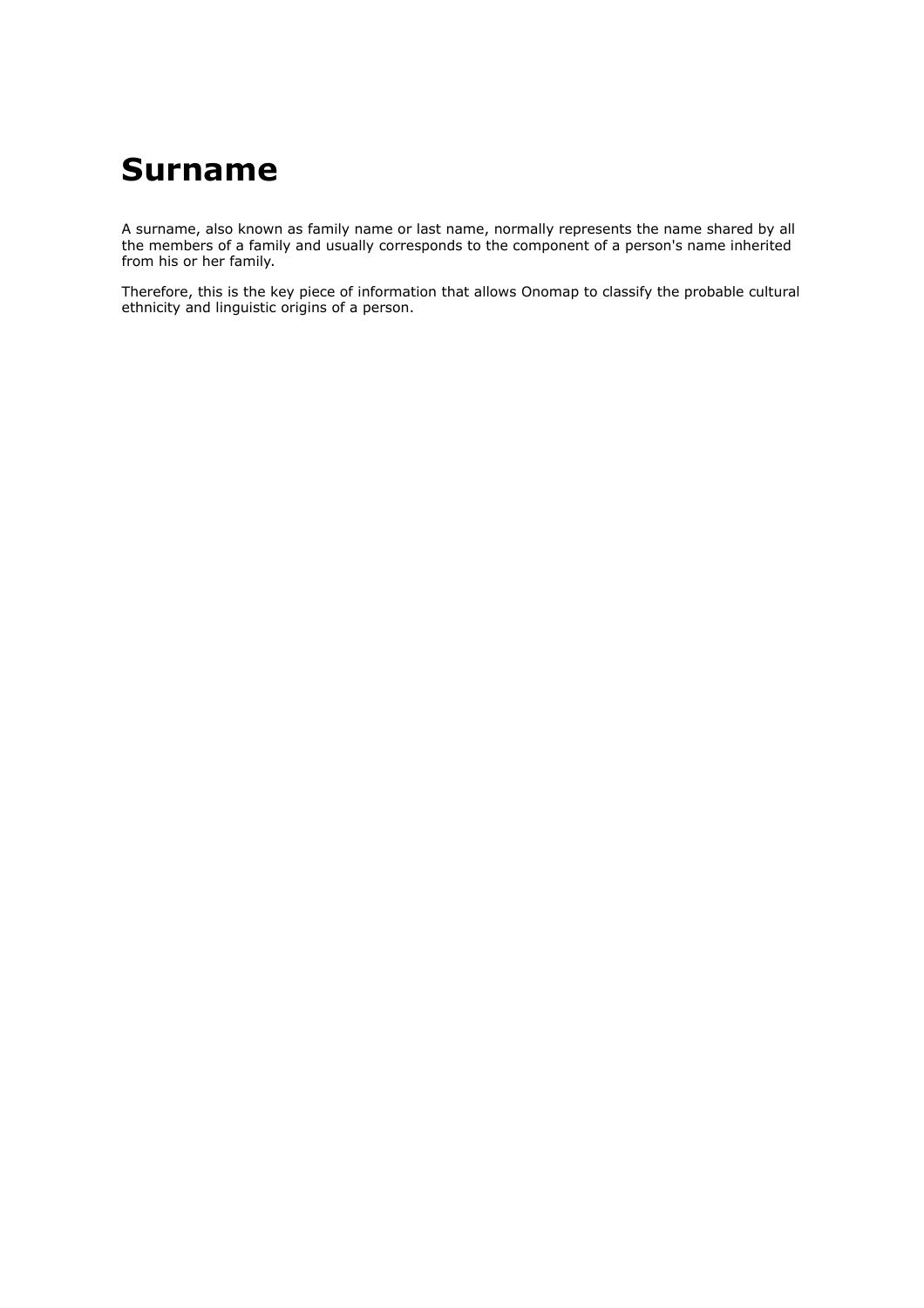## **Surname**

A surname, also known as family name or last name, normally represents the name shared by all the members of a family and usually corresponds to the component of a person's name inherited from his or her family.

Therefore, this is the key piece of information that allows Onomap to classify the probable cultural ethnicity and linguistic origins of a person.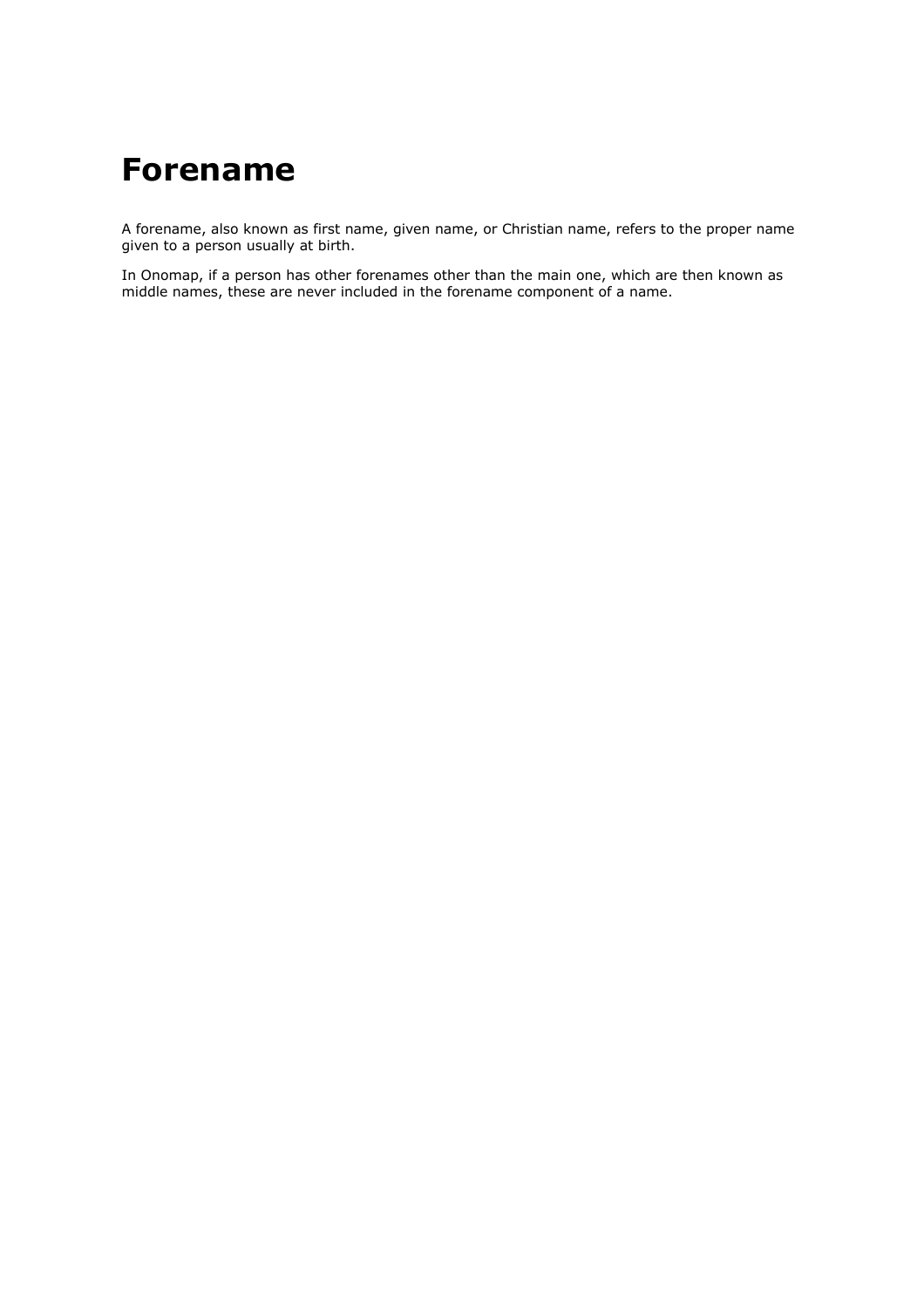# **Forename**

A forename, also known as first name, given name, or Christian name, refers to the proper name given to a person usually at birth.

In Onomap, if a person has other forenames other than the main one, which are then known as middle names, these are never included in the forename component of a name.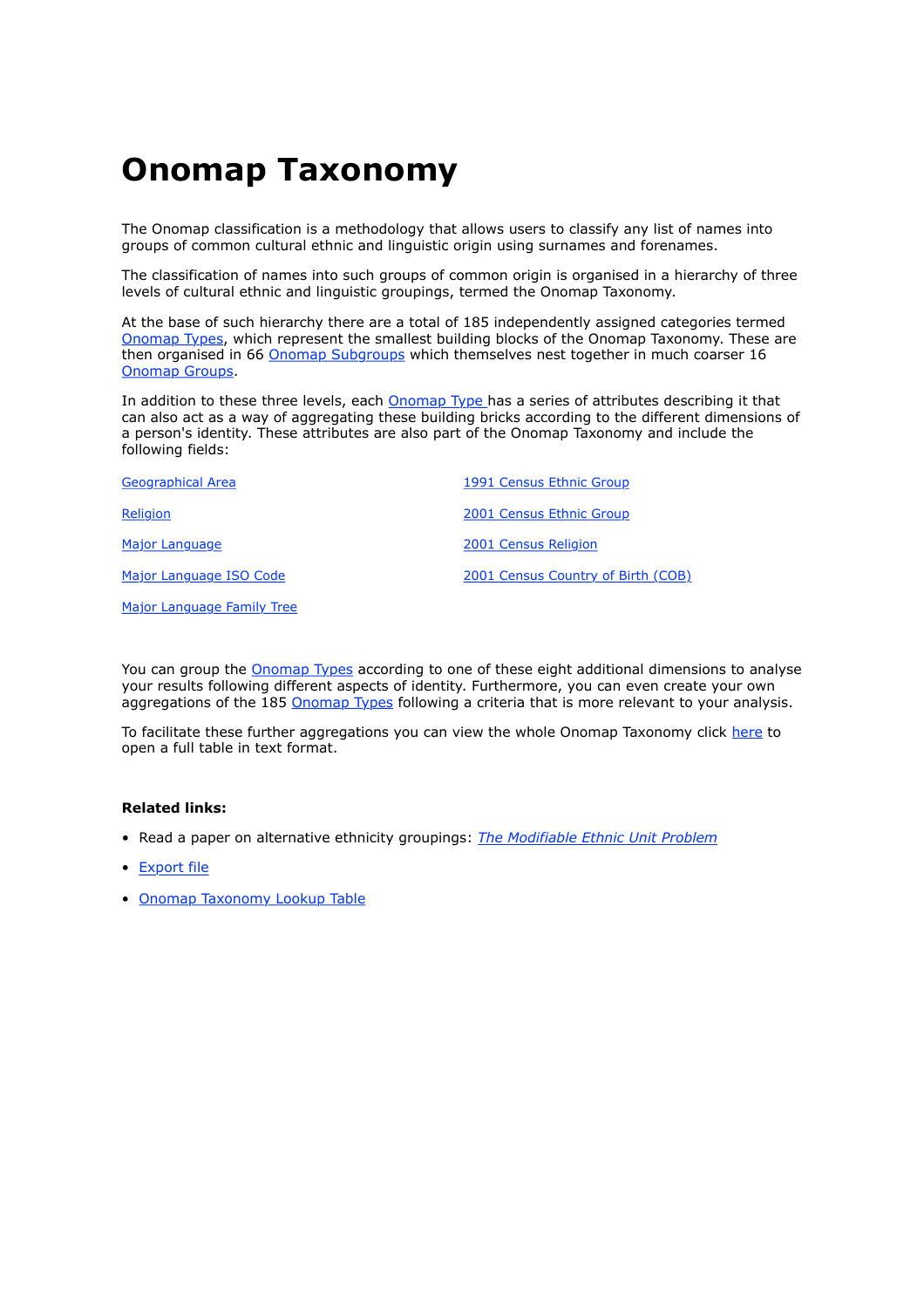# **Onomap Taxonomy**

The Onomap classification is a methodology that allows users to classify any list of names into groups of common cultural ethnic and linguistic origin using surnames and forenames.

The classification of names into such groups of common origin is organised in a hierarchy of three levels of cultural ethnic and linguistic groupings, termed the Onomap Taxonomy.

At the base of such hierarchy there are a total of 185 independently assigned categories termed Onomap Types, which represent the smallest building blocks of the Onomap Taxonomy. These are then organised in 66 Onomap Subgroups which themselves nest together in much coarser 16 Onomap Groups.

In addition to these three levels, each Onomap Type has a series of attributes describing it that can also act as a way of aggregating these building bricks according to the different dimensions of a person's identity. These attributes are also part of the Onomap Taxonomy and include the following fields:

| Geographical Area          | 1991 Census Ethnic Group           |
|----------------------------|------------------------------------|
| Religion                   | 2001 Census Ethnic Group           |
| Major Language             | 2001 Census Religion               |
| Major Language ISO Code    | 2001 Census Country of Birth (COB) |
| Major Language Family Tree |                                    |

You can group the **Onomap Types** according to one of these eight additional dimensions to analyse your results following different aspects of identity. Furthermore, you can even create your own aggregations of the 185 Onomap Types following a criteria that is more relevant to your analysis.

To facilitate these further aggregations you can view the whole Onomap Taxonomy click here to open a full table in text format.

#### **Related links:**

- Read a paper on alternative ethnicity groupings: *The Modifiable Ethnic Unit Problem*
- Export file
- Onomap Taxonomy Lookup Table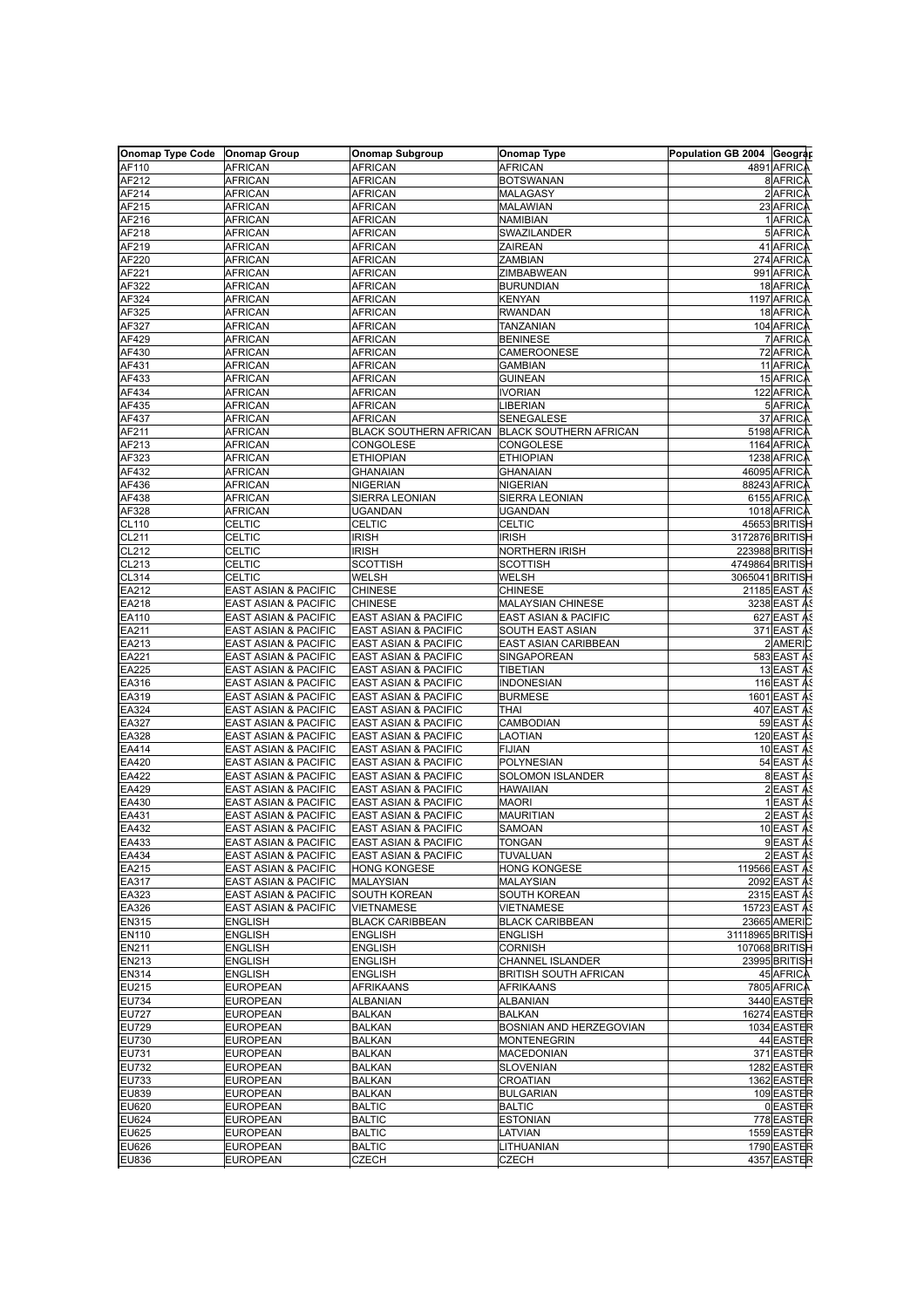| Onomap Type Code   Onomap Group |                                 | <b>Onomap Subgroup</b>                        | <b>Onomap Type</b>           | Population GB 2004 Geograp |                     |
|---------------------------------|---------------------------------|-----------------------------------------------|------------------------------|----------------------------|---------------------|
| AF110                           | <b>AFRICAN</b>                  | AFRICAN                                       | AFRICAN                      |                            | 4891 AFRICA         |
| AF212                           | <b>AFRICAN</b>                  | AFRICAN                                       | <b>BOTSWANAN</b>             |                            | 8 AFRICA            |
| AF214                           | <b>AFRICAN</b>                  | AFRICAN                                       | MALAGASY                     |                            | 2 AFRICA            |
| AF215                           | <b>AFRICAN</b>                  |                                               |                              |                            | 23 AFRICA           |
|                                 |                                 | AFRICAN                                       | MALAWIAN                     |                            |                     |
| AF216                           | <b>AFRICAN</b>                  | AFRICAN                                       | NAMIBIAN                     |                            | 1 AFRICA            |
| AF218                           | <b>AFRICAN</b>                  | AFRICAN                                       | SWAZILANDER                  |                            | 5 AFRICA            |
| AF219                           | <b>AFRICAN</b>                  | AFRICAN                                       | ZAIREAN                      |                            | 41 AFRICA           |
| AF220                           | <b>AFRICAN</b>                  | AFRICAN                                       | ZAMBIAN                      |                            | 274 AFRICA          |
| AF221                           | <b>AFRICAN</b>                  | AFRICAN                                       | ZIMBABWEAN                   |                            | 991 AFRICA          |
| AF322                           | AFRICAN                         | <b>AFRICAN</b>                                | <b>BURUNDIAN</b>             |                            | 18 AFRICA           |
| AF324                           | <b>AFRICAN</b>                  | AFRICAN                                       | KENYAN                       |                            | 1197 AFRICA         |
| AF325                           | <b>AFRICAN</b>                  | AFRICAN                                       | RWANDAN                      |                            | 18 AFRICA           |
| AF327                           | <b>AFRICAN</b>                  | AFRICAN                                       | TANZANIAN                    |                            | 104 AFRICA          |
| AF429                           | <b>AFRICAN</b>                  | <b>AFRICAN</b>                                | <b>BENINESE</b>              |                            | 7 AFRICA            |
| AF430                           | <b>AFRICAN</b>                  | <b>AFRICAN</b>                                | CAMEROONESE                  |                            | 72 AFRICA           |
|                                 |                                 |                                               |                              |                            |                     |
| AF431                           | <b>AFRICAN</b>                  | <b>AFRICAN</b>                                | GAMBIAN                      |                            | 11 AFRICA           |
| AF433                           | AFRICAN                         | AFRICAN                                       | GUINEAN                      |                            | 15 AFRICA           |
| AF434                           | <b>AFRICAN</b>                  | AFRICAN                                       | <b>IVORIAN</b>               |                            | 122 AFRICA          |
| AF435                           | <b>AFRICAN</b>                  | <b>AFRICAN</b>                                | <b>IBERIAN</b>               |                            | 5 AFRICA            |
| AF437                           | <b>AFRICAN</b>                  | AFRICAN                                       | SENEGALESE                   |                            | 37 AFRICA           |
| AF211                           | <b>AFRICAN</b>                  | BLACK SOUTHERN AFRICAN BLACK SOUTHERN AFRICAN |                              |                            | 5198 AFRICA         |
| AF213                           | <b>AFRICAN</b>                  | CONGOLESE                                     | CONGOLESE                    |                            | 1164 AFRICA         |
| AF323                           | <b>AFRICAN</b>                  | ETHIOPIAN                                     | <b>ETHIOPIAN</b>             |                            | 1238 AFRICA         |
| AF432                           | <b>AFRICAN</b>                  | GHANAIAN                                      | GHANAIAN                     |                            | 46095 AFRICA        |
|                                 |                                 |                                               |                              |                            |                     |
| AF436                           | <b>AFRICAN</b>                  | NIGERIAN                                      | <b>NIGERIAN</b>              |                            | 88243 AFRICA        |
| AF438                           | <b>AFRICAN</b>                  | SIERRA LEONIAN                                | SIERRA LEONIAN               |                            | 6155 AFRICA         |
| AF328                           | <b>AFRICAN</b>                  | UGANDAN                                       | UGANDAN                      |                            | 1018 AFRICA         |
| CL110                           | <b>CELTIC</b>                   | CELTIC                                        | CELTIC                       |                            | 45653 BRITISH       |
| <b>CL211</b>                    | <b>CELTIC</b>                   | <b>IRISH</b>                                  | IRISH                        | 3172876 BRITISH            |                     |
| CL212                           | <b>CELTIC</b>                   | <b>IRISH</b>                                  | NORTHERN IRISH               |                            | 223988 BRITISH      |
| CL213                           | <b>CELTIC</b>                   | <b>SCOTTISH</b>                               | SCOTTISH                     | 4749864 BRITISH            |                     |
| <b>CL314</b>                    | <b>CELTIC</b>                   | WELSH                                         | WELSH                        | 3065041 BRITISH            |                     |
| EA212                           | EAST ASIAN & PACIFIC            | <b>CHINESE</b>                                | <b>CHINESE</b>               |                            | 21185 EAST AS       |
| EA218                           | EAST ASIAN & PACIFIC            | <b>CHINESE</b>                                | MALAYSIAN CHINESE            |                            | 3238 EAST A         |
|                                 |                                 |                                               |                              |                            |                     |
| EA110                           | EAST ASIAN & PACIFIC            | EAST ASIAN & PACIFIC                          | EAST ASIAN & PACIFIC         |                            | 627 EAST A          |
| EA211                           | EAST ASIAN & PACIFIC            | EAST ASIAN & PACIFIC                          | SOUTH EAST ASIAN             |                            | 371 EAST AS         |
| EA213                           | EAST ASIAN & PACIFIC            | EAST ASIAN & PACIFIC                          | EAST ASIAN CARIBBEAN         |                            | 2 AMERIC            |
| EA221                           | <b>EAST ASIAN &amp; PACIFIC</b> | EAST ASIAN & PACIFIC                          | SINGAPOREAN                  |                            | <b>583 EAST AS</b>  |
| EA225                           | EAST ASIAN & PACIFIC            | EAST ASIAN & PACIFIC                          | TIBETIAN                     |                            | 13 EAST AS          |
| EA316                           | <b>EAST ASIAN &amp; PACIFIC</b> | EAST ASIAN & PACIFIC                          | <b>INDONESIAN</b>            |                            | 116 EAST AS         |
| EA319                           | EAST ASIAN & PACIFIC            | EAST ASIAN & PACIFIC                          | <b>BURMESE</b>               |                            | 1601 EAST AS        |
| EA324                           | <b>EAST ASIAN &amp; PACIFIC</b> | EAST ASIAN & PACIFIC                          | THAI                         |                            | 407 EAST A          |
| EA327                           | EAST ASIAN & PACIFIC            | EAST ASIAN & PACIFIC                          | CAMBODIAN                    |                            | 59 EAST AS          |
| EA328                           | EAST ASIAN & PACIFIC            | EAST ASIAN & PACIFIC                          | <b>LAOTIAN</b>               |                            | 120 EAST AS         |
| EA414                           | EAST ASIAN & PACIFIC            | EAST ASIAN & PACIFIC                          | <b>FIJIAN</b>                |                            | 10 EAST AS          |
|                                 |                                 |                                               |                              |                            |                     |
| EA420                           | <b>EAST ASIAN &amp; PACIFIC</b> | <b>EAST ASIAN &amp; PACIFIC</b>               | <b>POLYNESIAN</b>            |                            | 54 EAST AS          |
| EA422                           | EAST ASIAN & PACIFIC            | <b>EAST ASIAN &amp; PACIFIC</b>               | SOLOMON ISLANDER             |                            | 8 EAST A            |
| EA429                           | EAST ASIAN & PACIFIC            | EAST ASIAN & PACIFIC                          | HAWAIIAN                     |                            | 2 EAST AS           |
| EA430                           | EAST ASIAN & PACIFIC            | EAST ASIAN & PACIFIC                          | <b>MAORI</b>                 |                            | 1 EAST AS           |
| EA431                           | EAST ASIAN & PACIFIC            | EAST ASIAN & PACIFIC                          | <b>MAURITIAN</b>             |                            | 2 EAST AS           |
| EA432                           | EAST ASIAN & PACIFIC            | EAST ASIAN & PACIFIC                          | SAMOAN                       |                            | 10 EAST AS          |
| EA433                           | <b>EAST ASIAN &amp; PACIFIC</b> | <b>EAST ASIAN &amp; PACIFIC</b>               | <b>TONGAN</b>                |                            | 9 EAST AS           |
| EA434                           | <b>EAST ASIAN &amp; PACIFIC</b> | <b>EAST ASIAN &amp; PACIFIC</b>               | <b>TUVALUAN</b>              |                            | 2 EAST AS           |
| EA215                           | EAST ASIAN & PACIFIC            | <b>HONG KONGESE</b>                           | <b>HONG KONGESE</b>          |                            | 119566 EAST A       |
|                                 |                                 |                                               |                              |                            |                     |
| EA317                           | EAST ASIAN & PACIFIC            | MALAYSIAN                                     | <b>MALAYSIAN</b>             |                            | 2092 EAST AS        |
| EA323                           | <b>EAST ASIAN &amp; PACIFIC</b> | SOUTH KOREAN                                  | SOUTH KOREAN                 |                            | <b>2315 EAST AS</b> |
| EA326                           | EAST ASIAN & PACIFIC            | <b>VIETNAMESE</b>                             | VIETNAMESE                   |                            | 15723 EAST AS       |
| EN315                           | <b>ENGLISH</b>                  | <b>BLACK CARIBBEAN</b>                        | <b>BLACK CARIBBEAN</b>       |                            | 23665 AMERIC        |
| EN110                           | <b>ENGLISH</b>                  | ENGLISH                                       | ENGLISH                      | 31118965 BRITISH           |                     |
| EN211                           | <b>ENGLISH</b>                  | ENGLISH                                       | <b>CORNISH</b>               |                            | 107068 BRITISH      |
| EN213                           | <b>ENGLISH</b>                  | ENGLISH                                       | CHANNEL ISLANDER             |                            | 23995 BRITISH       |
| EN314                           | <b>ENGLISH</b>                  | <b>ENGLISH</b>                                | <b>BRITISH SOUTH AFRICAN</b> |                            | 45 AFRICA           |
| EU215                           | <b>EUROPEAN</b>                 | AFRIKAANS                                     | AFRIKAANS                    |                            | 7805 AFRICA         |
|                                 |                                 |                                               |                              |                            |                     |
| EU734                           | <b>EUROPEAN</b>                 | <b>ALBANIAN</b>                               | <b>ALBANIAN</b>              |                            | 3440 EASTER         |
| EU727                           | <b>EUROPEAN</b>                 | <b>BALKAN</b>                                 | <b>BALKAN</b>                |                            | 16274 EASTER        |
| EU729                           | <b>EUROPEAN</b>                 | <b>BALKAN</b>                                 | BOSNIAN AND HERZEGOVIAN      |                            | 1034 EASTER         |
| EU730                           | <b>EUROPEAN</b>                 | BALKAN                                        | <b>MONTENEGRIN</b>           |                            | 44 EASTER           |
| EU731                           | <b>EUROPEAN</b>                 | BALKAN                                        | MACEDONIAN                   |                            | 371 EASTER          |
| EU732                           | <b>EUROPEAN</b>                 | BALKAN                                        | SLOVENIAN                    |                            | 1282 EASTER         |
| EU733                           | <b>EUROPEAN</b>                 | BALKAN                                        | CROATIAN                     |                            | 1362 EASTER         |
| EU839                           | <b>EUROPEAN</b>                 | <b>BALKAN</b>                                 | <b>BULGARIAN</b>             |                            | 109 EASTER          |
|                                 |                                 |                                               |                              |                            |                     |
| EU620                           | <b>EUROPEAN</b>                 | <b>BALTIC</b>                                 | <b>BALTIC</b>                |                            | <b>OEASTER</b>      |
| EU624                           | <b>EUROPEAN</b>                 | <b>BALTIC</b>                                 | ESTONIAN                     |                            | 778 EASTER          |
| EU625                           | <b>EUROPEAN</b>                 | <b>BALTIC</b>                                 | LATVIAN                      |                            | 1559 EASTER         |
| EU626                           | <b>EUROPEAN</b>                 | <b>BALTIC</b>                                 | LITHUANIAN                   |                            | 1790 EASTER         |
| EU836                           | <b>EUROPEAN</b>                 | CZECH                                         | CZECH                        |                            | 4357 EASTER         |
|                                 |                                 |                                               |                              |                            |                     |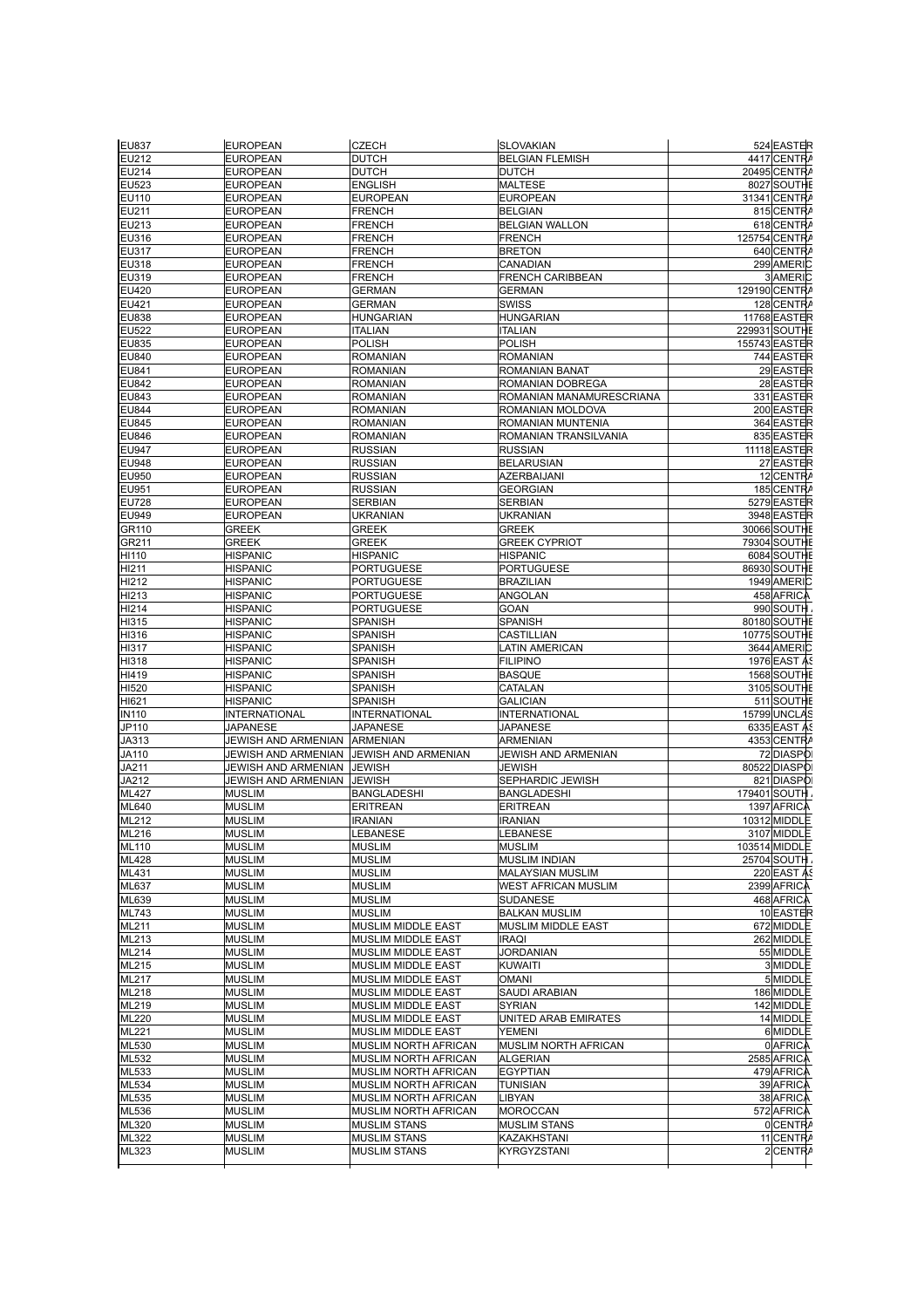| <b>EU837</b>     | <b>EUROPEAN</b>                           | <b>CZECH</b>                               | <b>SLOVAKIAN</b>           | 524 EASTER           |
|------------------|-------------------------------------------|--------------------------------------------|----------------------------|----------------------|
| EU212            | <b>EUROPEAN</b>                           | <b>DUTCH</b>                               | <b>BELGIAN FLEMISH</b>     | 4417 CENTRA          |
|                  |                                           |                                            |                            |                      |
| EU214            | <b>EUROPEAN</b>                           | <b>DUTCH</b>                               | <b>DUTCH</b>               | 20495 CENTRA         |
| $E$ U523         | <b>EUROPEAN</b>                           | ENGLISH                                    | <b>MALTESE</b>             | 8027 SOUTHE          |
| EU110            | <b>EUROPEAN</b>                           | <b>EUROPEAN</b>                            | <b>EUROPEAN</b>            | 31341 CENTRA         |
| EU211            | <b>EUROPEAN</b>                           | <b>FRENCH</b>                              | <b>BELGIAN</b>             | 815 CENTRA           |
| EU213            | <b>EUROPEAN</b>                           | FRENCH                                     | <b>BELGIAN WALLON</b>      | 618 CENTRA           |
| EU316            | <b>EUROPEAN</b>                           | <b>FRENCH</b>                              | FRENCH                     | 125754 CENTRA        |
| EU317            | <b>EUROPEAN</b>                           | FRENCH                                     | <b>BRETON</b>              | 640 CENTRA           |
| EU318            | EUROPEAN                                  | FRENCH                                     | CANADIAN                   | 299 AMERIC           |
| EU319            | <b>EUROPEAN</b>                           | FRENCH                                     | FRENCH CARIBBEAN           | 3 AMERIC             |
| EU420            | <b>EUROPEAN</b>                           | <b>GERMAN</b>                              | <b>GERMAN</b>              | 129190 CENTRA        |
| EU421            | <b>EUROPEAN</b>                           | <b>GERMAN</b>                              | SWISS                      | 128 CENTRA           |
| EU838            | <b>EUROPEAN</b>                           | HUNGARIAN                                  | HUNGARIAN                  | 11768 EASTER         |
| EU522            | <b>EUROPEAN</b>                           | <b>ITALIAN</b>                             | <b>TALIAN</b>              | <b>229931 SOUTHE</b> |
| EU835            | <b>EUROPEAN</b>                           | POLISH                                     | POLISH                     | <b>155743 EASTER</b> |
|                  |                                           | <b>ROMANIAN</b>                            |                            |                      |
| EU840            | <b>EUROPEAN</b>                           |                                            | ROMANIAN                   | 744 EASTER           |
| EU841            | <b>EUROPEAN</b>                           | <b>ROMANIAN</b>                            | ROMANIAN BANAT             | 29 EASTER            |
| EU842            | <b>EUROPEAN</b>                           | ROMANIAN                                   | ROMANIAN DOBREGA           | 28 EASTER            |
| EU843            | <b>EUROPEAN</b>                           | ROMANIAN                                   | ROMANIAN MANAMURESCRIANA   | 331 EASTER           |
| EU844            | <b>EUROPEAN</b>                           | <b>ROMANIAN</b>                            | ROMANIAN MOLDOVA           | 200 EASTER           |
| EU845            | <b>EUROPEAN</b>                           | ROMANIAN                                   | ROMANIAN MUNTENIA          | 364 EASTER           |
| EU846            | <b>EUROPEAN</b>                           | ROMANIAN                                   | ROMANIAN TRANSILVANIA      | 835 EASTER           |
| EU947            | <b>EUROPEAN</b>                           | <b>RUSSIAN</b>                             | <b>RUSSIAN</b>             | 11118 EASTER         |
| EU948            | <b>EUROPEAN</b>                           | <b>RUSSIAN</b>                             | <b>BELARUSIAN</b>          | 27 EASTER            |
| EU950            | <b>EUROPEAN</b>                           | <b>RUSSIAN</b>                             | <b>AZERBAIJANI</b>         | 12 CENTRA            |
| EU951            | <b>EUROPEAN</b>                           | <b>RUSSIAN</b>                             | GEORGIAN                   | 185 CENTRA           |
| EU728            | <b>EUROPEAN</b>                           | <b>SERBIAN</b>                             | <b>SERBIAN</b>             | 5279 EASTER          |
| EU949            | <b>EUROPEAN</b>                           | UKRANIAN                                   | UKRANIAN                   | 3948 EASTER          |
| GR110            | <b>GREEK</b>                              | <b>GREEK</b>                               | GREEK                      | 30066 SOUTHE         |
|                  | <b>GREEK</b>                              |                                            |                            |                      |
| GR211            |                                           | <b>GREEK</b>                               | <b>GREEK CYPRIOT</b>       | <b>79304 SOUTHE</b>  |
| HI110            | <b>HISPANIC</b>                           | <b>HISPANIC</b>                            | <b>HISPANIC</b>            | 6084 SOUTHE          |
| HI211            | HISPANIC                                  | <b>PORTUGUESE</b>                          | <b>PORTUGUESE</b>          | 86930 SOUTHE         |
| HI212            | HISPANIC                                  | PORTUGUESE                                 | <b>BRAZILIAN</b>           | 1949 AMERIC          |
| H213             | <b>HISPANIC</b>                           | PORTUGUESE                                 | ANGOLAN                    | 458 AFRICA           |
| HI214            | <b>HISPANIC</b>                           | <b>PORTUGUESE</b>                          | GOAN                       | 990 SOUTH            |
| HI315            | <b>HISPANIC</b>                           | SPANISH                                    | SPANISH                    | 80180 SOUTHE         |
| HI316            | <b>HISPANIC</b>                           | SPANISH                                    | CASTILLIAN                 | 10775 SOUTHE         |
| HI317            | <b>HISPANIC</b>                           | SPANISH                                    | <b>ATIN AMERICAN</b>       | 3644 AMERIC          |
| HI318            | <b>HISPANIC</b>                           | SPANISH                                    | <b>FILIPINO</b>            | <b>1976 EAST AS</b>  |
| HI419            | <b>HISPANIC</b>                           | <b>SPANISH</b>                             | <b>BASQUE</b>              | 1568 SOUTHE          |
| H <sub>520</sub> | <b>HISPANIC</b>                           | SPANISH                                    | CATALAN                    | 3105 SOUTHE          |
| HI621            | <b>HISPANIC</b>                           | <b>SPANISH</b>                             | <b>GALICIAN</b>            | 511 SOUTHE           |
| <b>IN110</b>     | <b>INTERNATIONAL</b>                      | <b>INTERNATIONAL</b>                       | INTERNATIONAL              | 15799 UNCLAS         |
|                  |                                           |                                            |                            |                      |
| JP110            | <b>JAPANESE</b>                           | <b>JAPANESE</b>                            | <b>JAPANESE</b>            | 6335 EAST AS         |
| JA313            | JEWISH AND ARMENIAN ARMENIAN              |                                            | ARMENIAN                   | 4353 CENTRA          |
| JA110            | JEWISH AND ARMENIAN   JEWISH AND ARMENIAN |                                            | <b>JEWISH AND ARMENIAN</b> | 72 DIASPOI           |
| JA211            | JEWISH AND ARMENIAN                       | <b>JEWISH</b>                              | JEWISH                     | 80522 DIASPO         |
| JA212            | JEWISH AND ARMENIAN                       | <b>JEWISH</b>                              | SEPHARDIC JEWISH           | 821 DIASPOI          |
| ML427            | <b>MUSLIM</b>                             | <b>BANGLADESHI</b>                         | <b>BANGLADESHI</b>         | 179401 SOUTH         |
| ML640            | <b>MUSLIM</b>                             | <b>ERITREAN</b>                            | <b>ERITREAN</b>            | 1397 AFRICA          |
| ML212            | <b>MUSLIM</b>                             | <b>IRANIAN</b>                             | <b>IRANIAN</b>             | 10312 MIDDLE         |
| ML216            | <b>MUSLIM</b>                             | <b>LEBANESE</b>                            | <b>LEBANESE</b>            | 3107 MIDDLE          |
| ML110            | <b>MUSLIM</b>                             | <b>MUSLIM</b>                              | <b>MUSLIM</b>              | 103514 MIDDLE        |
| ML428            | <b>MUSLIM</b>                             | <b>MUSLIM</b>                              | MUSLIM INDIAN              | 25704 SOUTH          |
| ML431            | <b>MUSLIM</b>                             | <b>MUSLIM</b>                              | MALAYSIAN MUSLIM           | 220 EAST AS          |
| ML637            | <b>MUSLIM</b>                             | <b>MUSLIM</b>                              | <b>WEST AFRICAN MUSLIM</b> | 2399 AFRICA          |
| ML639            | <b>MUSLIM</b>                             | <b>MUSLIM</b>                              | SUDANESE                   | 468 AFRICA           |
| ML743            | <b>MUSLIM</b>                             | <b>MUSLIM</b>                              | <b>BALKAN MUSLIM</b>       | 10 EASTER            |
|                  |                                           |                                            |                            |                      |
| ML211            | <b>MUSLIM</b>                             | MUSLIM MIDDLE EAST                         | MUSLIM MIDDLE EAST         | 672 MIDDLE           |
| ML213            | <b>MUSLIM</b>                             | MUSLIM MIDDLE EAST                         | <b>IRAQI</b>               | 262 MIDDLE           |
| ML214            | <b>MUSLIM</b>                             | MUSLIM MIDDLE EAST                         | <b>JORDANIAN</b>           | 55 MIDDLE            |
| ML215            | <b>MUSLIM</b>                             | <b>MUSLIM MIDDLE EAST</b>                  | KUWAITI                    | 3 MIDDLE             |
| ML217            | <b>MUSLIM</b>                             | MUSLIM MIDDLE EAST                         | <b>OMANI</b>               | 5 MIDDLE             |
| ML218            | <b>MUSLIM</b>                             | MUSLIM MIDDLE EAST                         | SAUDI ARABIAN              | 186 MIDDLE           |
| ML219            | <b>MUSLIM</b>                             | <b>MUSLIM MIDDLE EAST</b>                  | SYRIAN                     | 142 MIDDLE           |
| ML220            | <b>MUSLIM</b>                             | MUSLIM MIDDLE EAST                         | UNITED ARAB EMIRATES       | 14 MIDDLE            |
| <b>ML221</b>     | <b>MUSLIM</b>                             | MUSLIM MIDDLE EAST                         | <b>YEMENI</b>              | 6 MIDDLE             |
| ML530            | <b>MUSLIM</b>                             | MUSLIM NORTH AFRICAN                       | MUSLIM NORTH AFRICAN       | 0 AFRICA             |
| ML532            | <b>MUSLIM</b>                             | MUSLIM NORTH AFRICAN                       | <b>ALGERIAN</b>            | 2585 AFRICA          |
| ML533            | <b>MUSLIM</b>                             | MUSLIM NORTH AFRICAN                       | <b>EGYPTIAN</b>            | 479 AFRICA           |
|                  |                                           |                                            |                            |                      |
| ML534            | <b>MUSLIM</b>                             | MUSLIM NORTH AFRICAN                       | <b>TUNISIAN</b>            | 39 AFRICA            |
| ML535            | <b>MUSLIM</b>                             | MUSLIM NORTH AFRICAN                       | LIBYAN                     | 38 AFRICA            |
| ML536            | <b>MUSLIM</b>                             | MUSLIM NORTH AFRICAN                       | <b>MOROCCAN</b>            | 572 AFRICA           |
| ML320            | <b>MUSLIM</b>                             | <b>MUSLIM STANS</b>                        | <b>MUSLIM STANS</b>        | 0 CENTRA             |
|                  |                                           |                                            |                            | 11 CENTRA            |
| ML322<br>ML323   | <b>MUSLIM</b>                             | <b>MUSLIM STANS</b><br><b>MUSLIM STANS</b> | KAZAKHSTANI<br>KYRGYZSTANI | 2 CENTRA             |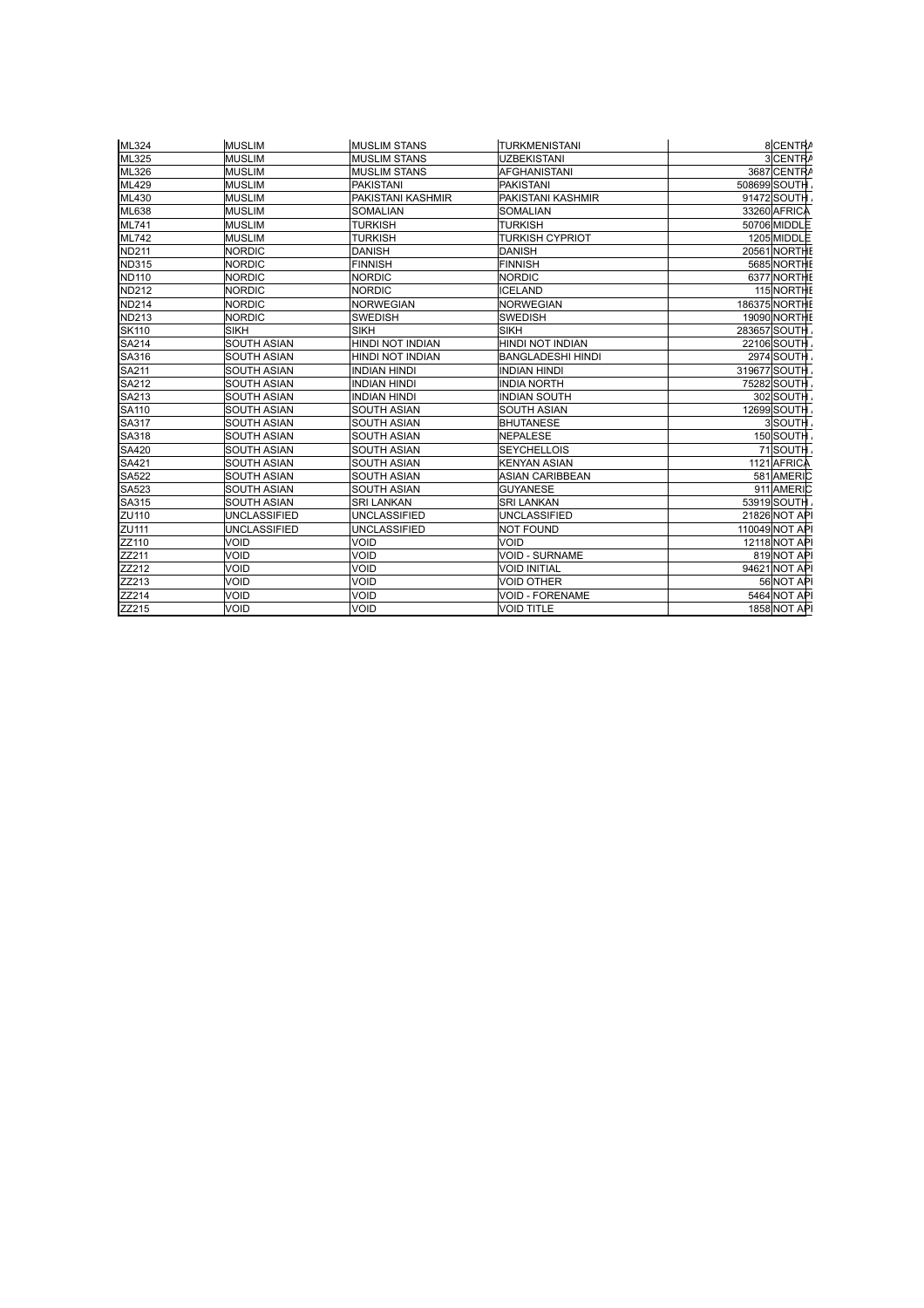| ML324        | <b>MUSLIM</b> | <b>MUSLIM STANS</b>      | <b>TURKMENISTANI</b>     | 8 CENTRA             |
|--------------|---------------|--------------------------|--------------------------|----------------------|
| ML325        | <b>MUSLIM</b> | <b>MUSLIM STANS</b>      | <b>UZBEKISTANI</b>       | 3 CENTRA             |
| ML326        | <b>MUSLIM</b> | <b>MUSLIM STANS</b>      | <b>AFGHANISTANI</b>      | 3687 CENTRA          |
| ML429        | <b>MUSLIM</b> | <b>PAKISTANI</b>         | <b>PAKISTANI</b>         | 508699 SOUTH         |
| ML430        | <b>MUSLIM</b> | <b>PAKISTANI KASHMIR</b> | PAKISTANI KASHMIR        | 91472 SOUTH          |
| ML638        | <b>MUSLIM</b> | <b>SOMALIAN</b>          | <b>SOMALIAN</b>          | 33260 AFRICA         |
| ML741        | <b>MUSLIM</b> | <b>TURKISH</b>           | TURKISH                  | 50706 MIDDL          |
| <b>ML742</b> | <b>MUSLIM</b> | <b>TURKISH</b>           | <b>TURKISH CYPRIOT</b>   | 1205 MIDDLE          |
| <b>ND211</b> | <b>NORDIC</b> | <b>DANISH</b>            | <b>DANISH</b>            | 20561 NORTHE         |
| <b>ND315</b> | <b>NORDIC</b> | <b>FINNISH</b>           | <b>FINNISH</b>           | 5685 NORTHE          |
| <b>ND110</b> | <b>NORDIC</b> | <b>NORDIC</b>            | <b>NORDIC</b>            | 6377 NORTHE          |
| <b>ND212</b> | <b>NORDIC</b> | <b>NORDIC</b>            | <b>ICELAND</b>           | 115 NORTHE           |
| <b>ND214</b> | <b>NORDIC</b> | <b>NORWEGIAN</b>         | <b>NORWEGIAN</b>         | <b>186375 NORTHE</b> |
| <b>ND213</b> | <b>NORDIC</b> | <b>SWEDISH</b>           | SWEDISH                  | 19090 NORTHE         |
| <b>SK110</b> | <b>SIKH</b>   | <b>SIKH</b>              | <b>SIKH</b>              | 283657 SOUTH         |
| SA214        | SOUTH ASIAN   | <b>HINDI NOT INDIAN</b>  | HINDI NOT INDIAN         | <b>22106 SOUTH</b>   |
| SA316        | SOUTH ASIAN   | <b>HINDI NOT INDIAN</b>  | <b>BANGLADESHI HINDI</b> | 2974 SOUTH           |
| SA211        | SOUTH ASIAN   | <b>INDIAN HINDI</b>      | <b>INDIAN HINDI</b>      | 319677 SOUTH         |
| SA212        | SOUTH ASIAN   | <b>INDIAN HINDI</b>      | <b>INDIA NORTH</b>       | 75282 SOUTH          |
| SA213        | SOUTH ASIAN   | <b>INDIAN HINDI</b>      | <b>INDIAN SOUTH</b>      | 302 SOUTH            |
| SA110        | SOUTH ASIAN   | <b>SOUTH ASIAN</b>       | <b>SOUTH ASIAN</b>       | 12699 SOUTH          |
| SA317        | SOUTH ASIAN   | <b>SOUTH ASIAN</b>       | <b>BHUTANESE</b>         | 3 SOUTH              |
| SA318        | SOUTH ASIAN   | <b>SOUTH ASIAN</b>       | <b>NEPALESE</b>          | 150 SOUTH            |
| SA420        | SOUTH ASIAN   | <b>SOUTH ASIAN</b>       | <b>SEYCHELLOIS</b>       | 71 SOUTH             |
| SA421        | SOUTH ASIAN   | <b>SOUTH ASIAN</b>       | <b>KENYAN ASIAN</b>      | 1121 AFRICA          |
| SA522        | SOUTH ASIAN   | <b>SOUTH ASIAN</b>       | ASIAN CARIBBEAN          | 581 AMERIC           |
| SA523        | SOUTH ASIAN   | <b>SOUTH ASIAN</b>       | <b>GUYANESE</b>          | 911 AMERIC           |
| SA315        | SOUTH ASIAN   | <b>SRI LANKAN</b>        | <b>SRI LANKAN</b>        | 53919 SOUTH          |
| ZU110        | UNCLASSIFIED  | <b>UNCLASSIFIED</b>      | UNCLASSIFIED             | 21826 NOT API        |
| ZU111        | UNCLASSIFIED  | <b>UNCLASSIFIED</b>      | <b>NOT FOUND</b>         | 110049 NOT API       |
| ZZ110        | VOID          | <b>VOID</b>              | VOID                     | 12118 NOT API        |
| ZZ211        | Void          | <b>VOID</b>              | <b>VOID - SURNAME</b>    | 819 NOT API          |
| ZZ212        | VOID          | <b>VOID</b>              | <b>VOID INITIAL</b>      | 94621 NOT API        |
| ZZ213        | <b>VOID</b>   | <b>VOID</b>              | <b>VOID OTHER</b>        | 56 NOT API           |
| ZZ214        | <b>VOID</b>   | <b>VOID</b>              | <b>VOID - FORENAME</b>   | 5464 NOT API         |
| ZZ215        | <b>VOID</b>   | <b>VOID</b>              | <b>VOID TITLE</b>        | <b>1858 NOT API</b>  |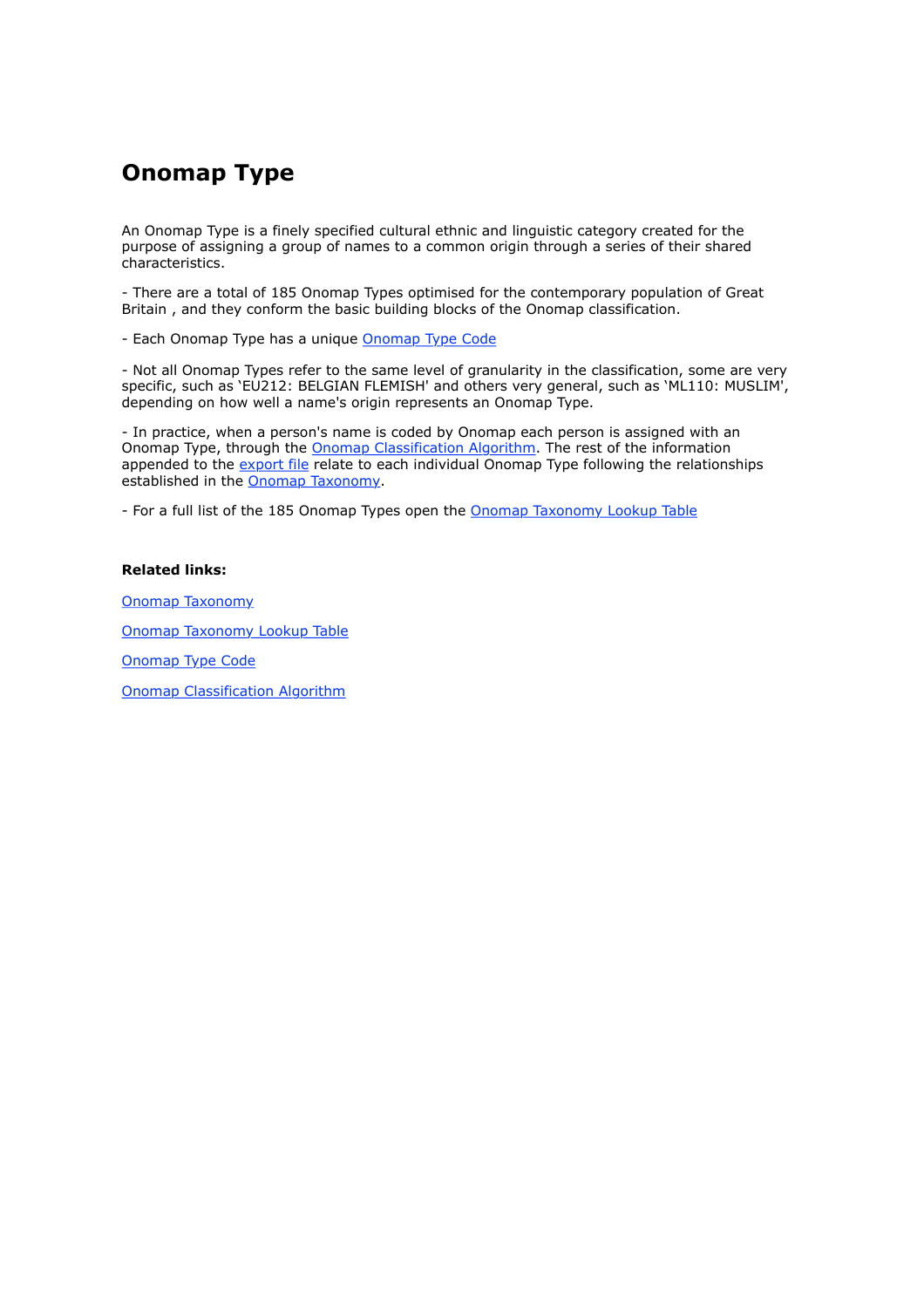### **Onomap Type**

An Onomap Type is a finely specified cultural ethnic and linguistic category created for the purpose of assigning a group of names to a common origin through a series of their shared characteristics.

- There are a total of 185 Onomap Types optimised for the contemporary population of Great Britain , and they conform the basic building blocks of the Onomap classification.

- Each Onomap Type has a unique Onomap Type Code

- Not all Onomap Types refer to the same level of granularity in the classification, some are very specific, such as 'EU212: BELGIAN FLEMISH' and others very general, such as 'ML110: MUSLIM', depending on how well a name's origin represents an Onomap Type.

- In practice, when a person's name is coded by Onomap each person is assigned with an Onomap Type, through the Onomap Classification Algorithm. The rest of the information appended to the export file relate to each individual Onomap Type following the relationships established in the Onomap Taxonomy.

- For a full list of the 185 Onomap Types open the **Onomap Taxonomy Lookup Table** 

#### **Related links:**

Onomap Taxonomy

Onomap Taxonomy Lookup Table

Onomap Type Code

Onomap Classification Algorithm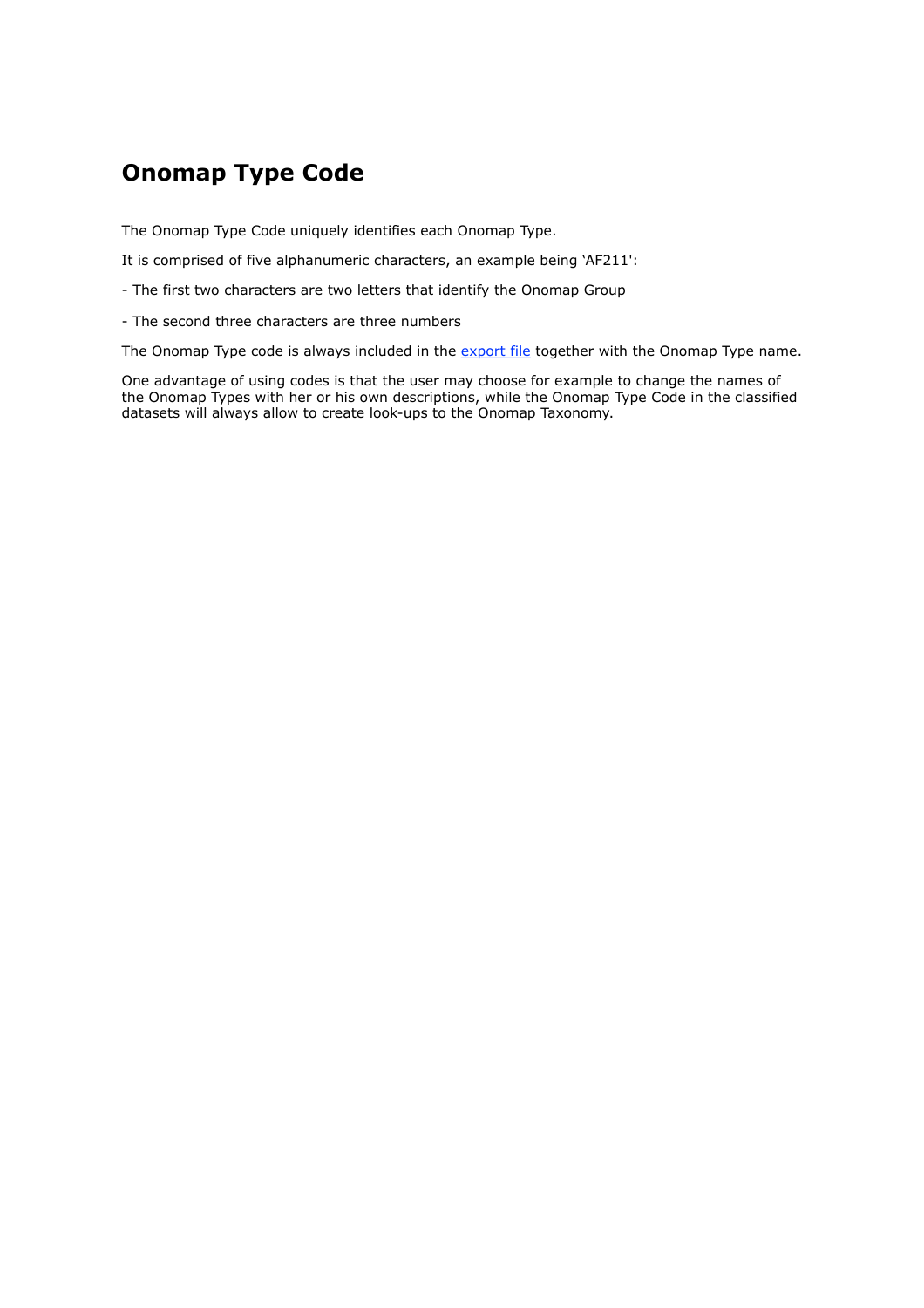### **Onomap Type Code**

The Onomap Type Code uniquely identifies each Onomap Type.

It is comprised of five alphanumeric characters, an example being 'AF211':

- The first two characters are two letters that identify the Onomap Group

- The second three characters are three numbers

The Onomap Type code is always included in the export file together with the Onomap Type name.

One advantage of using codes is that the user may choose for example to change the names of the Onomap Types with her or his own descriptions, while the Onomap Type Code in the classified datasets will always allow to create look-ups to the Onomap Taxonomy.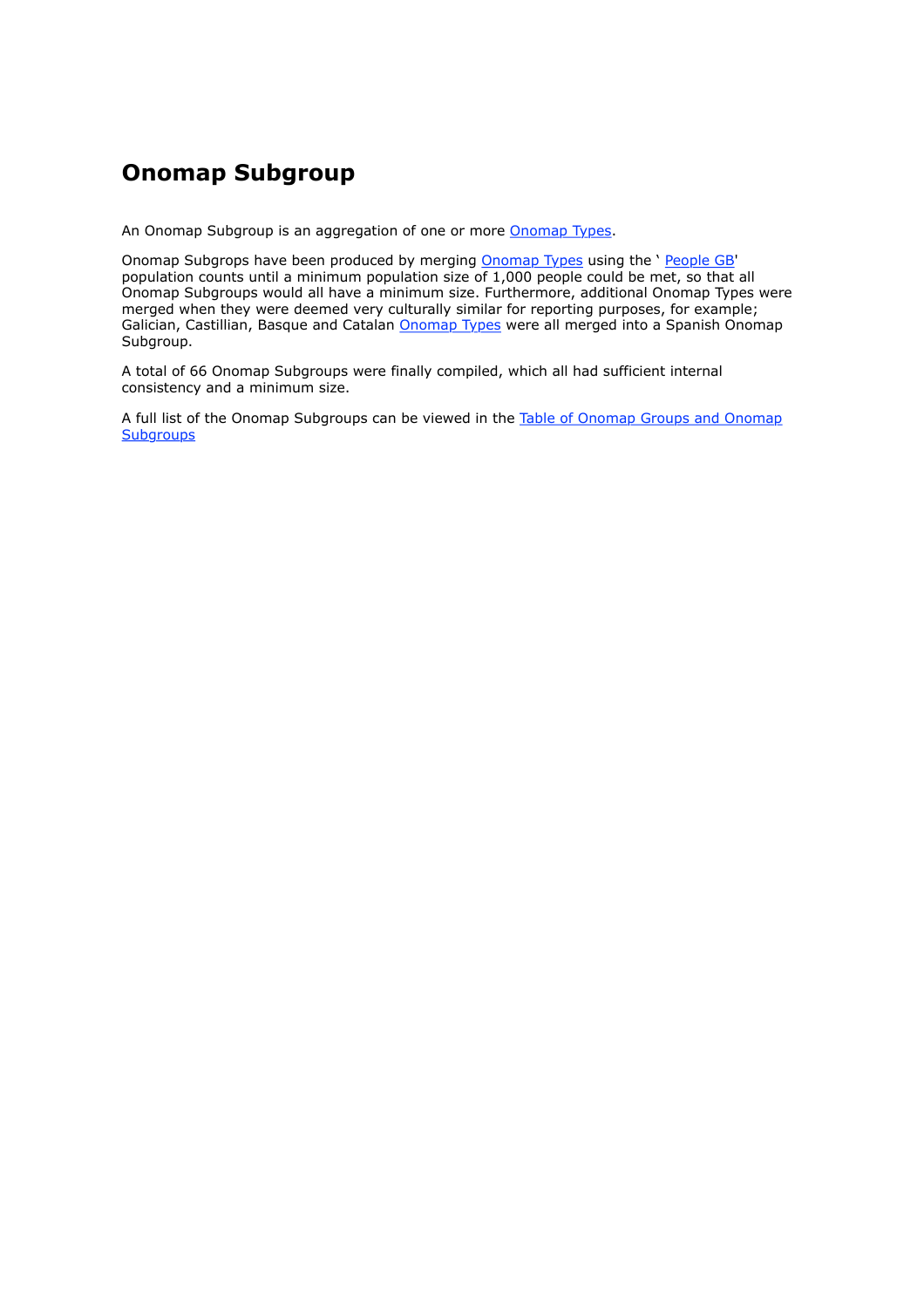### **Onomap Subgroup**

An Onomap Subgroup is an aggregation of one or more Onomap Types.

Onomap Subgrops have been produced by merging Onomap Types using the ' People GB' population counts until a minimum population size of 1,000 people could be met, so that all Onomap Subgroups would all have a minimum size. Furthermore, additional Onomap Types were merged when they were deemed very culturally similar for reporting purposes, for example; Galician, Castillian, Basque and Catalan **Onomap Types** were all merged into a Spanish Onomap Subgroup.

A total of 66 Onomap Subgroups were finally compiled, which all had sufficient internal consistency and a minimum size.

A full list of the Onomap Subgroups can be viewed in the Table of Onomap Groups and Onomap **Subgroups**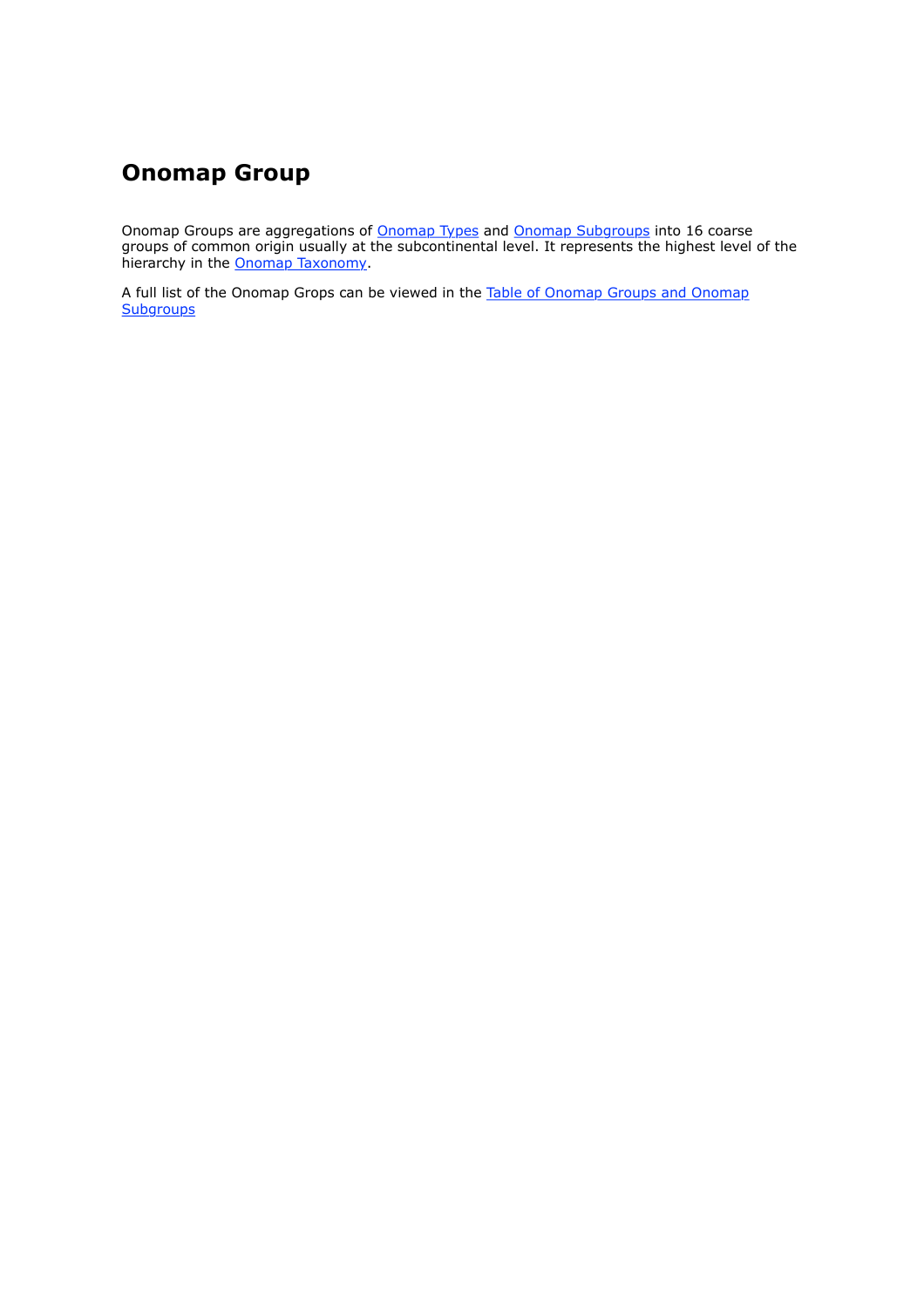### **Onomap Group**

Onomap Groups are aggregations of **Onomap Types and Onomap Subgroups** into 16 coarse groups of common origin usually at the subcontinental level. It represents the highest level of the hierarchy in the **Onomap Taxonomy**.

A full list of the Onomap Grops can be viewed in the Table of Onomap Groups and Onomap **Subgroups**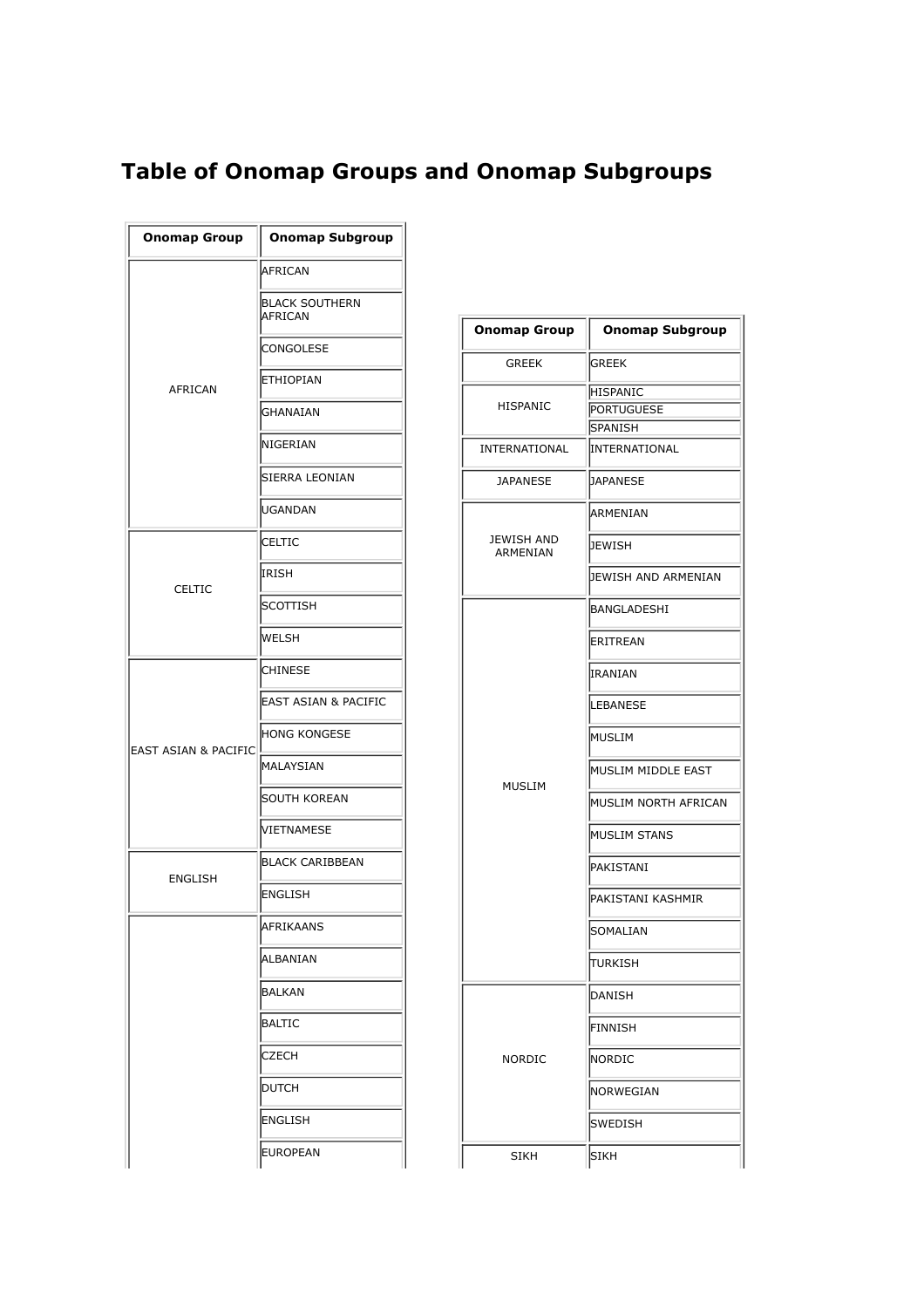### **Table of Onomap Groups and Onomap Subgroups**

| <b>Onomap Group</b>  | <b>Onomap Subgroup</b>           |                        |              |
|----------------------|----------------------------------|------------------------|--------------|
|                      | AFRICAN                          |                        |              |
|                      | <b>BLACK SOUTHERN</b><br>AFRICAN | <b>Onomap Group</b>    | Οı           |
|                      | <b>CONGOLESE</b>                 |                        |              |
| AFRICAN              | <b>ETHIOPIAN</b>                 | <b>GREEK</b>           | GREE         |
|                      | GHANAIAN                         | HISPANIC               | HISP<br>PORT |
|                      | NIGERIAN                         | INTERNATIONAL          | SPAN<br>INTE |
|                      | SIERRA LEONIAN                   | <b>JAPANESE</b>        | <b>JAPA</b>  |
|                      | <b>IUGANDAN</b>                  |                        | ARMI         |
|                      | <b>CELTIC</b>                    | JEWISH AND<br>ARMENIAN | JEWI         |
| <b>CELTIC</b>        | IRISH                            |                        | bewi         |
|                      | SCOTTISH                         |                        | <b>BAN</b>   |
|                      | WELSH                            |                        | ERIT         |
|                      | <b>CHINESE</b>                   |                        | IRAN         |
|                      | EAST ASIAN & PACIFIC             |                        | LEBA         |
| EAST ASIAN & PACIFIC | <b>HONG KONGESE</b>              |                        | MUSI         |
|                      | MALAYSIAN                        |                        | MUSI         |
|                      | SOUTH KOREAN                     | MUSLIM                 | MUSI         |
|                      | VIETNAMESE                       |                        | MUSI         |
| <b>ENGLISH</b>       | <b>BLACK CARIBBEAN</b>           |                        | PAKI:        |
|                      | ENGLISH                          |                        | PAKI:        |
|                      | AFRIKAANS                        |                        | SOM          |
|                      | ALBANIAN                         |                        | TURK         |
|                      | BALKAN                           |                        | DANI         |
|                      | BALTIC                           |                        | FINN         |
|                      | <b>CZECH</b>                     | NORDIC                 | Nori         |
|                      | <b>DUTCH</b>                     |                        | NOR)         |
|                      | ENGLISH                          |                        | <b>SWEI</b>  |
|                      | <b>EUROPEAN</b>                  | <b>SIKH</b>            | <b>SIKH</b>  |

| Onomap Group                  | <b>Onomap Subgroup</b> |
|-------------------------------|------------------------|
| <b>GREEK</b>                  | <b>GREEK</b>           |
|                               | <b>HISPANIC</b>        |
| HISPANIC                      | <b>PORTUGUESE</b>      |
|                               | <b>SPANISH</b>         |
| INTERNATIONAL                 | INTERNATIONAL          |
| <b>JAPANESE</b>               | DAPANESE               |
|                               | ARMENIAN               |
| <b>JEWISH AND</b><br>ARMENIAN | JEWISH                 |
|                               | JEWISH AND ARMENIAN    |
|                               | BANGLADESHI            |
|                               | ERITREAN               |
|                               | <b>IRANIAN</b>         |
|                               | LEBANESE               |
|                               | MUSLIM                 |
| <b>MUSLIM</b>                 | MUSLIM MIDDLE EAST     |
|                               | MUSLIM NORTH AFRICAN   |
|                               | <b>MUSLIM STANS</b>    |
|                               | PAKISTANI              |
|                               | PAKISTANI KASHMIR      |
|                               | SOMALIAN               |
|                               | TURKISH                |
|                               | DANISH                 |
|                               | FINNISH                |
| NORDIC                        | <b>INORDIC</b>         |
|                               | NORWEGIAN              |
|                               | SWEDISH                |
| CTI/LI                        | letizu                 |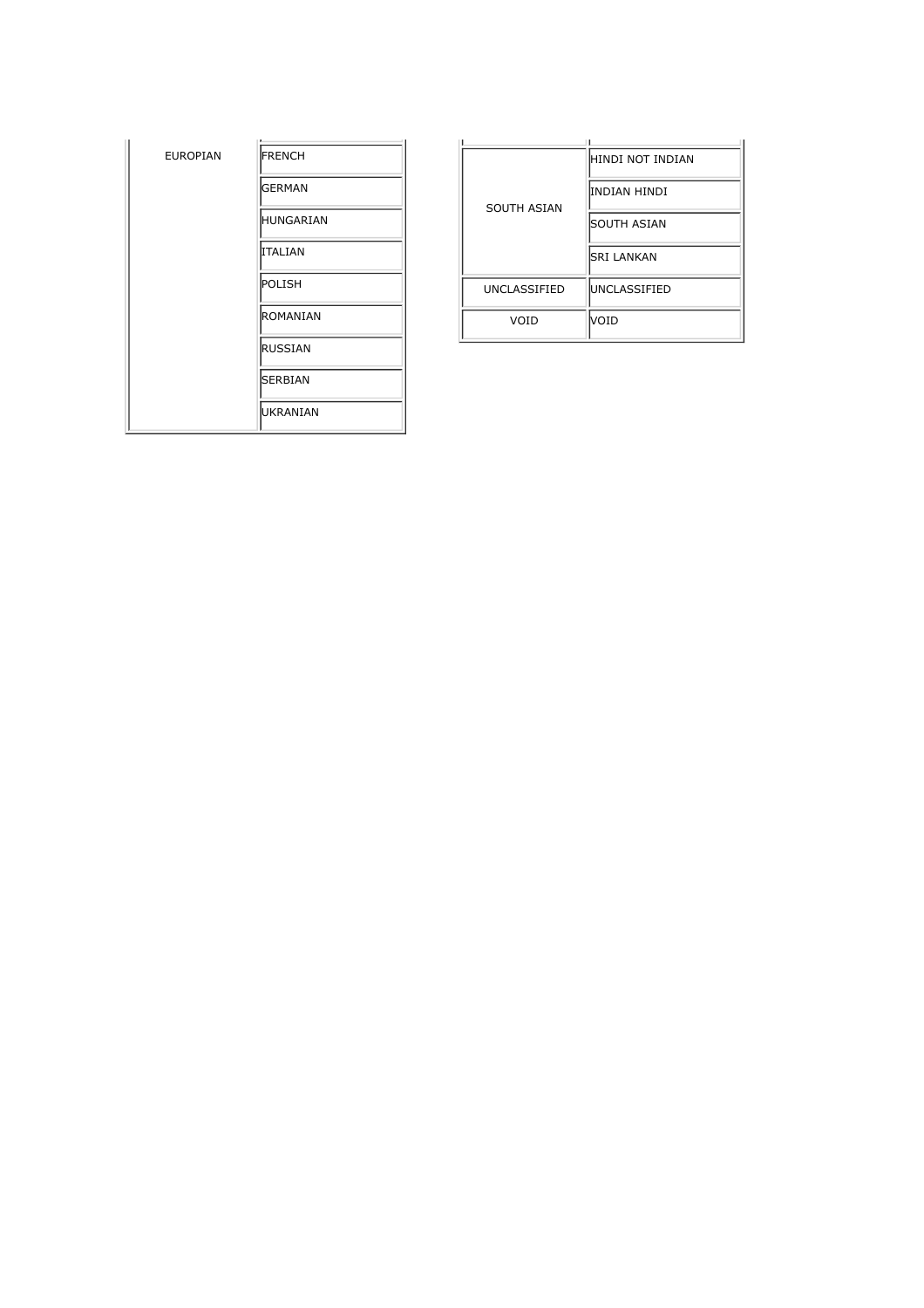| <b>EUROPIAN</b> | FRENCH           |
|-----------------|------------------|
|                 | <b>GERMAN</b>    |
|                 | <b>HUNGARIAN</b> |
|                 | ITALIAN          |
|                 | POLISH           |
|                 | <b>ROMANIAN</b>  |
|                 | <b>RUSSIAN</b>   |
|                 | SERBIAN          |
|                 | UKRANIAN         |

| <b>SOUTH ASIAN</b>  | HINDI NOT INDIAN     |
|---------------------|----------------------|
|                     | INDIAN HINDI         |
|                     | <b>SOUTH ASIAN</b>   |
|                     | <b>SRI LANKAN</b>    |
| <b>UNCLASSIFIED</b> | <b>IUNCLASSIFIED</b> |
| VOID                | VOID                 |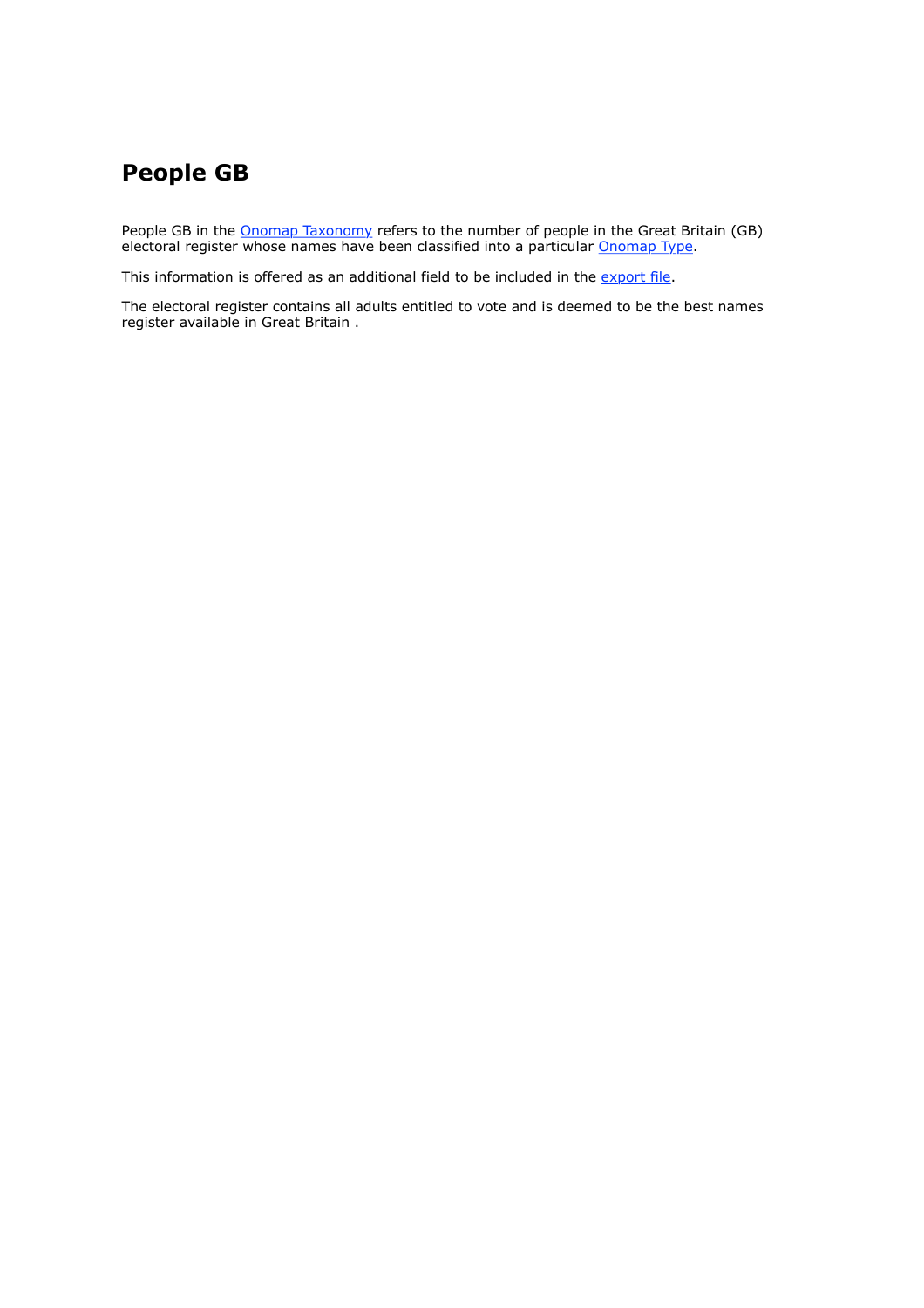### **People GB**

People GB in the Onomap Taxonomy refers to the number of people in the Great Britain (GB) electoral register whose names have been classified into a particular Onomap Type.

This information is offered as an additional field to be included in the export file.

The electoral register contains all adults entitled to vote and is deemed to be the best names register available in Great Britain .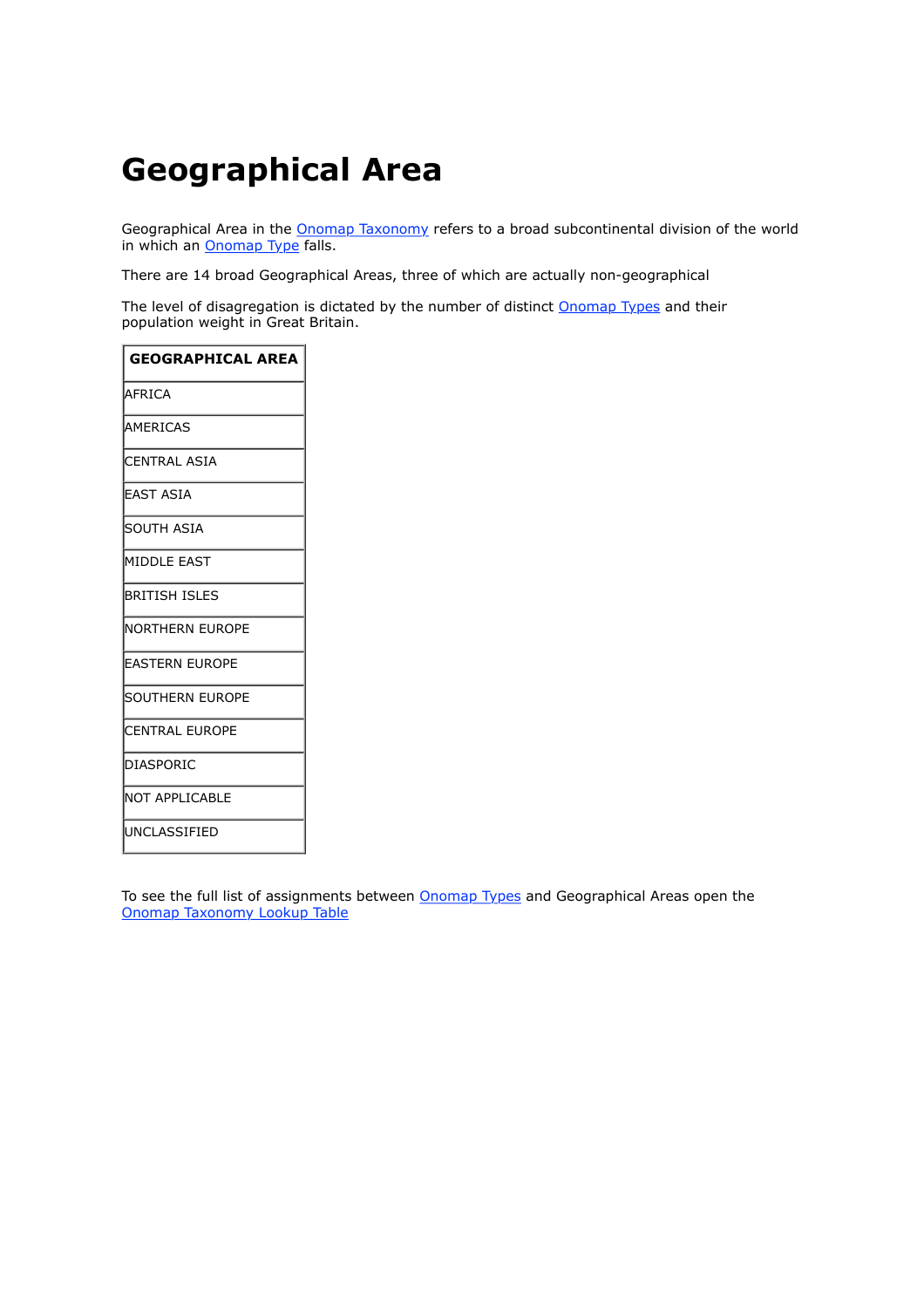# **Geographical Area**

Geographical Area in the **Onomap Taxonomy** refers to a broad subcontinental division of the world in which an **Onomap Type** falls.

There are 14 broad Geographical Areas, three of which are actually non-geographical

The level of disagregation is dictated by the number of distinct **Onomap Types** and their population weight in Great Britain.

| <b>GEOGRAPHICAL AREA</b> |
|--------------------------|
| AFRICA                   |
| <b>AMFRICAS</b>          |
| <b>ICENTRAL ASIA</b>     |
| lEAST ASIA               |
| ISOUTH ASIA              |
| MIDDLE EAST              |
| BRITISH ISLES            |
| INORTHERN EUROPE         |
| <b>EASTERN EUROPE</b>    |
| isouthern Europe         |
| <b>ICENTRAL EUROPE</b>   |
| IDIASPORIC               |
| INOT APPLICABLE          |
| lUNCLASSIFIED            |

To see the full list of assignments between **Onomap Types** and Geographical Areas open the Onomap Taxonomy Lookup Table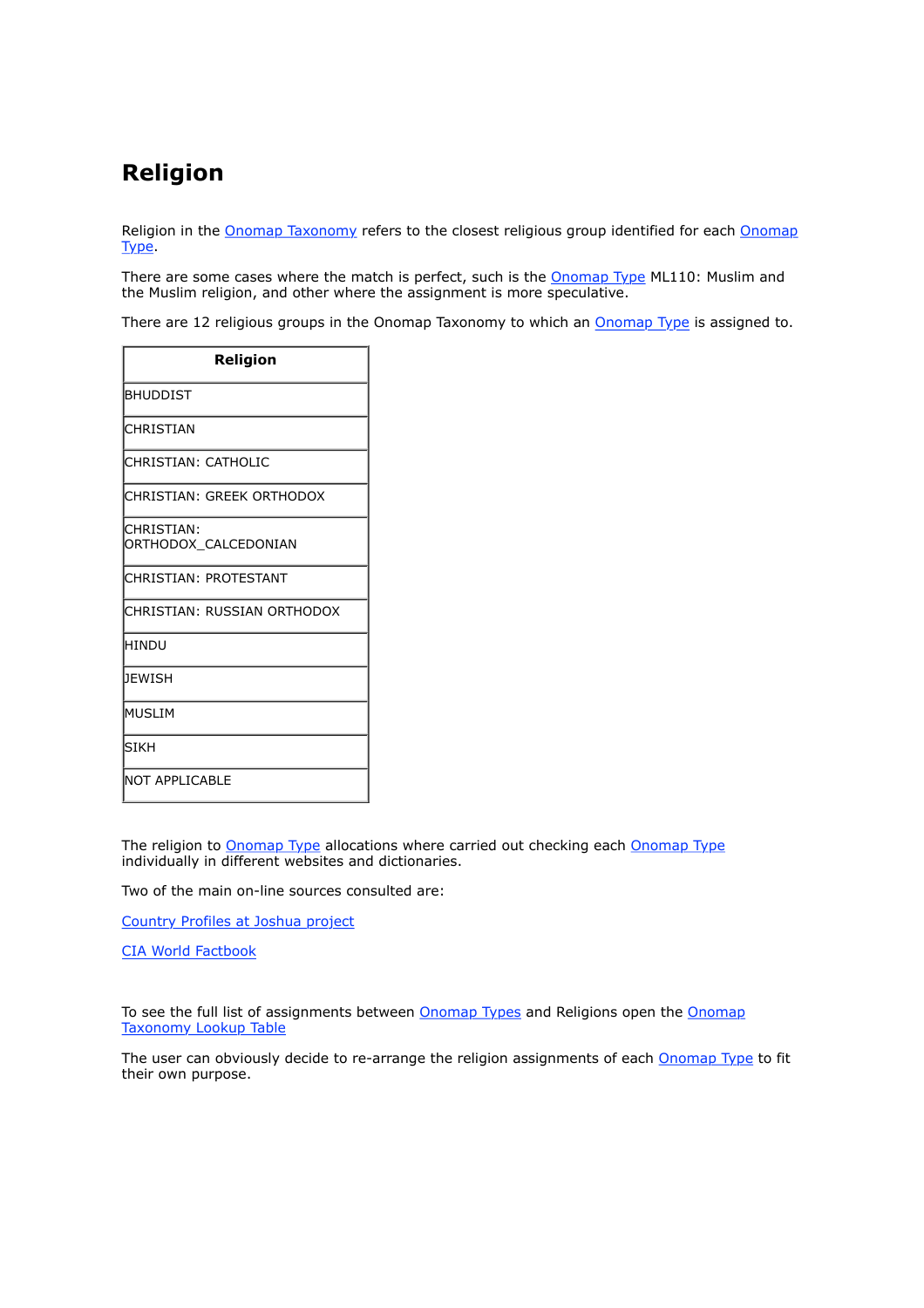### **Religion**

Religion in the Onomap Taxonomy refers to the closest religious group identified for each Onomap Type.

There are some cases where the match is perfect, such is the **Onomap Type ML110: Muslim and** the Muslim religion, and other where the assignment is more speculative.

There are 12 religious groups in the Onomap Taxonomy to which an Onomap Type is assigned to.

| <b>Religion</b>                     |
|-------------------------------------|
| BHUDDIST                            |
| ICHRISTIAN                          |
| CHRISTIAN: CATHOLIC                 |
| CHRISTIAN: GREEK ORTHODOX           |
| ICHRISTIAN:<br>ORTHODOX CALCEDONIAN |
| ICHRISTIAN: PROTESTANT              |
| ICHRISTIAN: RUSSIAN ORTHODOX        |
| <b>HINDU</b>                        |
| DEWISH                              |
| lmuslim                             |
| lsikh                               |
| INOT APPLICABLE                     |

The religion to Onomap Type allocations where carried out checking each Onomap Type individually in different websites and dictionaries.

Two of the main on-line sources consulted are:

Country Profiles at Joshua project

CIA World Factbook

To see the full list of assignments between Onomap Types and Religions open the Onomap Taxonomy Lookup Table

The user can obviously decide to re-arrange the religion assignments of each Onomap Type to fit their own purpose.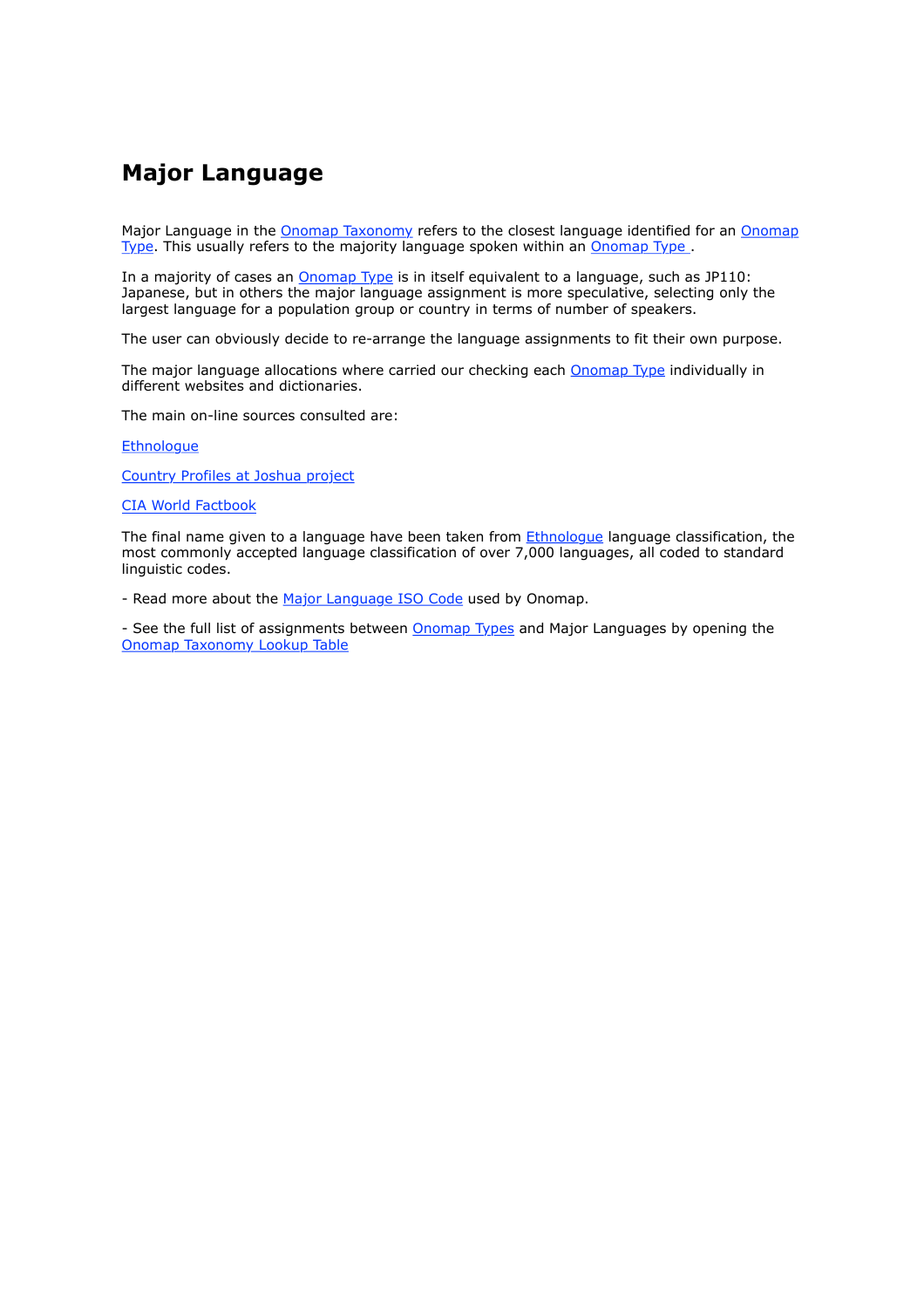### **Major Language**

Major Language in the Onomap Taxonomy refers to the closest language identified for an Onomap Type. This usually refers to the majority language spoken within an Onomap Type

In a majority of cases an **Onomap Type** is in itself equivalent to a language, such as JP110: Japanese, but in others the major language assignment is more speculative, selecting only the largest language for a population group or country in terms of number of speakers.

The user can obviously decide to re-arrange the language assignments to fit their own purpose.

The major language allocations where carried our checking each Onomap Type individually in different websites and dictionaries.

The main on-line sources consulted are:

**Ethnologue** 

Country Profiles at Joshua project

CIA World Factbook

The final name given to a language have been taken from Ethnologue language classification, the most commonly accepted language classification of over 7,000 languages, all coded to standard linguistic codes.

- Read more about the Major Language ISO Code used by Onomap.

- See the full list of assignments between Onomap Types and Major Languages by opening the Onomap Taxonomy Lookup Table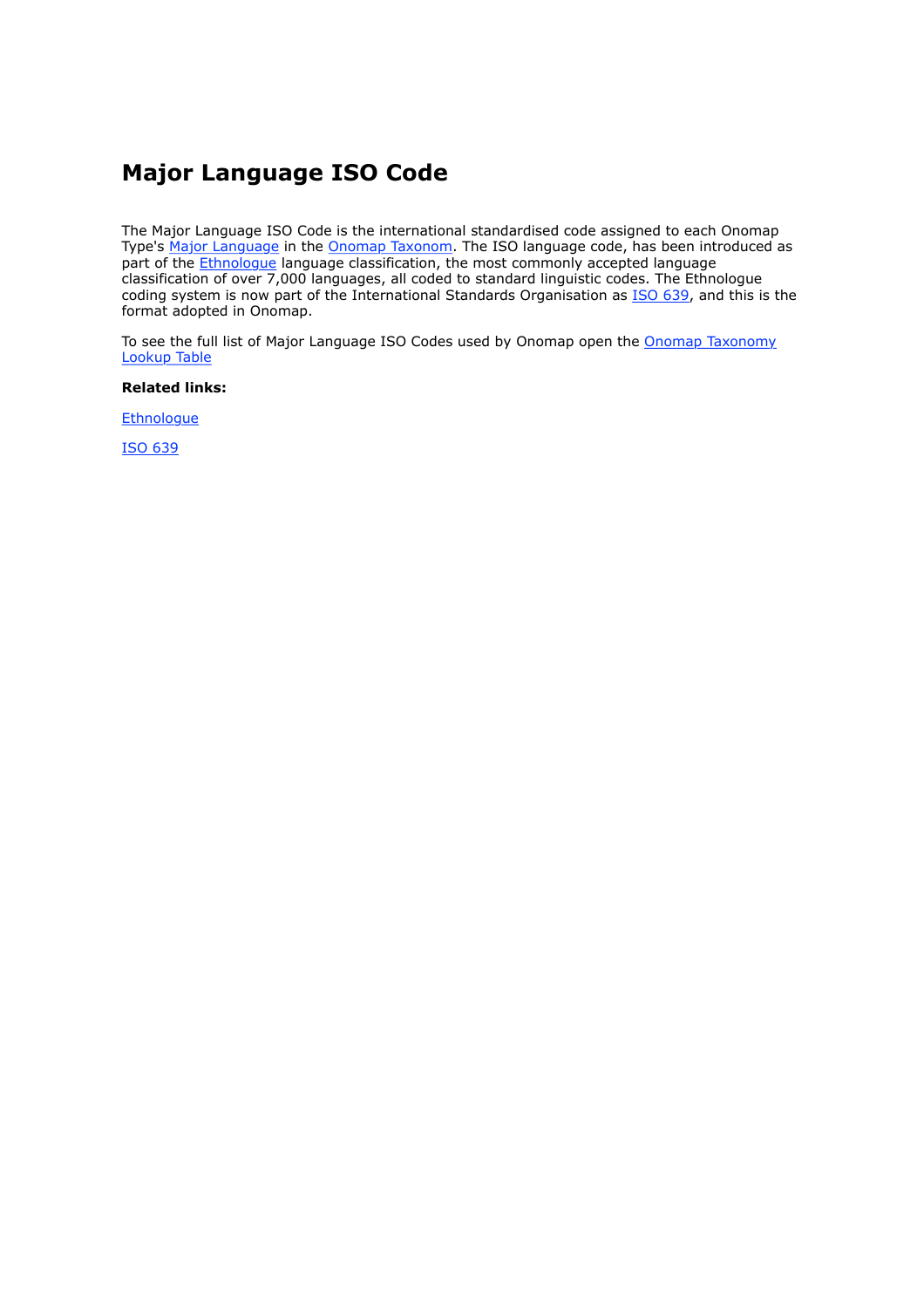### **Major Language ISO Code**

The Major Language ISO Code is the international standardised code assigned to each Onomap Type's Major Language in the Onomap Taxonom. The ISO language code, has been introduced as part of the **Ethnologue** language classification, the most commonly accepted language classification of over 7,000 languages, all coded to standard linguistic codes. The Ethnologue coding system is now part of the International Standards Organisation as ISO 639, and this is the format adopted in Onomap.

To see the full list of Major Language ISO Codes used by Onomap open the Onomap Taxonomy Lookup Table

**Related links:**

**Ethnologue** 

ISO 639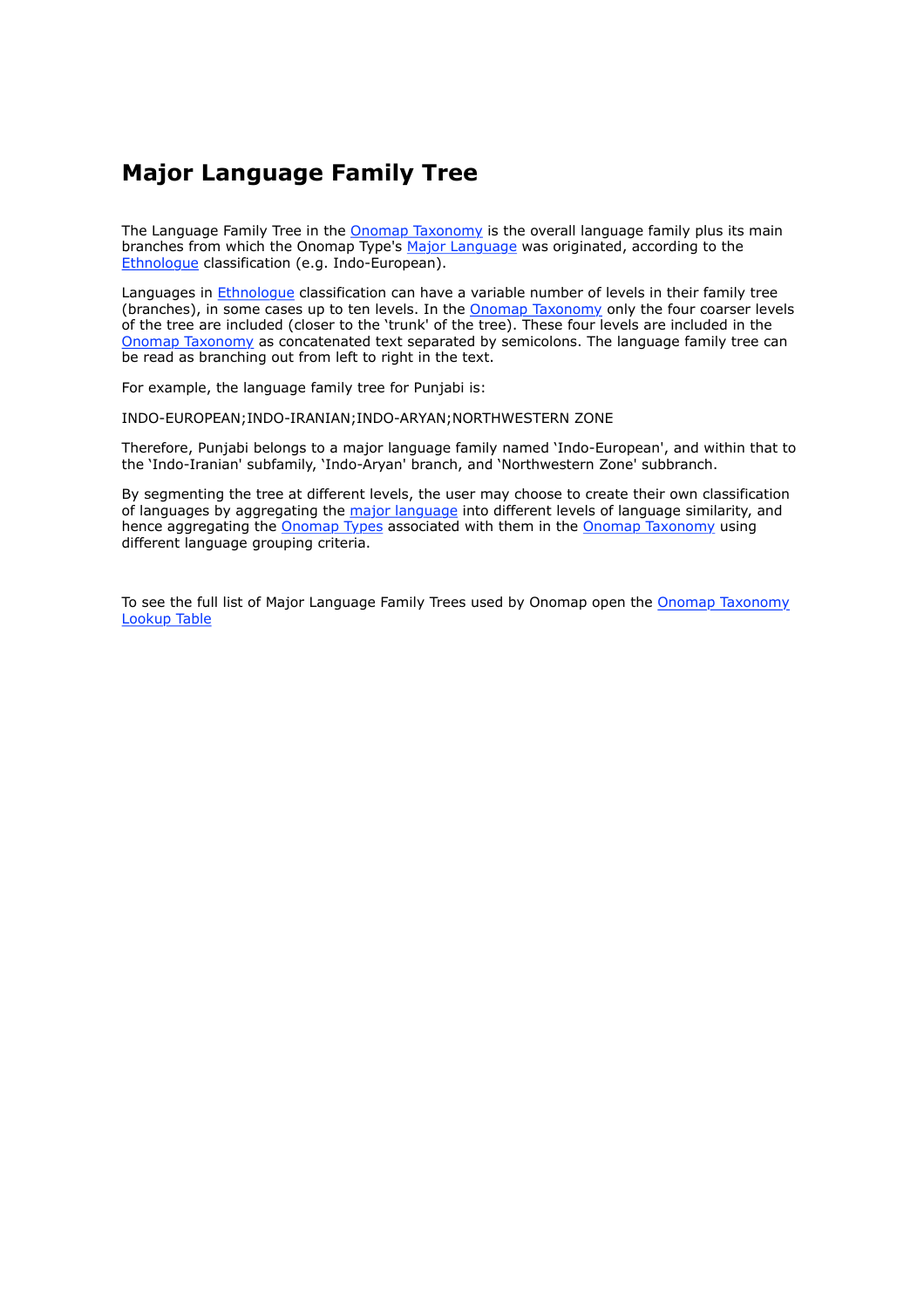### **Major Language Family Tree**

The Language Family Tree in the Onomap Taxonomy is the overall language family plus its main branches from which the Onomap Type's Major Language was originated, according to the Ethnologue classification (e.g. Indo-European).

Languages in Ethnologue classification can have a variable number of levels in their family tree (branches), in some cases up to ten levels. In the **Onomap Taxonomy** only the four coarser levels of the tree are included (closer to the 'trunk' of the tree). These four levels are included in the Onomap Taxonomy as concatenated text separated by semicolons. The language family tree can be read as branching out from left to right in the text.

For example, the language family tree for Punjabi is:

INDO-EUROPEAN;INDO-IRANIAN;INDO-ARYAN;NORTHWESTERN ZONE

Therefore, Punjabi belongs to a major language family named 'Indo-European', and within that to the 'Indo-Iranian' subfamily, 'Indo-Aryan' branch, and 'Northwestern Zone' subbranch.

By segmenting the tree at different levels, the user may choose to create their own classification of languages by aggregating the major language into different levels of language similarity, and hence aggregating the Onomap Types associated with them in the Onomap Taxonomy using different language grouping criteria.

To see the full list of Major Language Family Trees used by Onomap open the Onomap Taxonomy Lookup Table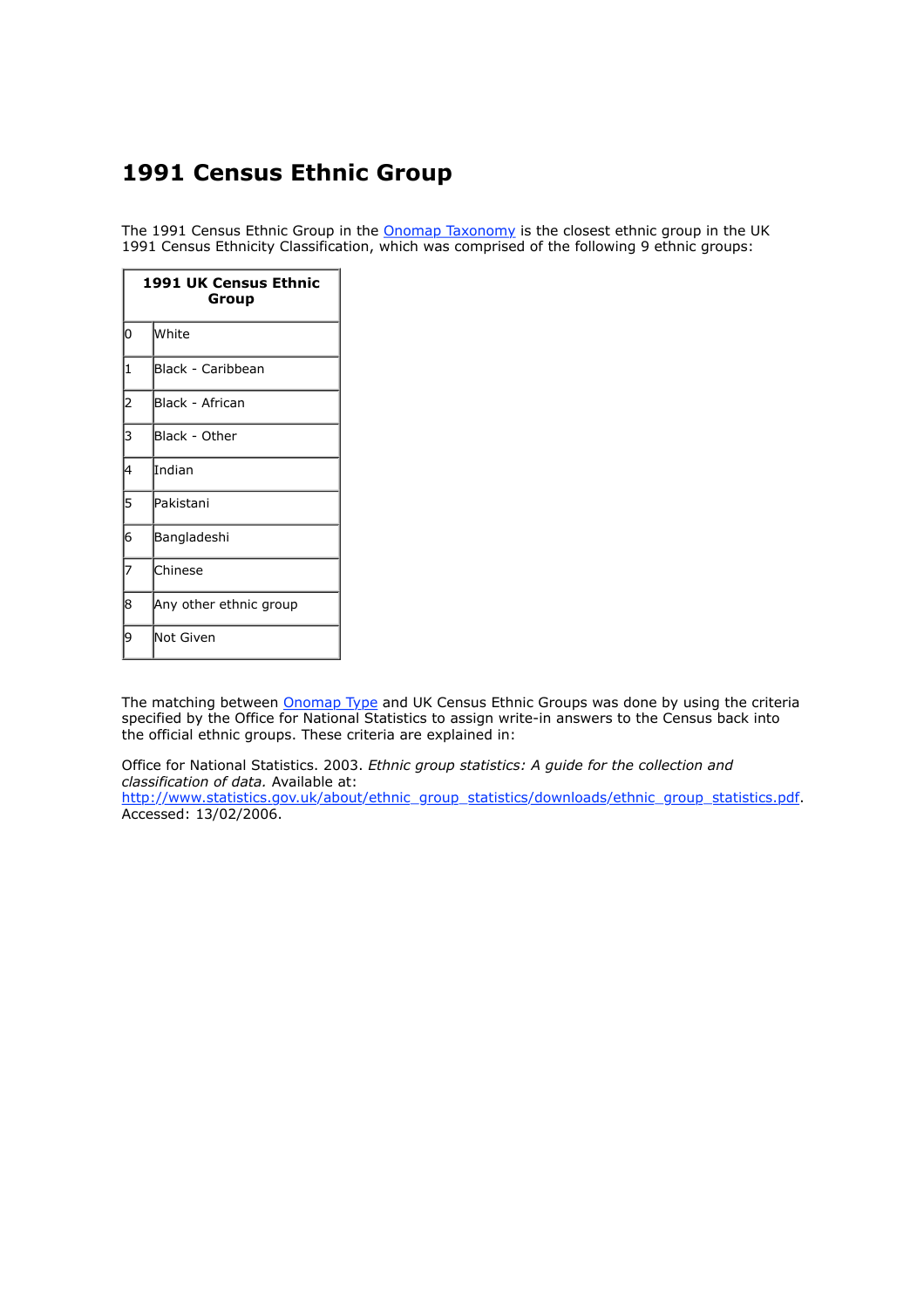### **1991 Census Ethnic Group**

The 1991 Census Ethnic Group in the **Onomap Taxonomy** is the closest ethnic group in the UK 1991 Census Ethnicity Classification, which was comprised of the following 9 ethnic groups:

| <b>1991 UK Census Ethnic</b><br>Group |                        |  |
|---------------------------------------|------------------------|--|
| 10                                    | lwhite                 |  |
| 1                                     | Black - Caribbean      |  |
| $\overline{\mathbf{c}}$               | Black - African        |  |
| 3                                     | Black - Other          |  |
| 4                                     | Indian                 |  |
| 5                                     | Pakistani              |  |
| 6                                     | Bangladeshi            |  |
|                                       | Chinese                |  |
| 8                                     | Any other ethnic group |  |
| 19                                    | Not Given              |  |

The matching between Onomap Type and UK Census Ethnic Groups was done by using the criteria specified by the Office for National Statistics to assign write-in answers to the Census back into the official ethnic groups. These criteria are explained in:

Office for National Statistics. 2003. *Ethnic group statistics: A guide for the collection and classification of data.* Available at: http://www.statistics.gov.uk/about/ethnic\_group\_statistics/downloads/ethnic\_group\_statistics.pdf. Accessed: 13/02/2006.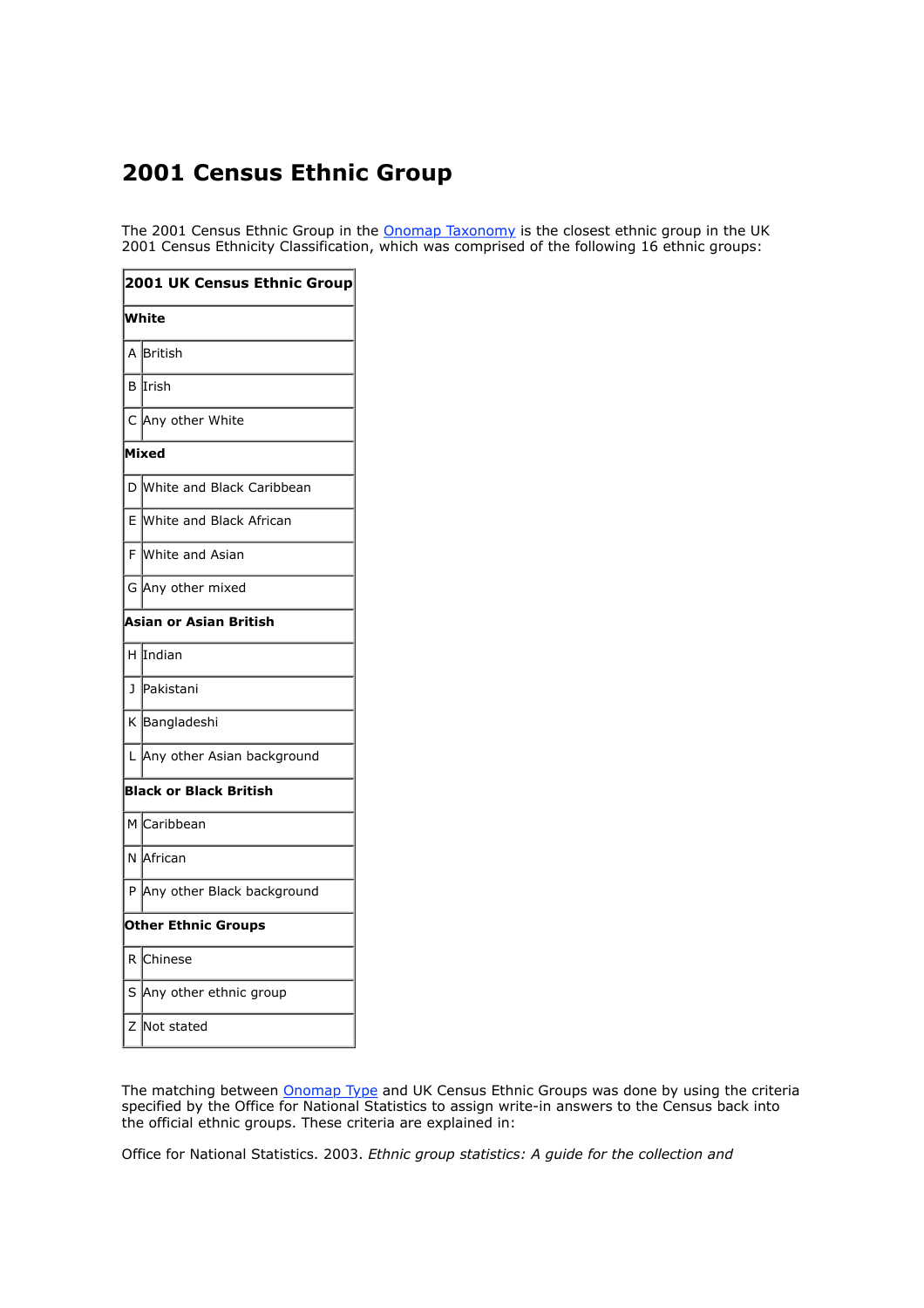### **2001 Census Ethnic Group**

The 2001 Census Ethnic Group in the **Onomap Taxonomy** is the closest ethnic group in the UK 2001 Census Ethnicity Classification, which was comprised of the following 16 ethnic groups:

| 2001 UK Census Ethnic Group   |                              |  |
|-------------------------------|------------------------------|--|
| White                         |                              |  |
| A                             | British                      |  |
| B                             | IIrish                       |  |
|                               | C Any other White            |  |
| Mixed                         |                              |  |
|                               | D White and Black Caribbean  |  |
| E                             | White and Black African      |  |
| F.                            | White and Asian              |  |
| G                             | Any other mixed              |  |
| Asian or Asian British        |                              |  |
| H.                            | Indian                       |  |
| J                             | lPakistani                   |  |
| K                             | Bangladeshi                  |  |
| L                             | Any other Asian background   |  |
| <b>Black or Black British</b> |                              |  |
|                               | M Caribbean                  |  |
|                               | N African                    |  |
|                               | P Any other Black background |  |
| <b>Other Ethnic Groups</b>    |                              |  |
| R.                            | Chinese                      |  |
| S                             | Any other ethnic group       |  |
| Ζ                             | Not stated                   |  |

The matching between *Onomap Type* and UK Census Ethnic Groups was done by using the criteria specified by the Office for National Statistics to assign write-in answers to the Census back into the official ethnic groups. These criteria are explained in:

Office for National Statistics. 2003. *Ethnic group statistics: A guide for the collection and*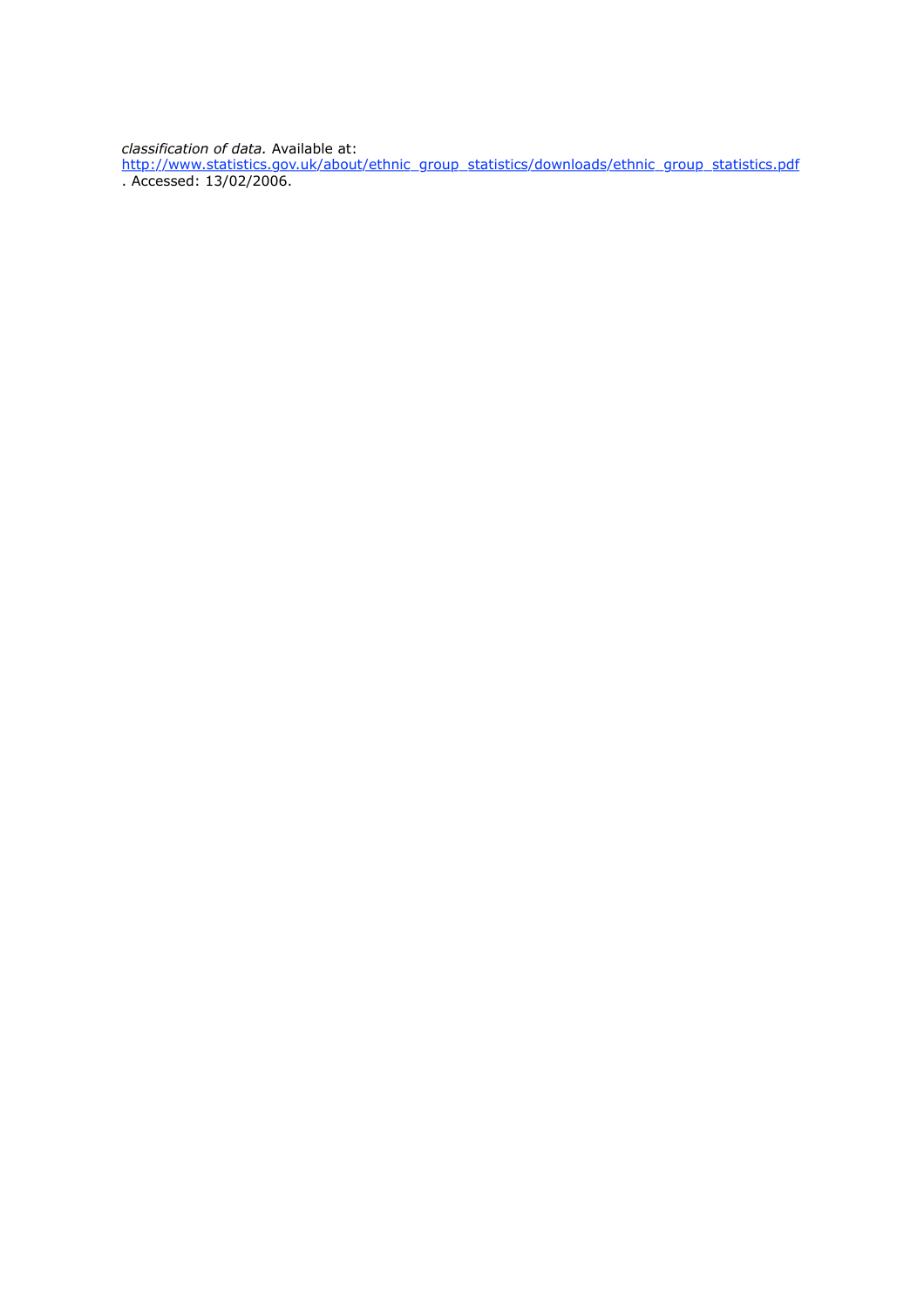*classification of data.* Available at:

http://www.statistics.gov.uk/about/ethnic\_group\_statistics/downloads/ethnic\_group\_statistics.pdf . Accessed: 13/02/2006.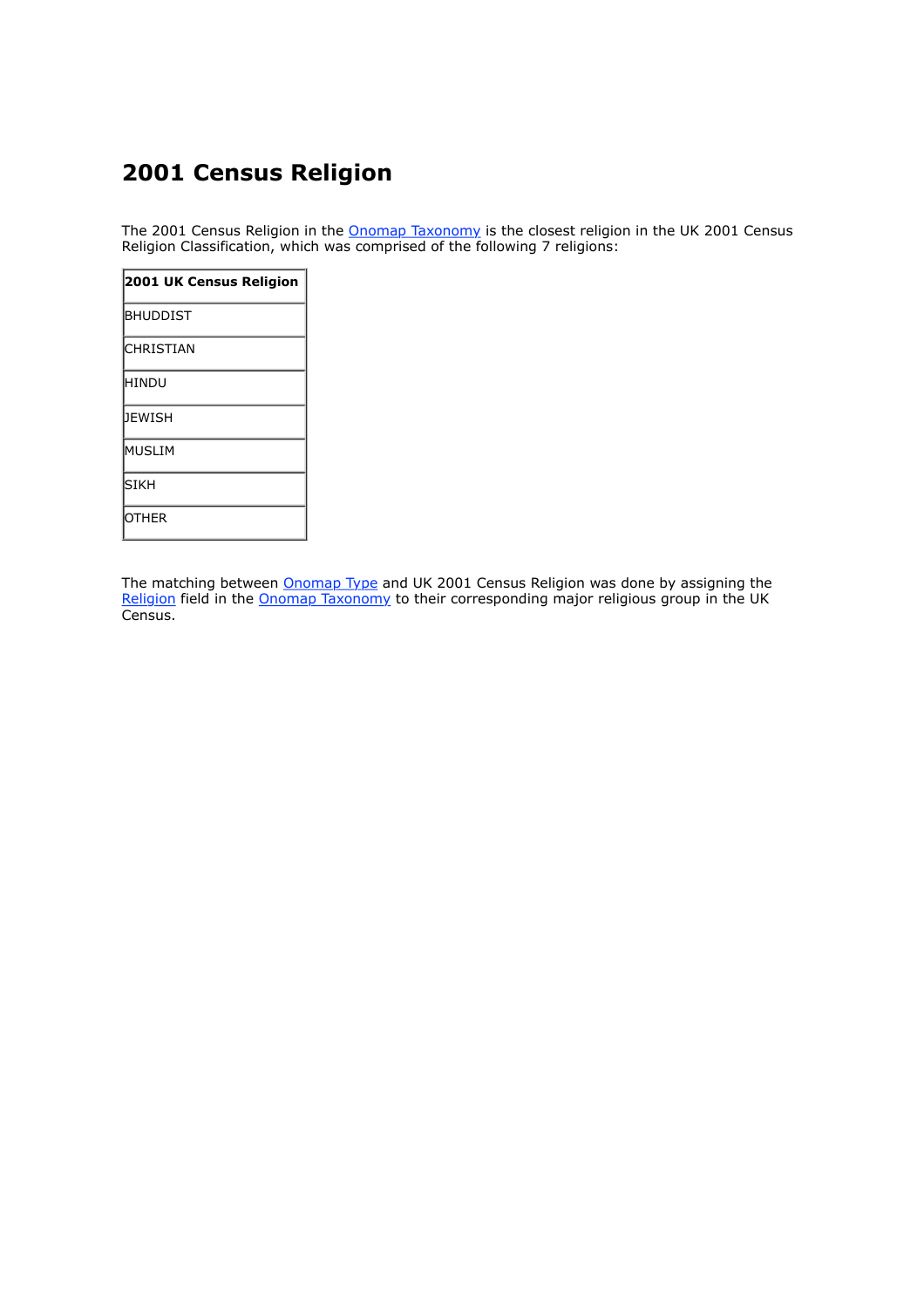### **2001 Census Religion**

The 2001 Census Religion in the Onomap Taxonomy is the closest religion in the UK 2001 Census Religion Classification, which was comprised of the following 7 religions:

| 2001 UK Census Religion |  |  |
|-------------------------|--|--|
| <b>BHUDDIST</b>         |  |  |
| <b>CHRISTIAN</b>        |  |  |
| <b>HINDU</b>            |  |  |
| DEWISH                  |  |  |
| MUSLIM                  |  |  |
| İsikh                   |  |  |
| <b>OTHER</b>            |  |  |

The matching between Onomap Type and UK 2001 Census Religion was done by assigning the Religion field in the Onomap Taxonomy to their corresponding major religious group in the UK Census.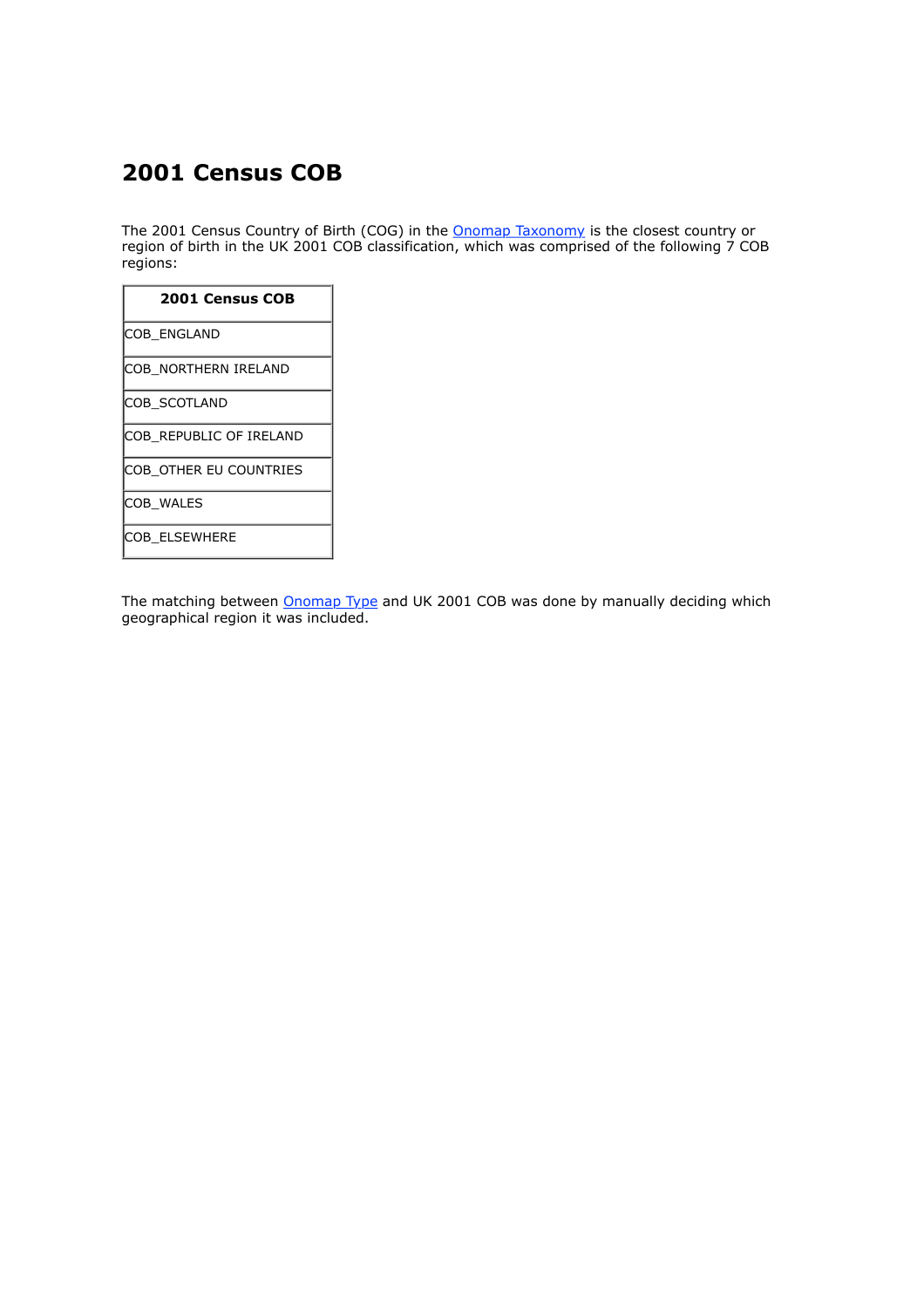### **2001 Census COB**

The 2001 Census Country of Birth (COG) in the **Onomap Taxonomy** is the closest country or region of birth in the UK 2001 COB classification, which was comprised of the following 7 COB regions:

| <b>2001 Census COB</b>  |
|-------------------------|
| COB ENGLAND             |
| COB NORTHERN IRELAND    |
| COB_SCOTLAND            |
| COB REPUBLIC OF IRELAND |
| COB_OTHER EU COUNTRIES  |
| COB WALES               |
| COB ELSEWHERE           |

The matching between Onomap Type and UK 2001 COB was done by manually deciding which geographical region it was included.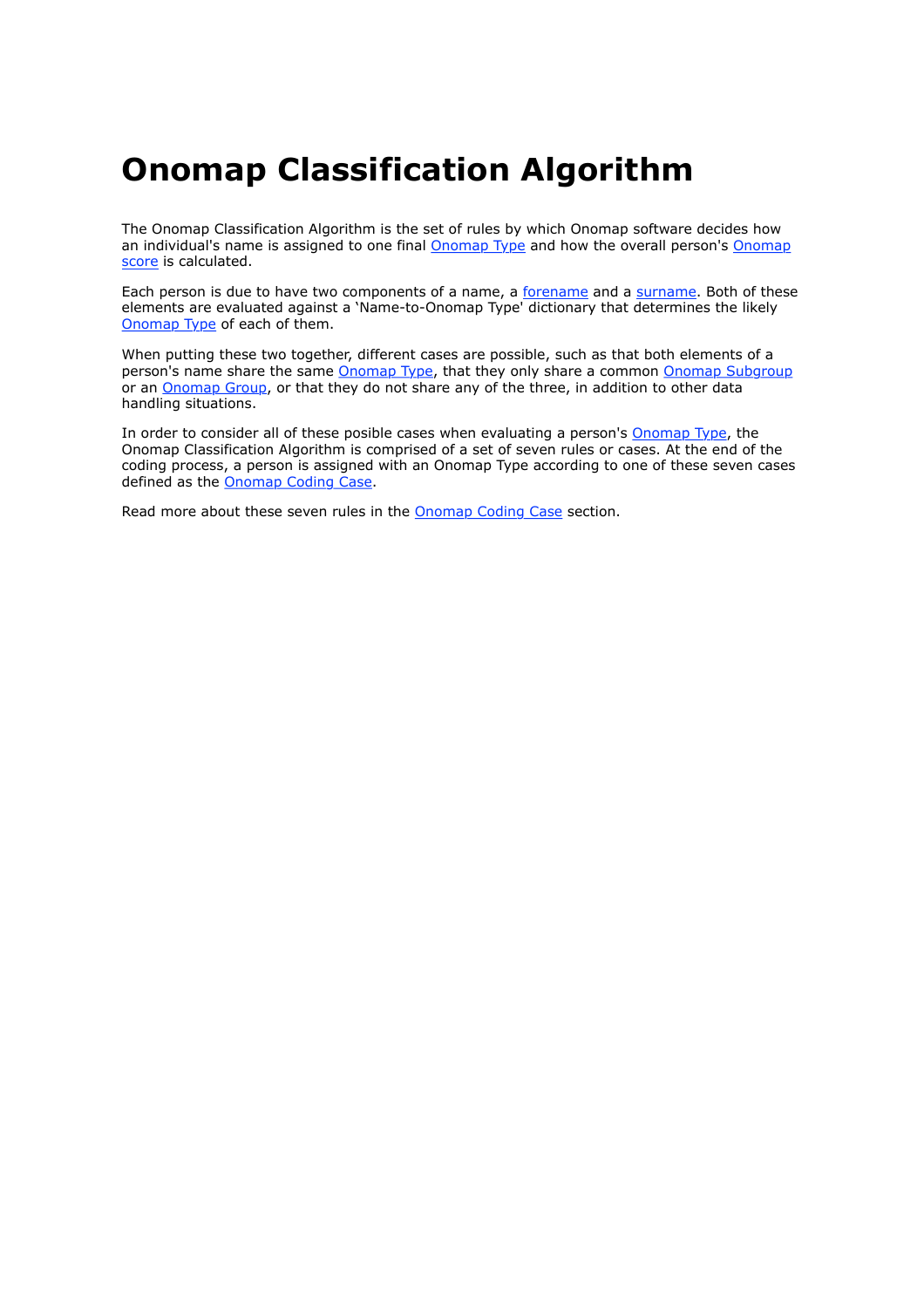## **Onomap Classification Algorithm**

The Onomap Classification Algorithm is the set of rules by which Onomap software decides how an individual's name is assigned to one final **Onomap Type** and how the overall person's **Onomap** score is calculated.

Each person is due to have two components of a name, a forename and a surname. Both of these elements are evaluated against a 'Name-to-Onomap Type' dictionary that determines the likely Onomap Type of each of them.

When putting these two together, different cases are possible, such as that both elements of a person's name share the same Onomap Type, that they only share a common Onomap Subgroup or an Onomap Group, or that they do not share any of the three, in addition to other data handling situations.

In order to consider all of these posible cases when evaluating a person's Onomap Type, the Onomap Classification Algorithm is comprised of a set of seven rules or cases. At the end of the coding process, a person is assigned with an Onomap Type according to one of these seven cases defined as the Onomap Coding Case.

Read more about these seven rules in the Onomap Coding Case section.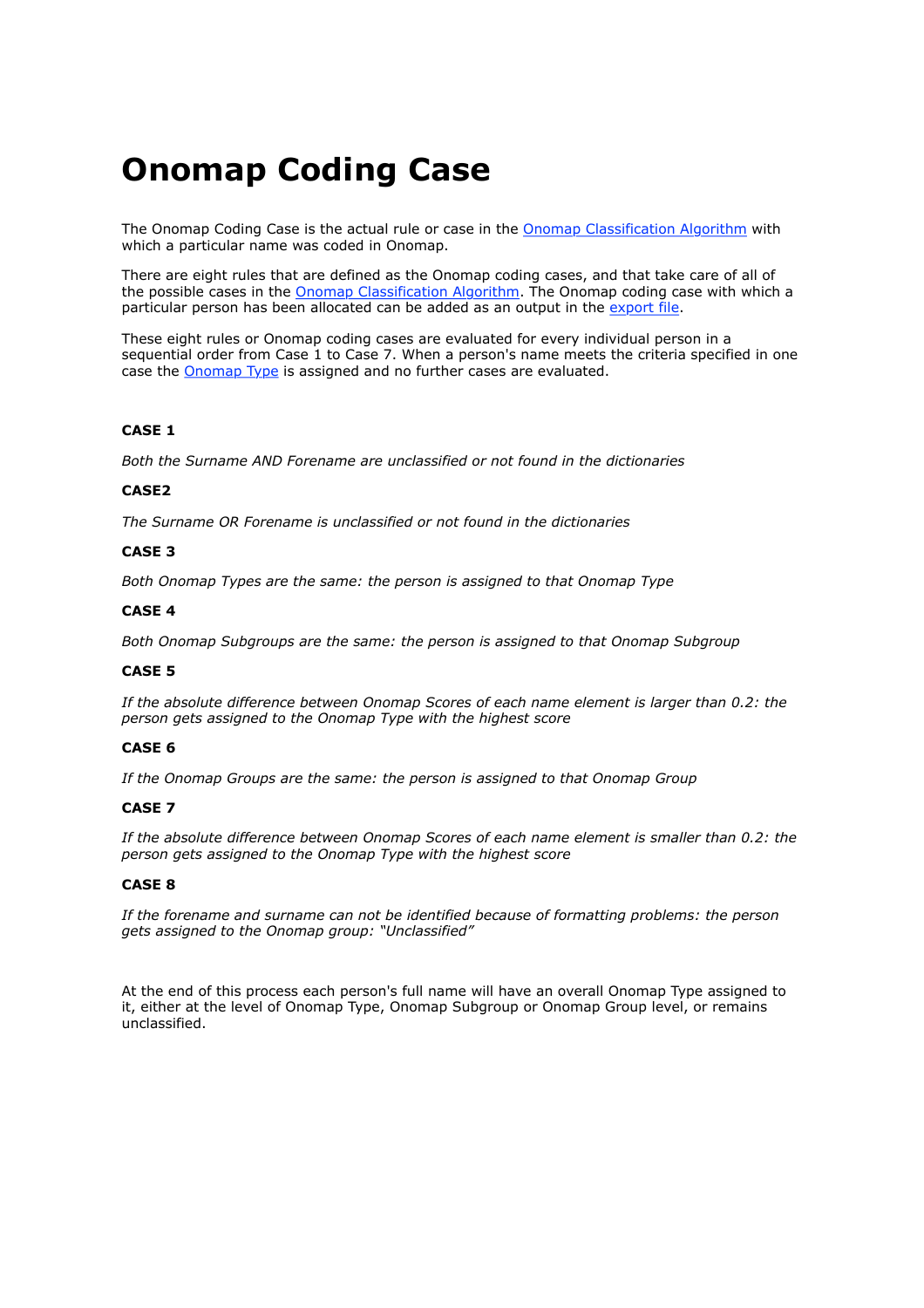# **Onomap Coding Case**

The Onomap Coding Case is the actual rule or case in the Onomap Classification Algorithm with which a particular name was coded in Onomap.

There are eight rules that are defined as the Onomap coding cases, and that take care of all of the possible cases in the Onomap Classification Algorithm. The Onomap coding case with which a particular person has been allocated can be added as an output in the export file.

These eight rules or Onomap coding cases are evaluated for every individual person in a sequential order from Case 1 to Case 7. When a person's name meets the criteria specified in one case the Onomap Type is assigned and no further cases are evaluated.

#### **CASE 1**

*Both the Surname AND Forename are unclassified or not found in the dictionaries*

#### **CASE2**

*The Surname OR Forename is unclassified or not found in the dictionaries*

#### **CASE 3**

*Both Onomap Types are the same: the person is assigned to that Onomap Type*

#### **CASE 4**

*Both Onomap Subgroups are the same: the person is assigned to that Onomap Subgroup*

#### **CASE 5**

*If the absolute difference between Onomap Scores of each name element is larger than 0.2: the person gets assigned to the Onomap Type with the highest score*

#### **CASE 6**

*If the Onomap Groups are the same: the person is assigned to that Onomap Group*

#### **CASE 7**

*If the absolute difference between Onomap Scores of each name element is smaller than 0.2: the person gets assigned to the Onomap Type with the highest score*

#### **CASE 8**

*If the forename and surname can not be identified because of formatting problems: the person gets assigned to the Onomap group: "Unclassified"*

At the end of this process each person's full name will have an overall Onomap Type assigned to it, either at the level of Onomap Type, Onomap Subgroup or Onomap Group level, or remains unclassified.